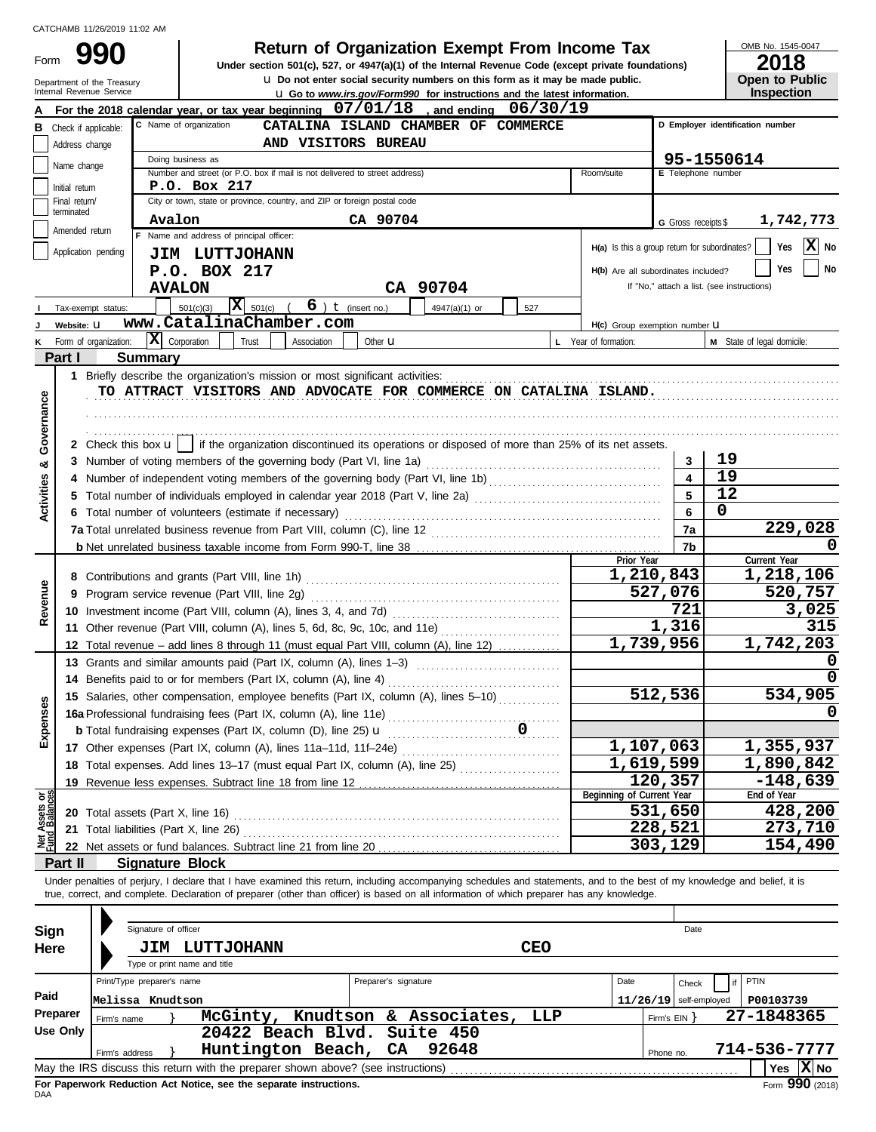Form

**u** Do not enter social security numbers on this form as it may be made public. **990 1990 2018 2018 Depend of Organization Exempt From Income Tax 1945-0 2018** 

OMB No. 1545-0047

| 20 I U                |
|-----------------------|
| <b>Open to Public</b> |
| <b>Inspection</b>     |
|                       |

|                                                | Internal Revenue Service                                                                                         | Department of the Treasury |                                                                                                                                                                            |                        |                      | <b>u</b> Do not enter social security numbers on this form as it may be made public.<br><b>u</b> Go to <i>www.irs.gov/Form990</i> for instructions and the latest information. |            |                                               |                          | <b>Inspection</b>                          | <b>Open to Public</b>    |
|------------------------------------------------|------------------------------------------------------------------------------------------------------------------|----------------------------|----------------------------------------------------------------------------------------------------------------------------------------------------------------------------|------------------------|----------------------|--------------------------------------------------------------------------------------------------------------------------------------------------------------------------------|------------|-----------------------------------------------|--------------------------|--------------------------------------------|--------------------------|
|                                                |                                                                                                                  |                            | For the 2018 calendar year, or tax year beginning $07/01/18$ , and ending $06/30/19$                                                                                       |                        |                      |                                                                                                                                                                                |            |                                               |                          |                                            |                          |
|                                                | <b>B</b> Check if applicable:                                                                                    |                            | C Name of organization                                                                                                                                                     |                        |                      | CATALINA ISLAND CHAMBER OF COMMERCE                                                                                                                                            |            |                                               |                          | D Employer identification number           |                          |
|                                                | AND VISITORS BUREAU<br>Address change                                                                            |                            |                                                                                                                                                                            |                        |                      |                                                                                                                                                                                |            |                                               |                          |                                            |                          |
| 95-1550614<br>Doing business as<br>Name change |                                                                                                                  |                            |                                                                                                                                                                            |                        |                      |                                                                                                                                                                                |            |                                               |                          |                                            |                          |
|                                                |                                                                                                                  |                            | Number and street (or P.O. box if mail is not delivered to street address)                                                                                                 |                        |                      |                                                                                                                                                                                |            | Room/suite                                    | E Telephone number       |                                            |                          |
|                                                | Initial return                                                                                                   |                            | P.O. Box 217                                                                                                                                                               |                        |                      |                                                                                                                                                                                |            |                                               |                          |                                            |                          |
|                                                | Final return/<br>terminated                                                                                      |                            | City or town, state or province, country, and ZIP or foreign postal code                                                                                                   |                        |                      |                                                                                                                                                                                |            |                                               |                          |                                            |                          |
|                                                | Amended return                                                                                                   |                            | Avalon                                                                                                                                                                     |                        | CA 90704             |                                                                                                                                                                                |            |                                               | G Gross receipts \$      |                                            | 1,742,773                |
|                                                |                                                                                                                  |                            | Name and address of principal officer:                                                                                                                                     |                        |                      |                                                                                                                                                                                |            | H(a) Is this a group return for subordinates? |                          |                                            | $ \mathbf{X} $ No<br>Yes |
|                                                | Application pending<br><b>JIM LUTTJOHANN</b><br>No<br>Yes<br>P.O. BOX 217<br>H(b) Are all subordinates included? |                            |                                                                                                                                                                            |                        |                      |                                                                                                                                                                                |            |                                               |                          |                                            |                          |
|                                                |                                                                                                                  |                            |                                                                                                                                                                            |                        |                      |                                                                                                                                                                                |            |                                               |                          | If "No," attach a list. (see instructions) |                          |
|                                                |                                                                                                                  |                            | <b>AVALON</b>                                                                                                                                                              |                        |                      | CA 90704                                                                                                                                                                       |            |                                               |                          |                                            |                          |
|                                                | Tax-exempt status:                                                                                               |                            | $\overline{\mathbf{X}}$ 501(c)<br>501(c)(3)                                                                                                                                | $6$ ) $t$ (insert no.) |                      | 4947(a)(1) or                                                                                                                                                                  | 527        |                                               |                          |                                            |                          |
|                                                | Website: U                                                                                                       |                            | www.CatalinaChamber.com                                                                                                                                                    |                        |                      |                                                                                                                                                                                |            | H(c) Group exemption number U                 |                          |                                            |                          |
|                                                | Form of organization:                                                                                            |                            | $ \mathbf{X} $ Corporation<br>Trust                                                                                                                                        | Association            | Other $\mathbf u$    |                                                                                                                                                                                |            | L Year of formation:                          |                          | M State of legal domicile:                 |                          |
|                                                | Part I                                                                                                           | <b>Summary</b>             |                                                                                                                                                                            |                        |                      |                                                                                                                                                                                |            |                                               |                          |                                            |                          |
|                                                |                                                                                                                  |                            | 1 Briefly describe the organization's mission or most significant activities:<br>TO ATTRACT VISITORS AND ADVOCATE FOR COMMERCE ON CATALINA ISLAND.                         |                        |                      |                                                                                                                                                                                |            |                                               |                          |                                            |                          |
|                                                |                                                                                                                  |                            |                                                                                                                                                                            |                        |                      |                                                                                                                                                                                |            |                                               |                          |                                            |                          |
| Governance                                     |                                                                                                                  |                            |                                                                                                                                                                            |                        |                      |                                                                                                                                                                                |            |                                               |                          |                                            |                          |
|                                                |                                                                                                                  |                            | 2 Check this box $\mathbf{u}$   if the organization discontinued its operations or disposed of more than 25% of its net assets.                                            |                        |                      |                                                                                                                                                                                |            |                                               |                          |                                            |                          |
|                                                |                                                                                                                  |                            | 3 Number of voting members of the governing body (Part VI, line 1a)                                                                                                        |                        |                      |                                                                                                                                                                                |            |                                               | 3                        | 19                                         |                          |
| ఱ                                              | 4                                                                                                                |                            | Number of independent voting members of the governing body (Part VI, line 1b) [[[[[[[[[[[[[[[[[[[[[[[[[[[[[[[                                                              |                        |                      |                                                                                                                                                                                |            |                                               | 4                        | 19                                         |                          |
| <b>Activities</b>                              | 5.                                                                                                               |                            | Total number of individuals employed in calendar year 2018 (Part V, line 2a) [[[[[[[[[[[[[[[[[[[[[[[[[[[[[[[[                                                              |                        |                      |                                                                                                                                                                                |            |                                               | 5                        | 12                                         |                          |
|                                                |                                                                                                                  |                            | 6 Total number of volunteers (estimate if necessary)                                                                                                                       |                        |                      |                                                                                                                                                                                |            |                                               | 6                        | 0                                          |                          |
|                                                |                                                                                                                  |                            |                                                                                                                                                                            |                        |                      |                                                                                                                                                                                |            |                                               | 7a                       |                                            | 229,028                  |
|                                                |                                                                                                                  |                            |                                                                                                                                                                            |                        |                      |                                                                                                                                                                                |            |                                               | 7b                       |                                            |                          |
|                                                |                                                                                                                  |                            |                                                                                                                                                                            |                        |                      |                                                                                                                                                                                |            | Prior Year                                    |                          | Current Year                               |                          |
|                                                |                                                                                                                  |                            |                                                                                                                                                                            |                        |                      |                                                                                                                                                                                |            |                                               | 1,210,843                |                                            | 1,218,106                |
| Revenue                                        | 9                                                                                                                |                            |                                                                                                                                                                            |                        |                      |                                                                                                                                                                                |            |                                               | 527,076<br>721           |                                            | 520,757                  |
|                                                |                                                                                                                  |                            |                                                                                                                                                                            |                        |                      |                                                                                                                                                                                |            |                                               |                          |                                            | 3,025                    |
|                                                |                                                                                                                  |                            | 11 Other revenue (Part VIII, column (A), lines 5, 6d, 8c, 9c, 10c, and 11e)                                                                                                |                        |                      |                                                                                                                                                                                |            |                                               | 1,316                    |                                            | 315                      |
|                                                | 12                                                                                                               |                            | Total revenue – add lines 8 through 11 (must equal Part VIII, column (A), line 12)                                                                                         |                        |                      |                                                                                                                                                                                |            |                                               | 1,739,956                |                                            | 1,742,203                |
|                                                |                                                                                                                  |                            | 13 Grants and similar amounts paid (Part IX, column (A), lines 1-3)                                                                                                        |                        |                      |                                                                                                                                                                                |            |                                               |                          |                                            | $\Omega$                 |
|                                                | 14                                                                                                               |                            | Benefits paid to or for members (Part IX, column (A), line 4)                                                                                                              |                        |                      |                                                                                                                                                                                |            |                                               |                          |                                            |                          |
| <b>ISes</b>                                    |                                                                                                                  |                            | 15 Salaries, other compensation, employee benefits (Part IX, column (A), lines 5-10)                                                                                       |                        |                      |                                                                                                                                                                                |            |                                               | 512,536                  |                                            | 534,905                  |
|                                                |                                                                                                                  |                            | 16a Professional fundraising fees (Part IX, column (A), line 11e)                                                                                                          |                        |                      |                                                                                                                                                                                |            |                                               | 0                        |                                            |                          |
| Exper                                          |                                                                                                                  |                            |                                                                                                                                                                            |                        | 0                    |                                                                                                                                                                                |            |                                               |                          |                                            |                          |
|                                                |                                                                                                                  |                            |                                                                                                                                                                            |                        |                      |                                                                                                                                                                                |            |                                               | 1,107,063                |                                            | 1,355,937                |
|                                                |                                                                                                                  |                            | 18 Total expenses. Add lines 13-17 (must equal Part IX, column (A), line 25)                                                                                               |                        |                      |                                                                                                                                                                                |            |                                               | $\overline{1,619,599}$   |                                            | 1,890,842                |
|                                                | 19                                                                                                               |                            |                                                                                                                                                                            |                        |                      |                                                                                                                                                                                |            | Beginning of Current Year                     | 120,357                  | End of Year                                | $-148,639$               |
| Net Assets or<br>Fund Balances                 |                                                                                                                  |                            |                                                                                                                                                                            |                        |                      |                                                                                                                                                                                |            |                                               | 531,650                  |                                            | 428,200                  |
|                                                | 21                                                                                                               |                            | Total liabilities (Part X, line 26)                                                                                                                                        |                        |                      |                                                                                                                                                                                |            |                                               | 228,521                  |                                            | 273,710                  |
|                                                |                                                                                                                  |                            |                                                                                                                                                                            |                        |                      |                                                                                                                                                                                |            |                                               | 303,129                  |                                            | 154,490                  |
|                                                | Part II                                                                                                          |                            | <b>Signature Block</b>                                                                                                                                                     |                        |                      |                                                                                                                                                                                |            |                                               |                          |                                            |                          |
|                                                |                                                                                                                  |                            | Under penalties of perjury, I declare that I have examined this return, including accompanying schedules and statements, and to the best of my knowledge and belief, it is |                        |                      |                                                                                                                                                                                |            |                                               |                          |                                            |                          |
|                                                |                                                                                                                  |                            | true, correct, and complete. Declaration of preparer (other than officer) is based on all information of which preparer has any knowledge.                                 |                        |                      |                                                                                                                                                                                |            |                                               |                          |                                            |                          |
|                                                |                                                                                                                  |                            |                                                                                                                                                                            |                        |                      |                                                                                                                                                                                |            |                                               |                          |                                            |                          |
| Sign                                           |                                                                                                                  | Signature of officer       |                                                                                                                                                                            |                        |                      |                                                                                                                                                                                |            |                                               | Date                     |                                            |                          |
| Here                                           |                                                                                                                  |                            | JIM LUTTJOHANN                                                                                                                                                             |                        |                      |                                                                                                                                                                                | <b>CEO</b> |                                               |                          |                                            |                          |
|                                                |                                                                                                                  |                            | Type or print name and title                                                                                                                                               |                        |                      |                                                                                                                                                                                |            |                                               |                          |                                            |                          |
|                                                |                                                                                                                  | Print/Type preparer's name |                                                                                                                                                                            |                        | Preparer's signature |                                                                                                                                                                                |            | Date                                          | Check                    | PTIN<br>if                                 |                          |
| Paid                                           |                                                                                                                  | Melissa Knudtson           |                                                                                                                                                                            |                        |                      |                                                                                                                                                                                |            |                                               | $11/26/19$ self-employed | P00103739                                  |                          |
|                                                | Preparer                                                                                                         | Firm's name                |                                                                                                                                                                            |                        |                      | McGinty, Knudtson & Associates,                                                                                                                                                | LLP        |                                               | Firm's $EIN$ }           | 27-1848365                                 |                          |
|                                                | <b>Use Only</b>                                                                                                  |                            |                                                                                                                                                                            | 20422 Beach Blvd.      |                      | Suite 450                                                                                                                                                                      |            |                                               |                          |                                            |                          |
|                                                |                                                                                                                  | Firm's address             |                                                                                                                                                                            | Huntington Beach,      | CA                   | 92648                                                                                                                                                                          |            |                                               | Phone no.                | 714-536-7777                               |                          |
|                                                |                                                                                                                  |                            | May the IRS discuss this return with the preparer shown above? (see instructions)                                                                                          |                        |                      |                                                                                                                                                                                |            |                                               |                          |                                            | Yes $X$ No               |

| Sign                                                                                                                   | Signature of officer |                            |  |                              |  |                      |  |                            |            |      |              | Date                     |             |              |
|------------------------------------------------------------------------------------------------------------------------|----------------------|----------------------------|--|------------------------------|--|----------------------|--|----------------------------|------------|------|--------------|--------------------------|-------------|--------------|
| Here                                                                                                                   |                      | JIM                        |  | LUTTJOHANN                   |  |                      |  |                            | <b>CEO</b> |      |              |                          |             |              |
|                                                                                                                        |                      |                            |  | Type or print name and title |  |                      |  |                            |            |      |              |                          |             |              |
|                                                                                                                        |                      | Print/Type preparer's name |  |                              |  | Preparer's signature |  |                            |            | Date |              | Check                    | <b>PTIN</b> |              |
| Paid                                                                                                                   |                      | Melissa Knudtson           |  |                              |  |                      |  |                            |            |      |              | $11/26/19$ self-employed | P00103739   |              |
| Preparer                                                                                                               |                      | Firm's name                |  | McGinty,                     |  |                      |  | Knudtson & Associates, LLP |            |      | Firm's EIN Y |                          | 27-1848365  |              |
| Use Only                                                                                                               |                      |                            |  | 20422 Beach Blvd. Suite 450  |  |                      |  |                            |            |      |              |                          |             |              |
|                                                                                                                        |                      | Firm's address             |  | Huntington Beach, CA         |  |                      |  | 92648                      |            |      | Phone no.    |                          |             | 714-536-7777 |
| $\overline{\mathbf{X}}$ No<br>May the IRS discuss this return with the preparer shown above? (see instructions)<br>Yes |                      |                            |  |                              |  |                      |  |                            |            |      |              |                          |             |              |
|                                                                                                                        |                      |                            |  |                              |  |                      |  |                            |            |      |              |                          |             | $\sim$       |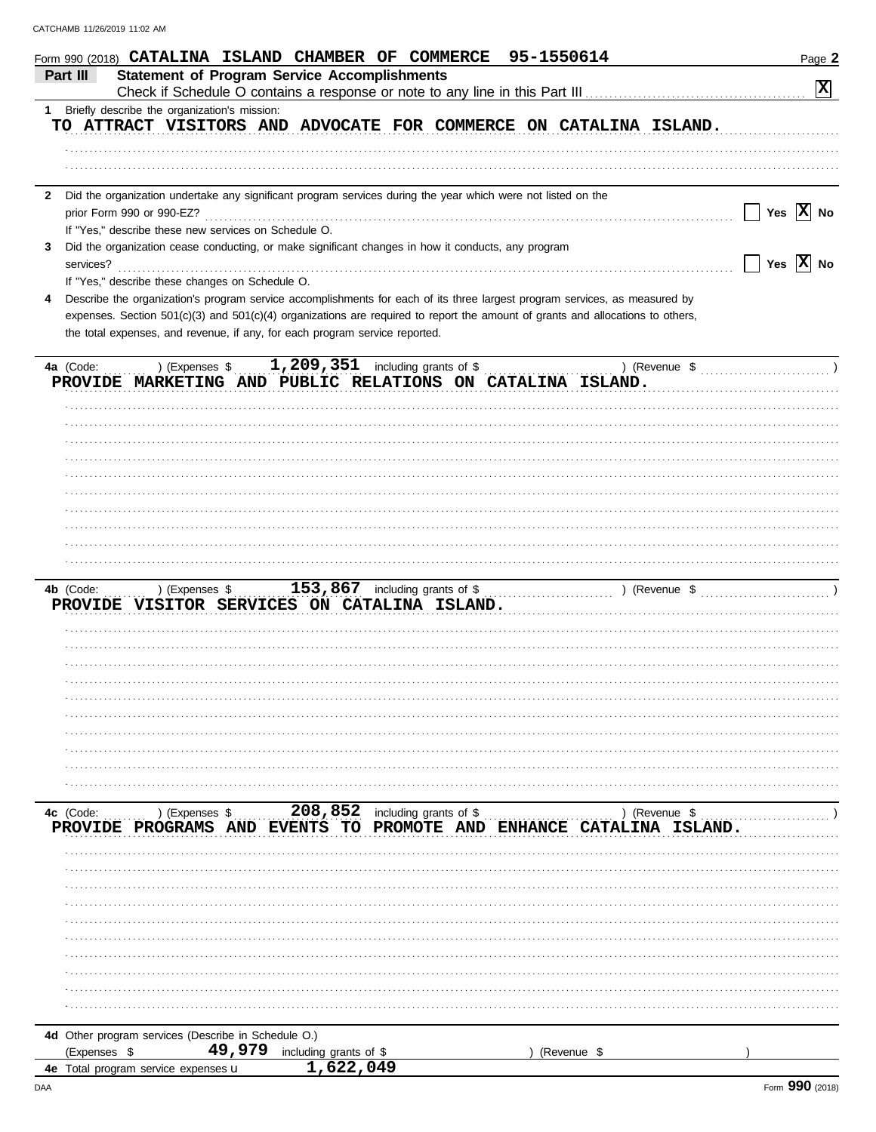| 95-1550614<br>Form 990 (2018) CATALINA ISLAND CHAMBER OF COMMERCE                                                                                         | Page 2                                                                   |
|-----------------------------------------------------------------------------------------------------------------------------------------------------------|--------------------------------------------------------------------------|
| <b>Statement of Program Service Accomplishments</b><br>Part III                                                                                           |                                                                          |
| Check if Schedule O contains a response or note to any line in this Part III [11] [11] [11] [11] [11] [11] [1                                             | $ \mathbf{x} $                                                           |
| Briefly describe the organization's mission:<br>1                                                                                                         |                                                                          |
| TO ATTRACT VISITORS AND ADVOCATE FOR COMMERCE ON CATALINA ISLAND.                                                                                         |                                                                          |
|                                                                                                                                                           |                                                                          |
|                                                                                                                                                           |                                                                          |
|                                                                                                                                                           |                                                                          |
| Did the organization undertake any significant program services during the year which were not listed on the<br>$\mathbf{2}$<br>prior Form 990 or 990-EZ? | Yes $ \mathbf{X} $ No                                                    |
| If "Yes," describe these new services on Schedule O.                                                                                                      |                                                                          |
| Did the organization cease conducting, or make significant changes in how it conducts, any program<br>3                                                   |                                                                          |
| services?                                                                                                                                                 | $\Box$ Yes $\boxed{\text{X}}$ No                                         |
| If "Yes," describe these changes on Schedule O.                                                                                                           |                                                                          |
| Describe the organization's program service accomplishments for each of its three largest program services, as measured by<br>4                           |                                                                          |
| expenses. Section 501(c)(3) and 501(c)(4) organizations are required to report the amount of grants and allocations to others,                            |                                                                          |
| the total expenses, and revenue, if any, for each program service reported.                                                                               |                                                                          |
|                                                                                                                                                           |                                                                          |
| 1,209,351 including grants of \$<br>) (Expenses \$<br>4a (Code:                                                                                           | ) (Revenue $\frac{1}{2}$ (Revenue $\frac{1}{2}$ )                        |
| PROVIDE MARKETING AND PUBLIC RELATIONS ON CATALINA ISLAND.                                                                                                |                                                                          |
|                                                                                                                                                           |                                                                          |
|                                                                                                                                                           |                                                                          |
|                                                                                                                                                           |                                                                          |
|                                                                                                                                                           |                                                                          |
|                                                                                                                                                           |                                                                          |
|                                                                                                                                                           |                                                                          |
|                                                                                                                                                           |                                                                          |
|                                                                                                                                                           |                                                                          |
|                                                                                                                                                           |                                                                          |
|                                                                                                                                                           |                                                                          |
| 153,867 including grants of \$<br>4b (Code:<br>) (Expenses \$                                                                                             | ) (Revenue $\frac{1}{2}$ (Revenue $\frac{1}{2}$ (Revenue $\frac{1}{2}$ ) |
| PROVIDE VISITOR SERVICES ON CATALINA ISLAND.                                                                                                              |                                                                          |
|                                                                                                                                                           |                                                                          |
|                                                                                                                                                           |                                                                          |
|                                                                                                                                                           |                                                                          |
|                                                                                                                                                           |                                                                          |
|                                                                                                                                                           |                                                                          |
|                                                                                                                                                           |                                                                          |
|                                                                                                                                                           |                                                                          |
|                                                                                                                                                           |                                                                          |
|                                                                                                                                                           |                                                                          |
|                                                                                                                                                           |                                                                          |
|                                                                                                                                                           |                                                                          |
| PROVIDE PROGRAMS AND EVENTS TO PROMOTE AND ENHANCE CATALINA ISLAND.                                                                                       |                                                                          |
|                                                                                                                                                           |                                                                          |
|                                                                                                                                                           |                                                                          |
|                                                                                                                                                           |                                                                          |
|                                                                                                                                                           |                                                                          |
|                                                                                                                                                           |                                                                          |
|                                                                                                                                                           |                                                                          |
|                                                                                                                                                           |                                                                          |
|                                                                                                                                                           |                                                                          |
|                                                                                                                                                           |                                                                          |
|                                                                                                                                                           |                                                                          |
|                                                                                                                                                           |                                                                          |
| 4d Other program services (Describe in Schedule O.)                                                                                                       |                                                                          |
| 49,979 including grants of \$<br>(Expenses \$<br>(Revenue \$<br>1,622,049<br><b>4e</b> Total program service expenses <b>u</b>                            |                                                                          |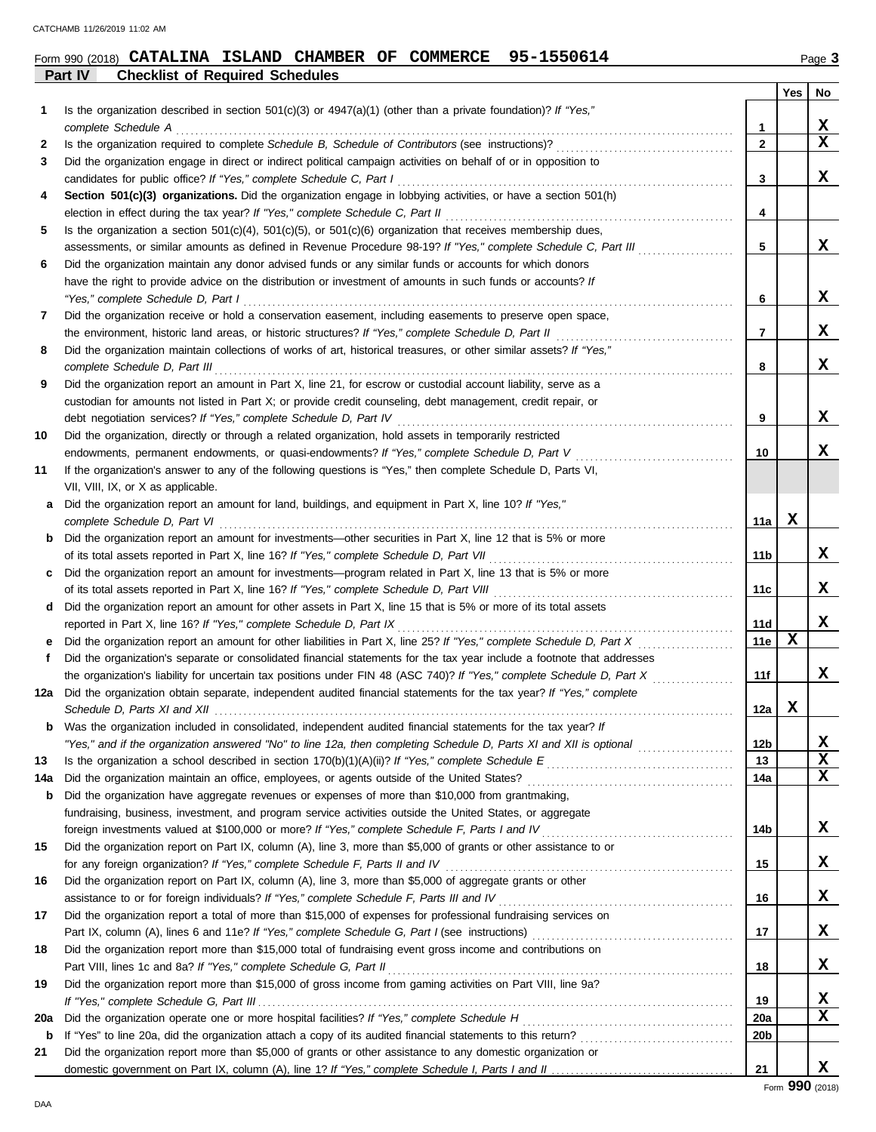# **Form 990 (2018) CATALINA ISLAND CHAMBER OF COMMERCE 95-1550614** Page 3

|     | Part IV<br><b>Checklist of Required Schedules</b>                                                                       |                 |     |                         |
|-----|-------------------------------------------------------------------------------------------------------------------------|-----------------|-----|-------------------------|
|     |                                                                                                                         |                 | Yes | No                      |
| 1   | Is the organization described in section $501(c)(3)$ or $4947(a)(1)$ (other than a private foundation)? If "Yes,"       |                 |     |                         |
|     | complete Schedule A                                                                                                     | 1               |     | x                       |
| 2   |                                                                                                                         | 2               |     | $\overline{\mathbf{X}}$ |
| 3   | Did the organization engage in direct or indirect political campaign activities on behalf of or in opposition to        |                 |     |                         |
|     | candidates for public office? If "Yes," complete Schedule C, Part I                                                     | 3               |     | x                       |
| 4   | Section 501(c)(3) organizations. Did the organization engage in lobbying activities, or have a section 501(h)           |                 |     |                         |
|     | election in effect during the tax year? If "Yes," complete Schedule C, Part II                                          | 4               |     |                         |
| 5   | Is the organization a section $501(c)(4)$ , $501(c)(5)$ , or $501(c)(6)$ organization that receives membership dues,    |                 |     |                         |
|     | assessments, or similar amounts as defined in Revenue Procedure 98-19? If "Yes," complete Schedule C, Part III          | 5               |     | x                       |
| 6   | Did the organization maintain any donor advised funds or any similar funds or accounts for which donors                 |                 |     |                         |
|     | have the right to provide advice on the distribution or investment of amounts in such funds or accounts? If             |                 |     |                         |
|     | "Yes," complete Schedule D, Part I                                                                                      | 6               |     | x                       |
| 7   | Did the organization receive or hold a conservation easement, including easements to preserve open space,               |                 |     |                         |
|     | the environment, historic land areas, or historic structures? If "Yes," complete Schedule D, Part II                    | 7               |     | X.                      |
| 8   | Did the organization maintain collections of works of art, historical treasures, or other similar assets? If "Yes,"     |                 |     |                         |
|     | complete Schedule D, Part III                                                                                           | 8               |     | x                       |
| 9   | Did the organization report an amount in Part X, line 21, for escrow or custodial account liability, serve as a         |                 |     |                         |
|     | custodian for amounts not listed in Part X; or provide credit counseling, debt management, credit repair, or            |                 |     |                         |
|     | debt negotiation services? If "Yes," complete Schedule D, Part IV                                                       | 9               |     | x                       |
| 10  | Did the organization, directly or through a related organization, hold assets in temporarily restricted                 |                 |     |                         |
|     | endowments, permanent endowments, or quasi-endowments? If "Yes," complete Schedule D, Part V                            | 10              |     | x                       |
|     | If the organization's answer to any of the following questions is "Yes," then complete Schedule D, Parts VI,            |                 |     |                         |
| 11  |                                                                                                                         |                 |     |                         |
|     | VII, VIII, IX, or X as applicable.                                                                                      |                 |     |                         |
| a   | Did the organization report an amount for land, buildings, and equipment in Part X, line 10? If "Yes,"                  |                 | x   |                         |
|     | complete Schedule D, Part VI                                                                                            | 11a             |     |                         |
| b   | Did the organization report an amount for investments—other securities in Part X, line 12 that is 5% or more            |                 |     |                         |
|     | of its total assets reported in Part X, line 16? If "Yes," complete Schedule D, Part VII                                | 11b             |     | X.                      |
| c   | Did the organization report an amount for investments—program related in Part X, line 13 that is 5% or more             |                 |     |                         |
|     | of its total assets reported in Part X, line 16? If "Yes," complete Schedule D, Part VIII                               | 11c             |     | X                       |
| d   | Did the organization report an amount for other assets in Part X, line 15 that is 5% or more of its total assets        |                 |     |                         |
|     | reported in Part X, line 16? If "Yes," complete Schedule D, Part IX                                                     | 11d             |     | X.                      |
| е   | Did the organization report an amount for other liabilities in Part X, line 25? If "Yes," complete Schedule D, Part X   | 11e             | х   |                         |
| f   | Did the organization's separate or consolidated financial statements for the tax year include a footnote that addresses |                 |     |                         |
|     | the organization's liability for uncertain tax positions under FIN 48 (ASC 740)? If "Yes," complete Schedule D, Part X  | 11f             |     | X.                      |
| 12a | Did the organization obtain separate, independent audited financial statements for the tax year? If "Yes," complete     |                 |     |                         |
|     | Schedule D, Parts XI and XII                                                                                            | 12a             | x   |                         |
| b   | Was the organization included in consolidated, independent audited financial statements for the tax year? If            |                 |     |                         |
|     | "Yes," and if the organization answered "No" to line 12a, then completing Schedule D, Parts XI and XII is optional      | 12 <sub>b</sub> |     | X                       |
| 13  |                                                                                                                         | 13              |     | X                       |
| 14a |                                                                                                                         | 14a             |     | x                       |
| b   | Did the organization have aggregate revenues or expenses of more than \$10,000 from grantmaking,                        |                 |     |                         |
|     | fundraising, business, investment, and program service activities outside the United States, or aggregate               |                 |     |                         |
|     |                                                                                                                         | 14b             |     | x                       |
| 15  | Did the organization report on Part IX, column (A), line 3, more than \$5,000 of grants or other assistance to or       |                 |     |                         |
|     |                                                                                                                         | 15              |     | x                       |
| 16  | Did the organization report on Part IX, column (A), line 3, more than \$5,000 of aggregate grants or other              |                 |     |                         |
|     | assistance to or for foreign individuals? If "Yes," complete Schedule F, Parts III and IV [[[[[[[[[[[[[[[[[[[           | 16              |     | x                       |
| 17  | Did the organization report a total of more than \$15,000 of expenses for professional fundraising services on          |                 |     |                         |
|     |                                                                                                                         | 17              |     | X,                      |
| 18  | Did the organization report more than \$15,000 total of fundraising event gross income and contributions on             |                 |     |                         |
|     |                                                                                                                         | 18              |     | X.                      |
| 19  | Did the organization report more than \$15,000 of gross income from gaming activities on Part VIII, line 9a?            |                 |     |                         |
|     |                                                                                                                         | 19              |     | X                       |
| 20a |                                                                                                                         | 20a             |     | x                       |
| b   |                                                                                                                         | 20 <sub>b</sub> |     |                         |
| 21  | Did the organization report more than \$5,000 of grants or other assistance to any domestic organization or             |                 |     |                         |
|     |                                                                                                                         | 21              |     | X.                      |
|     |                                                                                                                         |                 |     |                         |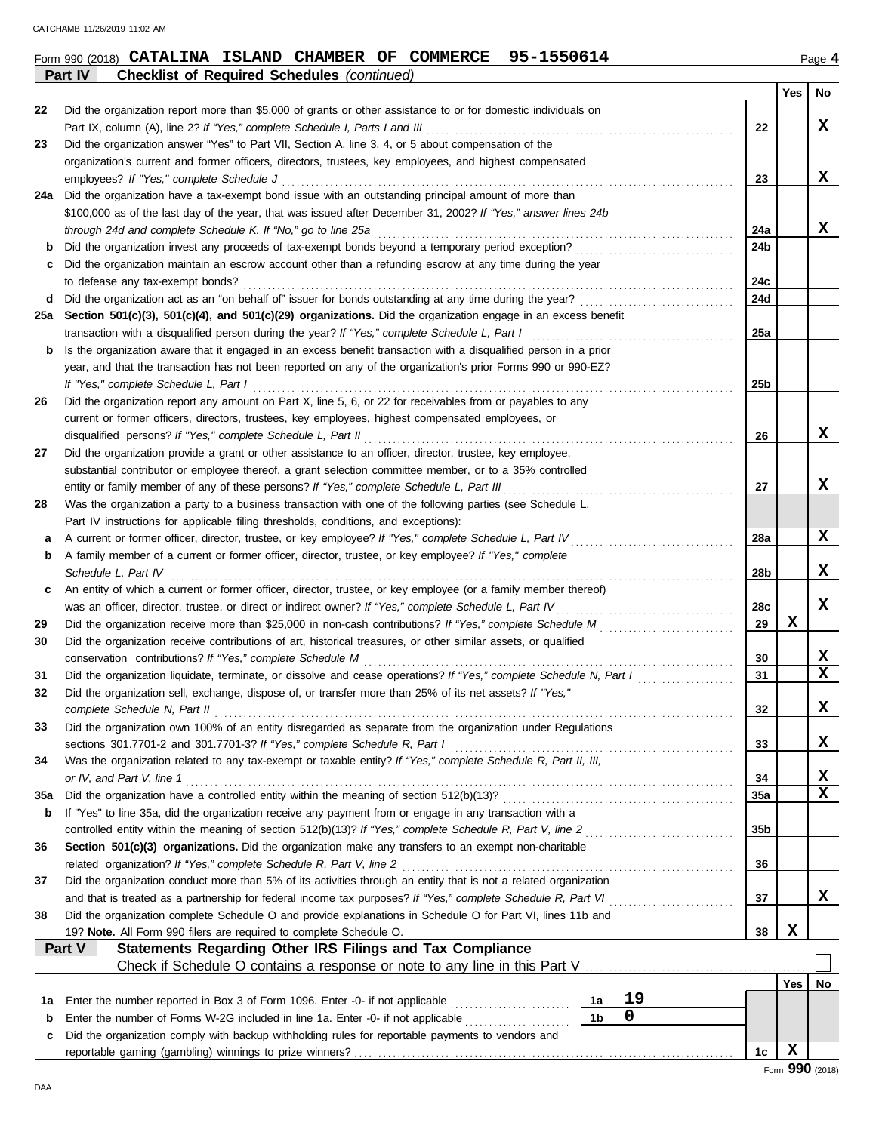|--|

**Part IV Checklist of Required Schedules** *(continued)*

| Did the organization report more than \$5,000 of grants or other assistance to or for domestic individuals on<br>22<br>Part IX, column (A), line 2? If "Yes," complete Schedule I, Parts I and III<br>22<br>Did the organization answer "Yes" to Part VII, Section A, line 3, 4, or 5 about compensation of the<br>23<br>organization's current and former officers, directors, trustees, key employees, and highest compensated<br>X.<br>23<br>employees? If "Yes," complete Schedule J<br>Did the organization have a tax-exempt bond issue with an outstanding principal amount of more than<br>24a<br>\$100,000 as of the last day of the year, that was issued after December 31, 2002? If "Yes," answer lines 24b<br>X.<br>through 24d and complete Schedule K. If "No," go to line 25a<br>24a<br>Did the organization invest any proceeds of tax-exempt bonds beyond a temporary period exception?<br>24 <sub>b</sub><br>b<br>Did the organization maintain an escrow account other than a refunding escrow at any time during the year<br>c<br>24c<br>to defease any tax-exempt bonds?<br>Did the organization act as an "on behalf of" issuer for bonds outstanding at any time during the year?<br>24d<br>d<br>Section 501(c)(3), 501(c)(4), and 501(c)(29) organizations. Did the organization engage in an excess benefit<br>25a<br>transaction with a disqualified person during the year? If "Yes," complete Schedule L, Part I<br>25a<br>Is the organization aware that it engaged in an excess benefit transaction with a disqualified person in a prior<br>b<br>year, and that the transaction has not been reported on any of the organization's prior Forms 990 or 990-EZ?<br>If "Yes," complete Schedule L, Part I<br>25b<br>Did the organization report any amount on Part X, line 5, 6, or 22 for receivables from or payables to any<br>26<br>current or former officers, directors, trustees, key employees, highest compensated employees, or<br>X<br>disqualified persons? If "Yes," complete Schedule L, Part II<br>26<br>Did the organization provide a grant or other assistance to an officer, director, trustee, key employee,<br>27<br>substantial contributor or employee thereof, a grant selection committee member, or to a 35% controlled<br>entity or family member of any of these persons? If "Yes," complete Schedule L, Part III<br>27<br>Was the organization a party to a business transaction with one of the following parties (see Schedule L,<br>28<br>Part IV instructions for applicable filing thresholds, conditions, and exceptions):<br>A current or former officer, director, trustee, or key employee? If "Yes," complete Schedule L, Part IV<br>28a<br>а<br>A family member of a current or former officer, director, trustee, or key employee? If "Yes," complete<br>b<br>28b<br>Schedule L, Part IV<br>An entity of which a current or former officer, director, trustee, or key employee (or a family member thereof)<br>c<br>was an officer, director, trustee, or direct or indirect owner? If "Yes," complete Schedule L, Part IV<br>28c<br>х<br>29<br>29<br>Did the organization receive contributions of art, historical treasures, or other similar assets, or qualified<br>30<br>conservation contributions? If "Yes," complete Schedule M<br>30<br>Did the organization liquidate, terminate, or dissolve and cease operations? If "Yes," complete Schedule N, Part I<br>31<br>31<br>Did the organization sell, exchange, dispose of, or transfer more than 25% of its net assets? If "Yes,"<br>32<br>32<br>Did the organization own 100% of an entity disregarded as separate from the organization under Regulations<br>33<br>sections 301.7701-2 and 301.7701-3? If "Yes," complete Schedule R, Part I<br>33<br>Was the organization related to any tax-exempt or taxable entity? If "Yes," complete Schedule R, Part II, III,<br>34<br>or IV, and Part V, line 1<br>34<br>X<br>35a<br>35a<br>If "Yes" to line 35a, did the organization receive any payment from or engage in any transaction with a<br>b<br>35b<br>Section 501(c)(3) organizations. Did the organization make any transfers to an exempt non-charitable<br>36<br>related organization? If "Yes," complete Schedule R, Part V, line 2<br>36<br>Did the organization conduct more than 5% of its activities through an entity that is not a related organization<br>37<br>X<br>37 |  |  | Yes | No |  |  |  |  |  |
|--------------------------------------------------------------------------------------------------------------------------------------------------------------------------------------------------------------------------------------------------------------------------------------------------------------------------------------------------------------------------------------------------------------------------------------------------------------------------------------------------------------------------------------------------------------------------------------------------------------------------------------------------------------------------------------------------------------------------------------------------------------------------------------------------------------------------------------------------------------------------------------------------------------------------------------------------------------------------------------------------------------------------------------------------------------------------------------------------------------------------------------------------------------------------------------------------------------------------------------------------------------------------------------------------------------------------------------------------------------------------------------------------------------------------------------------------------------------------------------------------------------------------------------------------------------------------------------------------------------------------------------------------------------------------------------------------------------------------------------------------------------------------------------------------------------------------------------------------------------------------------------------------------------------------------------------------------------------------------------------------------------------------------------------------------------------------------------------------------------------------------------------------------------------------------------------------------------------------------------------------------------------------------------------------------------------------------------------------------------------------------------------------------------------------------------------------------------------------------------------------------------------------------------------------------------------------------------------------------------------------------------------------------------------------------------------------------------------------------------------------------------------------------------------------------------------------------------------------------------------------------------------------------------------------------------------------------------------------------------------------------------------------------------------------------------------------------------------------------------------------------------------------------------------------------------------------------------------------------------------------------------------------------------------------------------------------------------------------------------------------------------------------------------------------------------------------------------------------------------------------------------------------------------------------------------------------------------------------------------------------------------------------------------------------------------------------------------------------------------------------------------------------------------------------------------------------------------------------------------------------------------------------------------------------------------------------------------------------------------------------------------------------------------------------------------------------------------------------------------------------------------------------------------------------------------------------------------------------------------------------------------------------------------------------------------------------------------------------------------------------------------------------------------------------|--|--|-----|----|--|--|--|--|--|
|                                                                                                                                                                                                                                                                                                                                                                                                                                                                                                                                                                                                                                                                                                                                                                                                                                                                                                                                                                                                                                                                                                                                                                                                                                                                                                                                                                                                                                                                                                                                                                                                                                                                                                                                                                                                                                                                                                                                                                                                                                                                                                                                                                                                                                                                                                                                                                                                                                                                                                                                                                                                                                                                                                                                                                                                                                                                                                                                                                                                                                                                                                                                                                                                                                                                                                                                                                                                                                                                                                                                                                                                                                                                                                                                                                                                                                                                                                                                                                                                                                                                                                                                                                                                                                                                                                                                                                                                                          |  |  |     |    |  |  |  |  |  |
|                                                                                                                                                                                                                                                                                                                                                                                                                                                                                                                                                                                                                                                                                                                                                                                                                                                                                                                                                                                                                                                                                                                                                                                                                                                                                                                                                                                                                                                                                                                                                                                                                                                                                                                                                                                                                                                                                                                                                                                                                                                                                                                                                                                                                                                                                                                                                                                                                                                                                                                                                                                                                                                                                                                                                                                                                                                                                                                                                                                                                                                                                                                                                                                                                                                                                                                                                                                                                                                                                                                                                                                                                                                                                                                                                                                                                                                                                                                                                                                                                                                                                                                                                                                                                                                                                                                                                                                                                          |  |  |     | X  |  |  |  |  |  |
|                                                                                                                                                                                                                                                                                                                                                                                                                                                                                                                                                                                                                                                                                                                                                                                                                                                                                                                                                                                                                                                                                                                                                                                                                                                                                                                                                                                                                                                                                                                                                                                                                                                                                                                                                                                                                                                                                                                                                                                                                                                                                                                                                                                                                                                                                                                                                                                                                                                                                                                                                                                                                                                                                                                                                                                                                                                                                                                                                                                                                                                                                                                                                                                                                                                                                                                                                                                                                                                                                                                                                                                                                                                                                                                                                                                                                                                                                                                                                                                                                                                                                                                                                                                                                                                                                                                                                                                                                          |  |  |     |    |  |  |  |  |  |
|                                                                                                                                                                                                                                                                                                                                                                                                                                                                                                                                                                                                                                                                                                                                                                                                                                                                                                                                                                                                                                                                                                                                                                                                                                                                                                                                                                                                                                                                                                                                                                                                                                                                                                                                                                                                                                                                                                                                                                                                                                                                                                                                                                                                                                                                                                                                                                                                                                                                                                                                                                                                                                                                                                                                                                                                                                                                                                                                                                                                                                                                                                                                                                                                                                                                                                                                                                                                                                                                                                                                                                                                                                                                                                                                                                                                                                                                                                                                                                                                                                                                                                                                                                                                                                                                                                                                                                                                                          |  |  |     |    |  |  |  |  |  |
|                                                                                                                                                                                                                                                                                                                                                                                                                                                                                                                                                                                                                                                                                                                                                                                                                                                                                                                                                                                                                                                                                                                                                                                                                                                                                                                                                                                                                                                                                                                                                                                                                                                                                                                                                                                                                                                                                                                                                                                                                                                                                                                                                                                                                                                                                                                                                                                                                                                                                                                                                                                                                                                                                                                                                                                                                                                                                                                                                                                                                                                                                                                                                                                                                                                                                                                                                                                                                                                                                                                                                                                                                                                                                                                                                                                                                                                                                                                                                                                                                                                                                                                                                                                                                                                                                                                                                                                                                          |  |  |     |    |  |  |  |  |  |
|                                                                                                                                                                                                                                                                                                                                                                                                                                                                                                                                                                                                                                                                                                                                                                                                                                                                                                                                                                                                                                                                                                                                                                                                                                                                                                                                                                                                                                                                                                                                                                                                                                                                                                                                                                                                                                                                                                                                                                                                                                                                                                                                                                                                                                                                                                                                                                                                                                                                                                                                                                                                                                                                                                                                                                                                                                                                                                                                                                                                                                                                                                                                                                                                                                                                                                                                                                                                                                                                                                                                                                                                                                                                                                                                                                                                                                                                                                                                                                                                                                                                                                                                                                                                                                                                                                                                                                                                                          |  |  |     |    |  |  |  |  |  |
|                                                                                                                                                                                                                                                                                                                                                                                                                                                                                                                                                                                                                                                                                                                                                                                                                                                                                                                                                                                                                                                                                                                                                                                                                                                                                                                                                                                                                                                                                                                                                                                                                                                                                                                                                                                                                                                                                                                                                                                                                                                                                                                                                                                                                                                                                                                                                                                                                                                                                                                                                                                                                                                                                                                                                                                                                                                                                                                                                                                                                                                                                                                                                                                                                                                                                                                                                                                                                                                                                                                                                                                                                                                                                                                                                                                                                                                                                                                                                                                                                                                                                                                                                                                                                                                                                                                                                                                                                          |  |  |     |    |  |  |  |  |  |
|                                                                                                                                                                                                                                                                                                                                                                                                                                                                                                                                                                                                                                                                                                                                                                                                                                                                                                                                                                                                                                                                                                                                                                                                                                                                                                                                                                                                                                                                                                                                                                                                                                                                                                                                                                                                                                                                                                                                                                                                                                                                                                                                                                                                                                                                                                                                                                                                                                                                                                                                                                                                                                                                                                                                                                                                                                                                                                                                                                                                                                                                                                                                                                                                                                                                                                                                                                                                                                                                                                                                                                                                                                                                                                                                                                                                                                                                                                                                                                                                                                                                                                                                                                                                                                                                                                                                                                                                                          |  |  |     |    |  |  |  |  |  |
|                                                                                                                                                                                                                                                                                                                                                                                                                                                                                                                                                                                                                                                                                                                                                                                                                                                                                                                                                                                                                                                                                                                                                                                                                                                                                                                                                                                                                                                                                                                                                                                                                                                                                                                                                                                                                                                                                                                                                                                                                                                                                                                                                                                                                                                                                                                                                                                                                                                                                                                                                                                                                                                                                                                                                                                                                                                                                                                                                                                                                                                                                                                                                                                                                                                                                                                                                                                                                                                                                                                                                                                                                                                                                                                                                                                                                                                                                                                                                                                                                                                                                                                                                                                                                                                                                                                                                                                                                          |  |  |     |    |  |  |  |  |  |
|                                                                                                                                                                                                                                                                                                                                                                                                                                                                                                                                                                                                                                                                                                                                                                                                                                                                                                                                                                                                                                                                                                                                                                                                                                                                                                                                                                                                                                                                                                                                                                                                                                                                                                                                                                                                                                                                                                                                                                                                                                                                                                                                                                                                                                                                                                                                                                                                                                                                                                                                                                                                                                                                                                                                                                                                                                                                                                                                                                                                                                                                                                                                                                                                                                                                                                                                                                                                                                                                                                                                                                                                                                                                                                                                                                                                                                                                                                                                                                                                                                                                                                                                                                                                                                                                                                                                                                                                                          |  |  |     |    |  |  |  |  |  |
|                                                                                                                                                                                                                                                                                                                                                                                                                                                                                                                                                                                                                                                                                                                                                                                                                                                                                                                                                                                                                                                                                                                                                                                                                                                                                                                                                                                                                                                                                                                                                                                                                                                                                                                                                                                                                                                                                                                                                                                                                                                                                                                                                                                                                                                                                                                                                                                                                                                                                                                                                                                                                                                                                                                                                                                                                                                                                                                                                                                                                                                                                                                                                                                                                                                                                                                                                                                                                                                                                                                                                                                                                                                                                                                                                                                                                                                                                                                                                                                                                                                                                                                                                                                                                                                                                                                                                                                                                          |  |  |     |    |  |  |  |  |  |
|                                                                                                                                                                                                                                                                                                                                                                                                                                                                                                                                                                                                                                                                                                                                                                                                                                                                                                                                                                                                                                                                                                                                                                                                                                                                                                                                                                                                                                                                                                                                                                                                                                                                                                                                                                                                                                                                                                                                                                                                                                                                                                                                                                                                                                                                                                                                                                                                                                                                                                                                                                                                                                                                                                                                                                                                                                                                                                                                                                                                                                                                                                                                                                                                                                                                                                                                                                                                                                                                                                                                                                                                                                                                                                                                                                                                                                                                                                                                                                                                                                                                                                                                                                                                                                                                                                                                                                                                                          |  |  |     |    |  |  |  |  |  |
|                                                                                                                                                                                                                                                                                                                                                                                                                                                                                                                                                                                                                                                                                                                                                                                                                                                                                                                                                                                                                                                                                                                                                                                                                                                                                                                                                                                                                                                                                                                                                                                                                                                                                                                                                                                                                                                                                                                                                                                                                                                                                                                                                                                                                                                                                                                                                                                                                                                                                                                                                                                                                                                                                                                                                                                                                                                                                                                                                                                                                                                                                                                                                                                                                                                                                                                                                                                                                                                                                                                                                                                                                                                                                                                                                                                                                                                                                                                                                                                                                                                                                                                                                                                                                                                                                                                                                                                                                          |  |  |     |    |  |  |  |  |  |
|                                                                                                                                                                                                                                                                                                                                                                                                                                                                                                                                                                                                                                                                                                                                                                                                                                                                                                                                                                                                                                                                                                                                                                                                                                                                                                                                                                                                                                                                                                                                                                                                                                                                                                                                                                                                                                                                                                                                                                                                                                                                                                                                                                                                                                                                                                                                                                                                                                                                                                                                                                                                                                                                                                                                                                                                                                                                                                                                                                                                                                                                                                                                                                                                                                                                                                                                                                                                                                                                                                                                                                                                                                                                                                                                                                                                                                                                                                                                                                                                                                                                                                                                                                                                                                                                                                                                                                                                                          |  |  |     |    |  |  |  |  |  |
|                                                                                                                                                                                                                                                                                                                                                                                                                                                                                                                                                                                                                                                                                                                                                                                                                                                                                                                                                                                                                                                                                                                                                                                                                                                                                                                                                                                                                                                                                                                                                                                                                                                                                                                                                                                                                                                                                                                                                                                                                                                                                                                                                                                                                                                                                                                                                                                                                                                                                                                                                                                                                                                                                                                                                                                                                                                                                                                                                                                                                                                                                                                                                                                                                                                                                                                                                                                                                                                                                                                                                                                                                                                                                                                                                                                                                                                                                                                                                                                                                                                                                                                                                                                                                                                                                                                                                                                                                          |  |  |     |    |  |  |  |  |  |
|                                                                                                                                                                                                                                                                                                                                                                                                                                                                                                                                                                                                                                                                                                                                                                                                                                                                                                                                                                                                                                                                                                                                                                                                                                                                                                                                                                                                                                                                                                                                                                                                                                                                                                                                                                                                                                                                                                                                                                                                                                                                                                                                                                                                                                                                                                                                                                                                                                                                                                                                                                                                                                                                                                                                                                                                                                                                                                                                                                                                                                                                                                                                                                                                                                                                                                                                                                                                                                                                                                                                                                                                                                                                                                                                                                                                                                                                                                                                                                                                                                                                                                                                                                                                                                                                                                                                                                                                                          |  |  |     |    |  |  |  |  |  |
|                                                                                                                                                                                                                                                                                                                                                                                                                                                                                                                                                                                                                                                                                                                                                                                                                                                                                                                                                                                                                                                                                                                                                                                                                                                                                                                                                                                                                                                                                                                                                                                                                                                                                                                                                                                                                                                                                                                                                                                                                                                                                                                                                                                                                                                                                                                                                                                                                                                                                                                                                                                                                                                                                                                                                                                                                                                                                                                                                                                                                                                                                                                                                                                                                                                                                                                                                                                                                                                                                                                                                                                                                                                                                                                                                                                                                                                                                                                                                                                                                                                                                                                                                                                                                                                                                                                                                                                                                          |  |  |     |    |  |  |  |  |  |
|                                                                                                                                                                                                                                                                                                                                                                                                                                                                                                                                                                                                                                                                                                                                                                                                                                                                                                                                                                                                                                                                                                                                                                                                                                                                                                                                                                                                                                                                                                                                                                                                                                                                                                                                                                                                                                                                                                                                                                                                                                                                                                                                                                                                                                                                                                                                                                                                                                                                                                                                                                                                                                                                                                                                                                                                                                                                                                                                                                                                                                                                                                                                                                                                                                                                                                                                                                                                                                                                                                                                                                                                                                                                                                                                                                                                                                                                                                                                                                                                                                                                                                                                                                                                                                                                                                                                                                                                                          |  |  |     |    |  |  |  |  |  |
|                                                                                                                                                                                                                                                                                                                                                                                                                                                                                                                                                                                                                                                                                                                                                                                                                                                                                                                                                                                                                                                                                                                                                                                                                                                                                                                                                                                                                                                                                                                                                                                                                                                                                                                                                                                                                                                                                                                                                                                                                                                                                                                                                                                                                                                                                                                                                                                                                                                                                                                                                                                                                                                                                                                                                                                                                                                                                                                                                                                                                                                                                                                                                                                                                                                                                                                                                                                                                                                                                                                                                                                                                                                                                                                                                                                                                                                                                                                                                                                                                                                                                                                                                                                                                                                                                                                                                                                                                          |  |  |     |    |  |  |  |  |  |
|                                                                                                                                                                                                                                                                                                                                                                                                                                                                                                                                                                                                                                                                                                                                                                                                                                                                                                                                                                                                                                                                                                                                                                                                                                                                                                                                                                                                                                                                                                                                                                                                                                                                                                                                                                                                                                                                                                                                                                                                                                                                                                                                                                                                                                                                                                                                                                                                                                                                                                                                                                                                                                                                                                                                                                                                                                                                                                                                                                                                                                                                                                                                                                                                                                                                                                                                                                                                                                                                                                                                                                                                                                                                                                                                                                                                                                                                                                                                                                                                                                                                                                                                                                                                                                                                                                                                                                                                                          |  |  |     |    |  |  |  |  |  |
|                                                                                                                                                                                                                                                                                                                                                                                                                                                                                                                                                                                                                                                                                                                                                                                                                                                                                                                                                                                                                                                                                                                                                                                                                                                                                                                                                                                                                                                                                                                                                                                                                                                                                                                                                                                                                                                                                                                                                                                                                                                                                                                                                                                                                                                                                                                                                                                                                                                                                                                                                                                                                                                                                                                                                                                                                                                                                                                                                                                                                                                                                                                                                                                                                                                                                                                                                                                                                                                                                                                                                                                                                                                                                                                                                                                                                                                                                                                                                                                                                                                                                                                                                                                                                                                                                                                                                                                                                          |  |  |     |    |  |  |  |  |  |
|                                                                                                                                                                                                                                                                                                                                                                                                                                                                                                                                                                                                                                                                                                                                                                                                                                                                                                                                                                                                                                                                                                                                                                                                                                                                                                                                                                                                                                                                                                                                                                                                                                                                                                                                                                                                                                                                                                                                                                                                                                                                                                                                                                                                                                                                                                                                                                                                                                                                                                                                                                                                                                                                                                                                                                                                                                                                                                                                                                                                                                                                                                                                                                                                                                                                                                                                                                                                                                                                                                                                                                                                                                                                                                                                                                                                                                                                                                                                                                                                                                                                                                                                                                                                                                                                                                                                                                                                                          |  |  |     | x  |  |  |  |  |  |
|                                                                                                                                                                                                                                                                                                                                                                                                                                                                                                                                                                                                                                                                                                                                                                                                                                                                                                                                                                                                                                                                                                                                                                                                                                                                                                                                                                                                                                                                                                                                                                                                                                                                                                                                                                                                                                                                                                                                                                                                                                                                                                                                                                                                                                                                                                                                                                                                                                                                                                                                                                                                                                                                                                                                                                                                                                                                                                                                                                                                                                                                                                                                                                                                                                                                                                                                                                                                                                                                                                                                                                                                                                                                                                                                                                                                                                                                                                                                                                                                                                                                                                                                                                                                                                                                                                                                                                                                                          |  |  |     |    |  |  |  |  |  |
|                                                                                                                                                                                                                                                                                                                                                                                                                                                                                                                                                                                                                                                                                                                                                                                                                                                                                                                                                                                                                                                                                                                                                                                                                                                                                                                                                                                                                                                                                                                                                                                                                                                                                                                                                                                                                                                                                                                                                                                                                                                                                                                                                                                                                                                                                                                                                                                                                                                                                                                                                                                                                                                                                                                                                                                                                                                                                                                                                                                                                                                                                                                                                                                                                                                                                                                                                                                                                                                                                                                                                                                                                                                                                                                                                                                                                                                                                                                                                                                                                                                                                                                                                                                                                                                                                                                                                                                                                          |  |  |     |    |  |  |  |  |  |
|                                                                                                                                                                                                                                                                                                                                                                                                                                                                                                                                                                                                                                                                                                                                                                                                                                                                                                                                                                                                                                                                                                                                                                                                                                                                                                                                                                                                                                                                                                                                                                                                                                                                                                                                                                                                                                                                                                                                                                                                                                                                                                                                                                                                                                                                                                                                                                                                                                                                                                                                                                                                                                                                                                                                                                                                                                                                                                                                                                                                                                                                                                                                                                                                                                                                                                                                                                                                                                                                                                                                                                                                                                                                                                                                                                                                                                                                                                                                                                                                                                                                                                                                                                                                                                                                                                                                                                                                                          |  |  |     | x  |  |  |  |  |  |
|                                                                                                                                                                                                                                                                                                                                                                                                                                                                                                                                                                                                                                                                                                                                                                                                                                                                                                                                                                                                                                                                                                                                                                                                                                                                                                                                                                                                                                                                                                                                                                                                                                                                                                                                                                                                                                                                                                                                                                                                                                                                                                                                                                                                                                                                                                                                                                                                                                                                                                                                                                                                                                                                                                                                                                                                                                                                                                                                                                                                                                                                                                                                                                                                                                                                                                                                                                                                                                                                                                                                                                                                                                                                                                                                                                                                                                                                                                                                                                                                                                                                                                                                                                                                                                                                                                                                                                                                                          |  |  |     |    |  |  |  |  |  |
|                                                                                                                                                                                                                                                                                                                                                                                                                                                                                                                                                                                                                                                                                                                                                                                                                                                                                                                                                                                                                                                                                                                                                                                                                                                                                                                                                                                                                                                                                                                                                                                                                                                                                                                                                                                                                                                                                                                                                                                                                                                                                                                                                                                                                                                                                                                                                                                                                                                                                                                                                                                                                                                                                                                                                                                                                                                                                                                                                                                                                                                                                                                                                                                                                                                                                                                                                                                                                                                                                                                                                                                                                                                                                                                                                                                                                                                                                                                                                                                                                                                                                                                                                                                                                                                                                                                                                                                                                          |  |  |     | x  |  |  |  |  |  |
|                                                                                                                                                                                                                                                                                                                                                                                                                                                                                                                                                                                                                                                                                                                                                                                                                                                                                                                                                                                                                                                                                                                                                                                                                                                                                                                                                                                                                                                                                                                                                                                                                                                                                                                                                                                                                                                                                                                                                                                                                                                                                                                                                                                                                                                                                                                                                                                                                                                                                                                                                                                                                                                                                                                                                                                                                                                                                                                                                                                                                                                                                                                                                                                                                                                                                                                                                                                                                                                                                                                                                                                                                                                                                                                                                                                                                                                                                                                                                                                                                                                                                                                                                                                                                                                                                                                                                                                                                          |  |  |     |    |  |  |  |  |  |
|                                                                                                                                                                                                                                                                                                                                                                                                                                                                                                                                                                                                                                                                                                                                                                                                                                                                                                                                                                                                                                                                                                                                                                                                                                                                                                                                                                                                                                                                                                                                                                                                                                                                                                                                                                                                                                                                                                                                                                                                                                                                                                                                                                                                                                                                                                                                                                                                                                                                                                                                                                                                                                                                                                                                                                                                                                                                                                                                                                                                                                                                                                                                                                                                                                                                                                                                                                                                                                                                                                                                                                                                                                                                                                                                                                                                                                                                                                                                                                                                                                                                                                                                                                                                                                                                                                                                                                                                                          |  |  |     | x  |  |  |  |  |  |
|                                                                                                                                                                                                                                                                                                                                                                                                                                                                                                                                                                                                                                                                                                                                                                                                                                                                                                                                                                                                                                                                                                                                                                                                                                                                                                                                                                                                                                                                                                                                                                                                                                                                                                                                                                                                                                                                                                                                                                                                                                                                                                                                                                                                                                                                                                                                                                                                                                                                                                                                                                                                                                                                                                                                                                                                                                                                                                                                                                                                                                                                                                                                                                                                                                                                                                                                                                                                                                                                                                                                                                                                                                                                                                                                                                                                                                                                                                                                                                                                                                                                                                                                                                                                                                                                                                                                                                                                                          |  |  |     |    |  |  |  |  |  |
|                                                                                                                                                                                                                                                                                                                                                                                                                                                                                                                                                                                                                                                                                                                                                                                                                                                                                                                                                                                                                                                                                                                                                                                                                                                                                                                                                                                                                                                                                                                                                                                                                                                                                                                                                                                                                                                                                                                                                                                                                                                                                                                                                                                                                                                                                                                                                                                                                                                                                                                                                                                                                                                                                                                                                                                                                                                                                                                                                                                                                                                                                                                                                                                                                                                                                                                                                                                                                                                                                                                                                                                                                                                                                                                                                                                                                                                                                                                                                                                                                                                                                                                                                                                                                                                                                                                                                                                                                          |  |  |     |    |  |  |  |  |  |
|                                                                                                                                                                                                                                                                                                                                                                                                                                                                                                                                                                                                                                                                                                                                                                                                                                                                                                                                                                                                                                                                                                                                                                                                                                                                                                                                                                                                                                                                                                                                                                                                                                                                                                                                                                                                                                                                                                                                                                                                                                                                                                                                                                                                                                                                                                                                                                                                                                                                                                                                                                                                                                                                                                                                                                                                                                                                                                                                                                                                                                                                                                                                                                                                                                                                                                                                                                                                                                                                                                                                                                                                                                                                                                                                                                                                                                                                                                                                                                                                                                                                                                                                                                                                                                                                                                                                                                                                                          |  |  |     | x  |  |  |  |  |  |
|                                                                                                                                                                                                                                                                                                                                                                                                                                                                                                                                                                                                                                                                                                                                                                                                                                                                                                                                                                                                                                                                                                                                                                                                                                                                                                                                                                                                                                                                                                                                                                                                                                                                                                                                                                                                                                                                                                                                                                                                                                                                                                                                                                                                                                                                                                                                                                                                                                                                                                                                                                                                                                                                                                                                                                                                                                                                                                                                                                                                                                                                                                                                                                                                                                                                                                                                                                                                                                                                                                                                                                                                                                                                                                                                                                                                                                                                                                                                                                                                                                                                                                                                                                                                                                                                                                                                                                                                                          |  |  |     | X  |  |  |  |  |  |
|                                                                                                                                                                                                                                                                                                                                                                                                                                                                                                                                                                                                                                                                                                                                                                                                                                                                                                                                                                                                                                                                                                                                                                                                                                                                                                                                                                                                                                                                                                                                                                                                                                                                                                                                                                                                                                                                                                                                                                                                                                                                                                                                                                                                                                                                                                                                                                                                                                                                                                                                                                                                                                                                                                                                                                                                                                                                                                                                                                                                                                                                                                                                                                                                                                                                                                                                                                                                                                                                                                                                                                                                                                                                                                                                                                                                                                                                                                                                                                                                                                                                                                                                                                                                                                                                                                                                                                                                                          |  |  |     |    |  |  |  |  |  |
|                                                                                                                                                                                                                                                                                                                                                                                                                                                                                                                                                                                                                                                                                                                                                                                                                                                                                                                                                                                                                                                                                                                                                                                                                                                                                                                                                                                                                                                                                                                                                                                                                                                                                                                                                                                                                                                                                                                                                                                                                                                                                                                                                                                                                                                                                                                                                                                                                                                                                                                                                                                                                                                                                                                                                                                                                                                                                                                                                                                                                                                                                                                                                                                                                                                                                                                                                                                                                                                                                                                                                                                                                                                                                                                                                                                                                                                                                                                                                                                                                                                                                                                                                                                                                                                                                                                                                                                                                          |  |  |     | x  |  |  |  |  |  |
|                                                                                                                                                                                                                                                                                                                                                                                                                                                                                                                                                                                                                                                                                                                                                                                                                                                                                                                                                                                                                                                                                                                                                                                                                                                                                                                                                                                                                                                                                                                                                                                                                                                                                                                                                                                                                                                                                                                                                                                                                                                                                                                                                                                                                                                                                                                                                                                                                                                                                                                                                                                                                                                                                                                                                                                                                                                                                                                                                                                                                                                                                                                                                                                                                                                                                                                                                                                                                                                                                                                                                                                                                                                                                                                                                                                                                                                                                                                                                                                                                                                                                                                                                                                                                                                                                                                                                                                                                          |  |  |     |    |  |  |  |  |  |
|                                                                                                                                                                                                                                                                                                                                                                                                                                                                                                                                                                                                                                                                                                                                                                                                                                                                                                                                                                                                                                                                                                                                                                                                                                                                                                                                                                                                                                                                                                                                                                                                                                                                                                                                                                                                                                                                                                                                                                                                                                                                                                                                                                                                                                                                                                                                                                                                                                                                                                                                                                                                                                                                                                                                                                                                                                                                                                                                                                                                                                                                                                                                                                                                                                                                                                                                                                                                                                                                                                                                                                                                                                                                                                                                                                                                                                                                                                                                                                                                                                                                                                                                                                                                                                                                                                                                                                                                                          |  |  |     | x  |  |  |  |  |  |
|                                                                                                                                                                                                                                                                                                                                                                                                                                                                                                                                                                                                                                                                                                                                                                                                                                                                                                                                                                                                                                                                                                                                                                                                                                                                                                                                                                                                                                                                                                                                                                                                                                                                                                                                                                                                                                                                                                                                                                                                                                                                                                                                                                                                                                                                                                                                                                                                                                                                                                                                                                                                                                                                                                                                                                                                                                                                                                                                                                                                                                                                                                                                                                                                                                                                                                                                                                                                                                                                                                                                                                                                                                                                                                                                                                                                                                                                                                                                                                                                                                                                                                                                                                                                                                                                                                                                                                                                                          |  |  |     |    |  |  |  |  |  |
|                                                                                                                                                                                                                                                                                                                                                                                                                                                                                                                                                                                                                                                                                                                                                                                                                                                                                                                                                                                                                                                                                                                                                                                                                                                                                                                                                                                                                                                                                                                                                                                                                                                                                                                                                                                                                                                                                                                                                                                                                                                                                                                                                                                                                                                                                                                                                                                                                                                                                                                                                                                                                                                                                                                                                                                                                                                                                                                                                                                                                                                                                                                                                                                                                                                                                                                                                                                                                                                                                                                                                                                                                                                                                                                                                                                                                                                                                                                                                                                                                                                                                                                                                                                                                                                                                                                                                                                                                          |  |  |     | X  |  |  |  |  |  |
|                                                                                                                                                                                                                                                                                                                                                                                                                                                                                                                                                                                                                                                                                                                                                                                                                                                                                                                                                                                                                                                                                                                                                                                                                                                                                                                                                                                                                                                                                                                                                                                                                                                                                                                                                                                                                                                                                                                                                                                                                                                                                                                                                                                                                                                                                                                                                                                                                                                                                                                                                                                                                                                                                                                                                                                                                                                                                                                                                                                                                                                                                                                                                                                                                                                                                                                                                                                                                                                                                                                                                                                                                                                                                                                                                                                                                                                                                                                                                                                                                                                                                                                                                                                                                                                                                                                                                                                                                          |  |  |     |    |  |  |  |  |  |
|                                                                                                                                                                                                                                                                                                                                                                                                                                                                                                                                                                                                                                                                                                                                                                                                                                                                                                                                                                                                                                                                                                                                                                                                                                                                                                                                                                                                                                                                                                                                                                                                                                                                                                                                                                                                                                                                                                                                                                                                                                                                                                                                                                                                                                                                                                                                                                                                                                                                                                                                                                                                                                                                                                                                                                                                                                                                                                                                                                                                                                                                                                                                                                                                                                                                                                                                                                                                                                                                                                                                                                                                                                                                                                                                                                                                                                                                                                                                                                                                                                                                                                                                                                                                                                                                                                                                                                                                                          |  |  |     |    |  |  |  |  |  |
|                                                                                                                                                                                                                                                                                                                                                                                                                                                                                                                                                                                                                                                                                                                                                                                                                                                                                                                                                                                                                                                                                                                                                                                                                                                                                                                                                                                                                                                                                                                                                                                                                                                                                                                                                                                                                                                                                                                                                                                                                                                                                                                                                                                                                                                                                                                                                                                                                                                                                                                                                                                                                                                                                                                                                                                                                                                                                                                                                                                                                                                                                                                                                                                                                                                                                                                                                                                                                                                                                                                                                                                                                                                                                                                                                                                                                                                                                                                                                                                                                                                                                                                                                                                                                                                                                                                                                                                                                          |  |  |     |    |  |  |  |  |  |
|                                                                                                                                                                                                                                                                                                                                                                                                                                                                                                                                                                                                                                                                                                                                                                                                                                                                                                                                                                                                                                                                                                                                                                                                                                                                                                                                                                                                                                                                                                                                                                                                                                                                                                                                                                                                                                                                                                                                                                                                                                                                                                                                                                                                                                                                                                                                                                                                                                                                                                                                                                                                                                                                                                                                                                                                                                                                                                                                                                                                                                                                                                                                                                                                                                                                                                                                                                                                                                                                                                                                                                                                                                                                                                                                                                                                                                                                                                                                                                                                                                                                                                                                                                                                                                                                                                                                                                                                                          |  |  |     |    |  |  |  |  |  |
|                                                                                                                                                                                                                                                                                                                                                                                                                                                                                                                                                                                                                                                                                                                                                                                                                                                                                                                                                                                                                                                                                                                                                                                                                                                                                                                                                                                                                                                                                                                                                                                                                                                                                                                                                                                                                                                                                                                                                                                                                                                                                                                                                                                                                                                                                                                                                                                                                                                                                                                                                                                                                                                                                                                                                                                                                                                                                                                                                                                                                                                                                                                                                                                                                                                                                                                                                                                                                                                                                                                                                                                                                                                                                                                                                                                                                                                                                                                                                                                                                                                                                                                                                                                                                                                                                                                                                                                                                          |  |  |     |    |  |  |  |  |  |
|                                                                                                                                                                                                                                                                                                                                                                                                                                                                                                                                                                                                                                                                                                                                                                                                                                                                                                                                                                                                                                                                                                                                                                                                                                                                                                                                                                                                                                                                                                                                                                                                                                                                                                                                                                                                                                                                                                                                                                                                                                                                                                                                                                                                                                                                                                                                                                                                                                                                                                                                                                                                                                                                                                                                                                                                                                                                                                                                                                                                                                                                                                                                                                                                                                                                                                                                                                                                                                                                                                                                                                                                                                                                                                                                                                                                                                                                                                                                                                                                                                                                                                                                                                                                                                                                                                                                                                                                                          |  |  |     |    |  |  |  |  |  |
| Did the organization complete Schedule O and provide explanations in Schedule O for Part VI, lines 11b and                                                                                                                                                                                                                                                                                                                                                                                                                                                                                                                                                                                                                                                                                                                                                                                                                                                                                                                                                                                                                                                                                                                                                                                                                                                                                                                                                                                                                                                                                                                                                                                                                                                                                                                                                                                                                                                                                                                                                                                                                                                                                                                                                                                                                                                                                                                                                                                                                                                                                                                                                                                                                                                                                                                                                                                                                                                                                                                                                                                                                                                                                                                                                                                                                                                                                                                                                                                                                                                                                                                                                                                                                                                                                                                                                                                                                                                                                                                                                                                                                                                                                                                                                                                                                                                                                                               |  |  |     |    |  |  |  |  |  |
| 38<br>X<br>38                                                                                                                                                                                                                                                                                                                                                                                                                                                                                                                                                                                                                                                                                                                                                                                                                                                                                                                                                                                                                                                                                                                                                                                                                                                                                                                                                                                                                                                                                                                                                                                                                                                                                                                                                                                                                                                                                                                                                                                                                                                                                                                                                                                                                                                                                                                                                                                                                                                                                                                                                                                                                                                                                                                                                                                                                                                                                                                                                                                                                                                                                                                                                                                                                                                                                                                                                                                                                                                                                                                                                                                                                                                                                                                                                                                                                                                                                                                                                                                                                                                                                                                                                                                                                                                                                                                                                                                                            |  |  |     |    |  |  |  |  |  |
| 19? Note. All Form 990 filers are required to complete Schedule O.<br>Statements Regarding Other IRS Filings and Tax Compliance<br>Part V                                                                                                                                                                                                                                                                                                                                                                                                                                                                                                                                                                                                                                                                                                                                                                                                                                                                                                                                                                                                                                                                                                                                                                                                                                                                                                                                                                                                                                                                                                                                                                                                                                                                                                                                                                                                                                                                                                                                                                                                                                                                                                                                                                                                                                                                                                                                                                                                                                                                                                                                                                                                                                                                                                                                                                                                                                                                                                                                                                                                                                                                                                                                                                                                                                                                                                                                                                                                                                                                                                                                                                                                                                                                                                                                                                                                                                                                                                                                                                                                                                                                                                                                                                                                                                                                                |  |  |     |    |  |  |  |  |  |
|                                                                                                                                                                                                                                                                                                                                                                                                                                                                                                                                                                                                                                                                                                                                                                                                                                                                                                                                                                                                                                                                                                                                                                                                                                                                                                                                                                                                                                                                                                                                                                                                                                                                                                                                                                                                                                                                                                                                                                                                                                                                                                                                                                                                                                                                                                                                                                                                                                                                                                                                                                                                                                                                                                                                                                                                                                                                                                                                                                                                                                                                                                                                                                                                                                                                                                                                                                                                                                                                                                                                                                                                                                                                                                                                                                                                                                                                                                                                                                                                                                                                                                                                                                                                                                                                                                                                                                                                                          |  |  |     |    |  |  |  |  |  |
| Yes                                                                                                                                                                                                                                                                                                                                                                                                                                                                                                                                                                                                                                                                                                                                                                                                                                                                                                                                                                                                                                                                                                                                                                                                                                                                                                                                                                                                                                                                                                                                                                                                                                                                                                                                                                                                                                                                                                                                                                                                                                                                                                                                                                                                                                                                                                                                                                                                                                                                                                                                                                                                                                                                                                                                                                                                                                                                                                                                                                                                                                                                                                                                                                                                                                                                                                                                                                                                                                                                                                                                                                                                                                                                                                                                                                                                                                                                                                                                                                                                                                                                                                                                                                                                                                                                                                                                                                                                                      |  |  |     | No |  |  |  |  |  |
| 19<br>Enter the number reported in Box 3 of Form 1096. Enter -0- if not applicable<br>1a<br>1а                                                                                                                                                                                                                                                                                                                                                                                                                                                                                                                                                                                                                                                                                                                                                                                                                                                                                                                                                                                                                                                                                                                                                                                                                                                                                                                                                                                                                                                                                                                                                                                                                                                                                                                                                                                                                                                                                                                                                                                                                                                                                                                                                                                                                                                                                                                                                                                                                                                                                                                                                                                                                                                                                                                                                                                                                                                                                                                                                                                                                                                                                                                                                                                                                                                                                                                                                                                                                                                                                                                                                                                                                                                                                                                                                                                                                                                                                                                                                                                                                                                                                                                                                                                                                                                                                                                           |  |  |     |    |  |  |  |  |  |
| 0<br>Enter the number of Forms W-2G included in line 1a. Enter -0- if not applicable<br>1 <sub>b</sub><br>b                                                                                                                                                                                                                                                                                                                                                                                                                                                                                                                                                                                                                                                                                                                                                                                                                                                                                                                                                                                                                                                                                                                                                                                                                                                                                                                                                                                                                                                                                                                                                                                                                                                                                                                                                                                                                                                                                                                                                                                                                                                                                                                                                                                                                                                                                                                                                                                                                                                                                                                                                                                                                                                                                                                                                                                                                                                                                                                                                                                                                                                                                                                                                                                                                                                                                                                                                                                                                                                                                                                                                                                                                                                                                                                                                                                                                                                                                                                                                                                                                                                                                                                                                                                                                                                                                                              |  |  |     |    |  |  |  |  |  |
| Did the organization comply with backup withholding rules for reportable payments to vendors and<br>c                                                                                                                                                                                                                                                                                                                                                                                                                                                                                                                                                                                                                                                                                                                                                                                                                                                                                                                                                                                                                                                                                                                                                                                                                                                                                                                                                                                                                                                                                                                                                                                                                                                                                                                                                                                                                                                                                                                                                                                                                                                                                                                                                                                                                                                                                                                                                                                                                                                                                                                                                                                                                                                                                                                                                                                                                                                                                                                                                                                                                                                                                                                                                                                                                                                                                                                                                                                                                                                                                                                                                                                                                                                                                                                                                                                                                                                                                                                                                                                                                                                                                                                                                                                                                                                                                                                    |  |  |     |    |  |  |  |  |  |
| X<br>1с                                                                                                                                                                                                                                                                                                                                                                                                                                                                                                                                                                                                                                                                                                                                                                                                                                                                                                                                                                                                                                                                                                                                                                                                                                                                                                                                                                                                                                                                                                                                                                                                                                                                                                                                                                                                                                                                                                                                                                                                                                                                                                                                                                                                                                                                                                                                                                                                                                                                                                                                                                                                                                                                                                                                                                                                                                                                                                                                                                                                                                                                                                                                                                                                                                                                                                                                                                                                                                                                                                                                                                                                                                                                                                                                                                                                                                                                                                                                                                                                                                                                                                                                                                                                                                                                                                                                                                                                                  |  |  |     |    |  |  |  |  |  |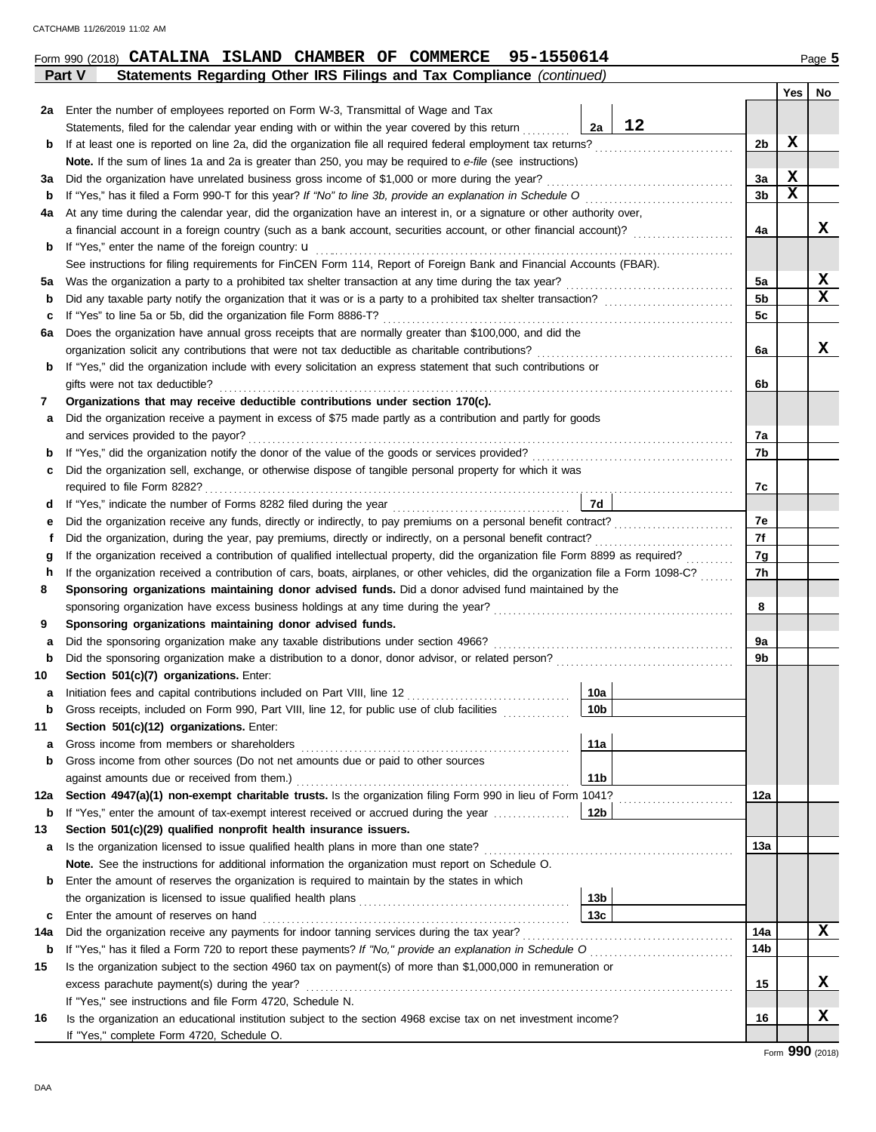| za  | Enter the number of employees reported on Form W-3, Transmittal of Wage and Tax                                                    |                 |    |                 |             |    |
|-----|------------------------------------------------------------------------------------------------------------------------------------|-----------------|----|-----------------|-------------|----|
|     | Statements, filed for the calendar year ending with or within the year covered by this return                                      | 2a              | 12 |                 |             |    |
| b   | If at least one is reported on line 2a, did the organization file all required federal employment tax returns?                     |                 |    | 2b              | X           |    |
|     | Note. If the sum of lines 1a and 2a is greater than 250, you may be required to e-file (see instructions)                          |                 |    |                 |             |    |
| За  | Did the organization have unrelated business gross income of \$1,000 or more during the year?                                      |                 |    | За              | X           |    |
| b   |                                                                                                                                    |                 |    | 3 <sub>b</sub>  | $\mathbf x$ |    |
| 4a  | At any time during the calendar year, did the organization have an interest in, or a signature or other authority over,            |                 |    |                 |             |    |
|     |                                                                                                                                    |                 |    | 4a              |             | x  |
| b   | If "Yes," enter the name of the foreign country: u                                                                                 |                 |    |                 |             |    |
|     | See instructions for filing requirements for FinCEN Form 114, Report of Foreign Bank and Financial Accounts (FBAR).                |                 |    |                 |             |    |
| 5a  |                                                                                                                                    |                 |    | 5a              |             | X  |
| b   | Did any taxable party notify the organization that it was or is a party to a prohibited tax shelter transaction?                   |                 |    | 5 <sub>b</sub>  |             | X  |
| c   | If "Yes" to line 5a or 5b, did the organization file Form 8886-T?                                                                  |                 |    | 5 <sub>c</sub>  |             |    |
| 6а  | Does the organization have annual gross receipts that are normally greater than \$100,000, and did the                             |                 |    |                 |             |    |
|     |                                                                                                                                    |                 |    | 6a              |             | x  |
| b   | If "Yes," did the organization include with every solicitation an express statement that such contributions or                     |                 |    |                 |             |    |
|     | gifts were not tax deductible?                                                                                                     |                 |    | 6b              |             |    |
| 7   | Organizations that may receive deductible contributions under section 170(c).                                                      |                 |    |                 |             |    |
| а   | Did the organization receive a payment in excess of \$75 made partly as a contribution and partly for goods                        |                 |    |                 |             |    |
|     | and services provided to the payor?                                                                                                |                 |    | 7a              |             |    |
| b   |                                                                                                                                    |                 |    | 7b              |             |    |
| c   | Did the organization sell, exchange, or otherwise dispose of tangible personal property for which it was                           |                 |    |                 |             |    |
|     | required to file Form 8282?                                                                                                        |                 |    | 7с              |             |    |
|     | If "Yes," indicate the number of Forms 8282 filed during the year                                                                  | 7d              |    |                 |             |    |
| d   |                                                                                                                                    |                 |    | 7e              |             |    |
| е   |                                                                                                                                    |                 |    | 7f              |             |    |
|     |                                                                                                                                    |                 |    |                 |             |    |
| g   | If the organization received a contribution of cars, boats, airplanes, or other vehicles, did the organization file a Form 1098-C? |                 |    | 7g<br>7h        |             |    |
| h   |                                                                                                                                    |                 |    |                 |             |    |
| 8   | Sponsoring organizations maintaining donor advised funds. Did a donor advised fund maintained by the                               |                 |    |                 |             |    |
|     |                                                                                                                                    |                 |    | 8               |             |    |
| 9   | Sponsoring organizations maintaining donor advised funds.                                                                          |                 |    |                 |             |    |
| а   | Did the sponsoring organization make any taxable distributions under section 4966?                                                 |                 |    | 9a              |             |    |
| b   |                                                                                                                                    |                 |    | 9b              |             |    |
| 10  | Section 501(c)(7) organizations. Enter:                                                                                            |                 |    |                 |             |    |
| a   |                                                                                                                                    | 10a             |    |                 |             |    |
| b   | Gross receipts, included on Form 990, Part VIII, line 12, for public use of club facilities [                                      | 10 <sub>b</sub> |    |                 |             |    |
| 11  | Section 501(c)(12) organizations. Enter:                                                                                           |                 |    |                 |             |    |
| a   | Gross income from members or shareholders                                                                                          | 11a             |    |                 |             |    |
| b   | Gross income from other sources (Do not net amounts due or paid to other sources                                                   |                 |    |                 |             |    |
|     |                                                                                                                                    | 11b             |    |                 |             |    |
| 12a | Section 4947(a)(1) non-exempt charitable trusts. Is the organization filing Form 990 in lieu of Form 1041?                         |                 |    | 12a             |             |    |
| b   | If "Yes," enter the amount of tax-exempt interest received or accrued during the year                                              | 12b             |    |                 |             |    |
| 13  | Section 501(c)(29) qualified nonprofit health insurance issuers.                                                                   |                 |    |                 |             |    |
| а   | Is the organization licensed to issue qualified health plans in more than one state?                                               |                 |    | 13a             |             |    |
|     | Note. See the instructions for additional information the organization must report on Schedule O.                                  |                 |    |                 |             |    |
| b   | Enter the amount of reserves the organization is required to maintain by the states in which                                       |                 |    |                 |             |    |
|     |                                                                                                                                    | 13 <sub>b</sub> |    |                 |             |    |
| c   |                                                                                                                                    | 13c             |    |                 |             |    |
| 14a |                                                                                                                                    |                 |    | 14a             |             | x  |
| b   |                                                                                                                                    |                 |    | 14 <sub>b</sub> |             |    |
| 15  | Is the organization subject to the section 4960 tax on payment(s) of more than \$1,000,000 in remuneration or                      |                 |    |                 |             |    |
|     |                                                                                                                                    |                 |    | 15              |             | X. |
|     |                                                                                                                                    |                 |    |                 |             |    |

**X**

**16**

**Yes No**

|  | Form 990 (2018) <b>CATALINA</b> | ISLAND | <b>CHAMBER OF</b> | COMMERCE . | 95-1550614 | Page $5$ |
|--|---------------------------------|--------|-------------------|------------|------------|----------|
|  |                                 |        |                   |            |            |          |

**2a** Enter the number of employees reported on Form W-3, Transmittal of Wage and Tax

**Part V Statements Regarding Other IRS Filings and Tax Compliance** *(continued)*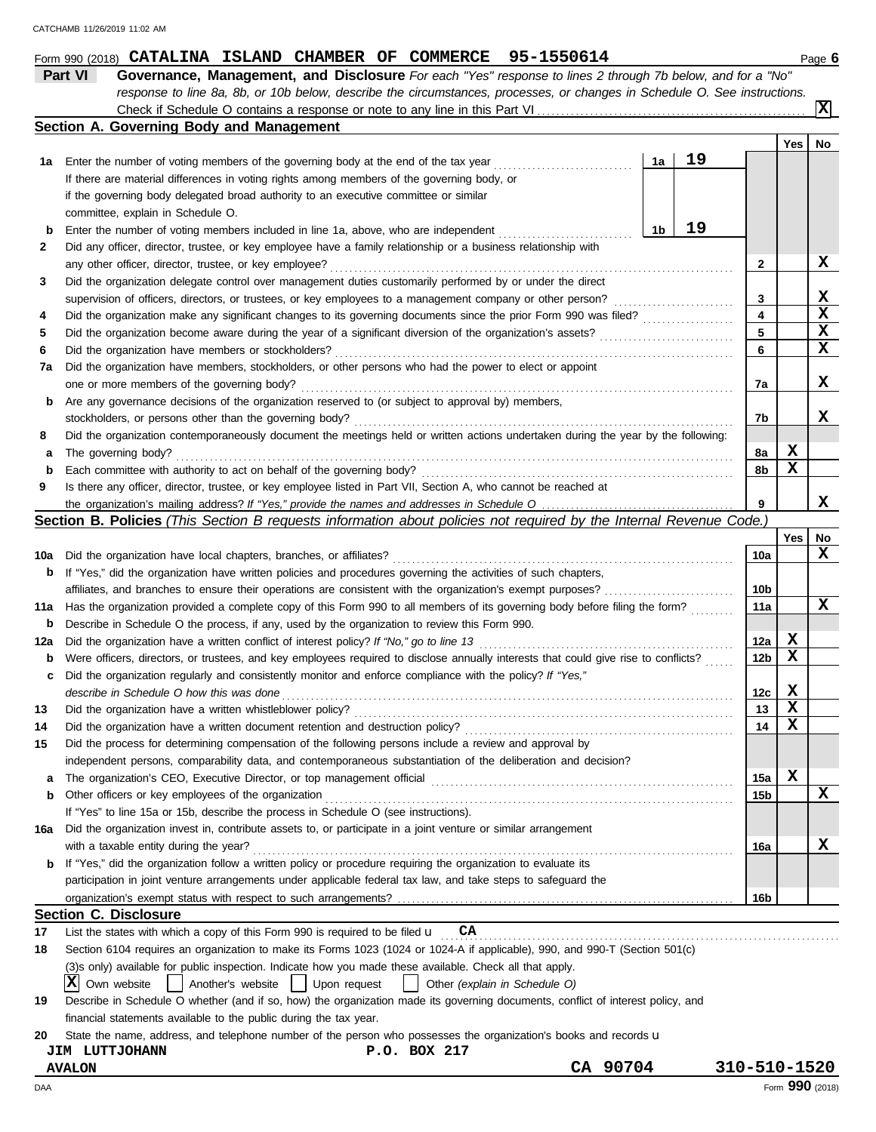|        | response to line 8a, 8b, or 10b below, describe the circumstances, processes, or changes in Schedule O. See instructions.                                                |    |    |                 |                 |    |
|--------|--------------------------------------------------------------------------------------------------------------------------------------------------------------------------|----|----|-----------------|-----------------|----|
|        |                                                                                                                                                                          |    |    |                 |                 | x  |
|        | Section A. Governing Body and Management                                                                                                                                 |    |    |                 |                 |    |
|        |                                                                                                                                                                          |    |    |                 | Yes             | No |
| 1а     | Enter the number of voting members of the governing body at the end of the tax year                                                                                      | 1a | 19 |                 |                 |    |
|        | If there are material differences in voting rights among members of the governing body, or                                                                               |    |    |                 |                 |    |
|        | if the governing body delegated broad authority to an executive committee or similar                                                                                     |    |    |                 |                 |    |
|        | committee, explain in Schedule O.                                                                                                                                        |    | 19 |                 |                 |    |
| b<br>2 | Enter the number of voting members included in line 1a, above, who are independent                                                                                       | 1b |    |                 |                 |    |
|        | Did any officer, director, trustee, or key employee have a family relationship or a business relationship with<br>any other officer, director, trustee, or key employee? |    |    | 2               |                 | X  |
| 3      | Did the organization delegate control over management duties customarily performed by or under the direct                                                                |    |    |                 |                 |    |
|        | supervision of officers, directors, or trustees, or key employees to a management company or other person?                                                               |    |    | 3               |                 | X  |
| 4      | Did the organization make any significant changes to its governing documents since the prior Form 990 was filed?                                                         |    |    | 4               |                 | X  |
| 5      | Did the organization become aware during the year of a significant diversion of the organization's assets?                                                               |    |    | 5               |                 | x  |
| 6      | Did the organization have members or stockholders?                                                                                                                       |    |    | 6               |                 | X  |
| 7a     | Did the organization have members, stockholders, or other persons who had the power to elect or appoint                                                                  |    |    |                 |                 |    |
|        | one or more members of the governing body?                                                                                                                               |    |    | 7a              |                 | X  |
| b      | Are any governance decisions of the organization reserved to (or subject to approval by) members,                                                                        |    |    |                 |                 |    |
|        | stockholders, or persons other than the governing body?                                                                                                                  |    |    | 7b              |                 | x  |
| 8      | Did the organization contemporaneously document the meetings held or written actions undertaken during the year by the following:                                        |    |    |                 |                 |    |
| а      | The governing body?                                                                                                                                                      |    |    | 8a              | X               |    |
| b      | Each committee with authority to act on behalf of the governing body?                                                                                                    |    |    | 8b              | X               |    |
| 9      | Is there any officer, director, trustee, or key employee listed in Part VII, Section A, who cannot be reached at                                                         |    |    |                 |                 |    |
|        |                                                                                                                                                                          |    |    | 9               |                 | x  |
|        | Section B. Policies (This Section B requests information about policies not required by the Internal Revenue Code.)                                                      |    |    |                 |                 |    |
|        |                                                                                                                                                                          |    |    |                 | Yes             | No |
| 10a    | Did the organization have local chapters, branches, or affiliates?                                                                                                       |    |    | 10a             |                 | x  |
| b      | If "Yes," did the organization have written policies and procedures governing the activities of such chapters,                                                           |    |    |                 |                 |    |
|        |                                                                                                                                                                          |    |    | 10 <sub>b</sub> |                 |    |
| 11a    | Has the organization provided a complete copy of this Form 990 to all members of its governing body before filing the form?                                              |    |    | 11a             |                 | x  |
| b      | Describe in Schedule O the process, if any, used by the organization to review this Form 990.                                                                            |    |    |                 |                 |    |
| 12a    | Did the organization have a written conflict of interest policy? If "No," go to line 13                                                                                  |    |    | 12a             | X               |    |
| b      | Were officers, directors, or trustees, and key employees required to disclose annually interests that could give rise to conflicts?                                      |    |    | 12 <sub>b</sub> | х               |    |
| c      | Did the organization regularly and consistently monitor and enforce compliance with the policy? If "Yes,"                                                                |    |    |                 |                 |    |
|        | describe in Schedule O how this was done                                                                                                                                 |    |    | 12c             | X<br>X          |    |
| 13     | Did the organization have a written document retention and destruction policy?                                                                                           |    |    | 13<br>14        | $\mathbf x$     |    |
|        | Did the process for determining compensation of the following persons include a review and approval by                                                                   |    |    |                 |                 |    |
| 15     | independent persons, comparability data, and contemporaneous substantiation of the deliberation and decision?                                                            |    |    |                 |                 |    |
| а      |                                                                                                                                                                          |    |    | 15a             | X               |    |
| b      | Other officers or key employees of the organization                                                                                                                      |    |    | 15b             |                 | X  |
|        | If "Yes" to line 15a or 15b, describe the process in Schedule O (see instructions).                                                                                      |    |    |                 |                 |    |
| 16а    | Did the organization invest in, contribute assets to, or participate in a joint venture or similar arrangement                                                           |    |    |                 |                 |    |
|        | with a taxable entity during the year?                                                                                                                                   |    |    | 16a             |                 | X  |
| b      | If "Yes," did the organization follow a written policy or procedure requiring the organization to evaluate its                                                           |    |    |                 |                 |    |
|        | participation in joint venture arrangements under applicable federal tax law, and take steps to safeguard the                                                            |    |    |                 |                 |    |
|        |                                                                                                                                                                          |    |    | 16b             |                 |    |
|        | <b>Section C. Disclosure</b>                                                                                                                                             |    |    |                 |                 |    |
| 17     | List the states with which a copy of this Form 990 is required to be filed $\mathbf u$<br>CA                                                                             |    |    |                 |                 |    |
| 18     | Section 6104 requires an organization to make its Forms 1023 (1024 or 1024-A if applicable), 990, and 990-T (Section 501(c)                                              |    |    |                 |                 |    |
|        | (3) sonly) available for public inspection. Indicate how you made these available. Check all that apply.                                                                 |    |    |                 |                 |    |
|        | ΙXΙ<br>Own website<br>Another's website<br>Upon request<br>Other (explain in Schedule O)<br>$\perp$                                                                      |    |    |                 |                 |    |
| 19     | Describe in Schedule O whether (and if so, how) the organization made its governing documents, conflict of interest policy, and                                          |    |    |                 |                 |    |
|        | financial statements available to the public during the tax year.                                                                                                        |    |    |                 |                 |    |
| 20     | State the name, address, and telephone number of the person who possesses the organization's books and records u                                                         |    |    |                 |                 |    |
|        | P.O. BOX 217<br><b>JIM LUTTJOHANN</b>                                                                                                                                    |    |    |                 |                 |    |
|        | CA 90704<br><b>AVALON</b>                                                                                                                                                |    |    | 310-510-1520    |                 |    |
| DAA    |                                                                                                                                                                          |    |    |                 | Form 990 (2018) |    |

**Part VI Governance, Management, and Disclosure** *For each "Yes" response to lines 2 through 7b below, and for a "No"*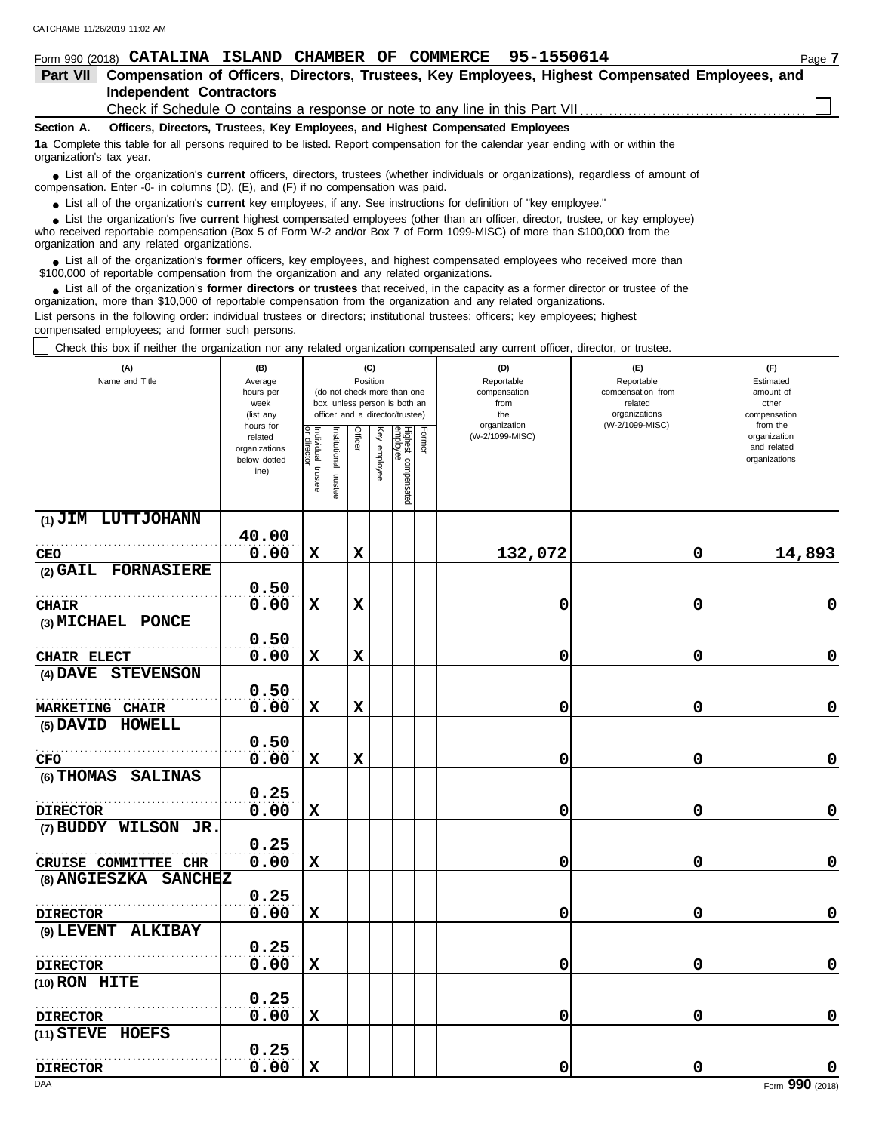| 95-1550614<br>Form 990 (2018) CATALINA ISLAND CHAMBER<br>COMMERCE<br>OF                                                                                                                                                            | Page 7 |  |  |  |  |  |  |  |  |  |
|------------------------------------------------------------------------------------------------------------------------------------------------------------------------------------------------------------------------------------|--------|--|--|--|--|--|--|--|--|--|
| Compensation of Officers, Directors, Trustees, Key Employees, Highest Compensated Employees, and<br><b>Part VII</b>                                                                                                                |        |  |  |  |  |  |  |  |  |  |
| <b>Independent Contractors</b>                                                                                                                                                                                                     |        |  |  |  |  |  |  |  |  |  |
| Check if Schedule O contains a response or note to any line in this Part VII                                                                                                                                                       |        |  |  |  |  |  |  |  |  |  |
| Officers, Directors, Trustees, Key Employees, and Highest Compensated Employees<br>Section A.                                                                                                                                      |        |  |  |  |  |  |  |  |  |  |
| 1a Complete this table for all persons required to be listed. Report compensation for the calendar year ending with or within the<br>organization's tax year.                                                                      |        |  |  |  |  |  |  |  |  |  |
| • List all of the organization's <b>current</b> officers, directors, trustees (whether individuals or organizations), regardless of amount of<br>compensation. Enter -0- in columns (D), (E), and (F) if no compensation was paid. |        |  |  |  |  |  |  |  |  |  |
| • List all of the organization's <b>current</b> key employees, if any. See instructions for definition of "key employee."                                                                                                          |        |  |  |  |  |  |  |  |  |  |
| • List the organization's five current highest compensated employees (other than an officer, director, trustee, or key employee)                                                                                                   |        |  |  |  |  |  |  |  |  |  |

who received reportable compensation (Box 5 of Form W-2 and/or Box 7 of Form 1099-MISC) of more than \$100,000 from the organization and any related organizations. **•**

List all of the organization's **former** officers, key employees, and highest compensated employees who received more than • List all of the organization's **former** officers, key employees, and highest compensate \$100,000 of reportable compensation from the organization and any related organizations.

■ List all of the organization's **former directors or trustees** that received, in the capacity as a former director or trustee of the<br>paization, more than \$10,000 of reportable compensation from the organization and any r organization, more than \$10,000 of reportable compensation from the organization and any related organizations. List persons in the following order: individual trustees or directors; institutional trustees; officers; key employees; highest

compensated employees; and former such persons.

Check this box if neither the organization nor any related organization compensated any current officer, director, or trustee.

| (A)<br>Name and Title                         | (B)<br>Average<br>hours per<br>week<br>(list any               |                                      | (C)<br>Position<br>(do not check more than one<br>box, unless person is both an<br>officer and a director/trustee) |             | (D)<br>Reportable<br>compensation<br>from<br>the<br>organization | (E)<br>Reportable<br>compensation from<br>related<br>organizations<br>(W-2/1099-MISC) | (F)<br>Estimated<br>amount of<br>other<br>compensation<br>from the |                 |   |                                              |
|-----------------------------------------------|----------------------------------------------------------------|--------------------------------------|--------------------------------------------------------------------------------------------------------------------|-------------|------------------------------------------------------------------|---------------------------------------------------------------------------------------|--------------------------------------------------------------------|-----------------|---|----------------------------------------------|
|                                               | hours for<br>related<br>organizations<br>below dotted<br>line) | Individual<br>or director<br>trustee | nstitutional<br>trustee                                                                                            | Officer     | Key employee                                                     | Highest compensated<br>employee                                                       | Former                                                             | (W-2/1099-MISC) |   | organization<br>and related<br>organizations |
| (1) JIM LUTTJOHANN                            |                                                                |                                      |                                                                                                                    |             |                                                                  |                                                                                       |                                                                    |                 |   |                                              |
|                                               | 40.00                                                          |                                      |                                                                                                                    |             |                                                                  |                                                                                       |                                                                    |                 |   |                                              |
| CEO                                           | 0.00                                                           | X                                    |                                                                                                                    | $\mathbf x$ |                                                                  |                                                                                       |                                                                    | 132,072         | 0 | 14,893                                       |
| (2) GAIL FORNASIERE                           |                                                                |                                      |                                                                                                                    |             |                                                                  |                                                                                       |                                                                    |                 |   |                                              |
|                                               | 0.50                                                           |                                      |                                                                                                                    |             |                                                                  |                                                                                       |                                                                    |                 |   |                                              |
| <b>CHAIR</b>                                  | 0.00                                                           | $\mathbf x$                          |                                                                                                                    | $\mathbf x$ |                                                                  |                                                                                       |                                                                    | 0               | 0 | 0                                            |
| (3) MICHAEL PONCE                             | 0.50                                                           |                                      |                                                                                                                    |             |                                                                  |                                                                                       |                                                                    |                 |   |                                              |
|                                               | 0.00                                                           | $\mathbf x$                          |                                                                                                                    | $\mathbf x$ |                                                                  |                                                                                       |                                                                    | 0               | 0 | 0                                            |
| CHAIR ELECT<br><b>STEVENSON</b><br>$(4)$ DAVE |                                                                |                                      |                                                                                                                    |             |                                                                  |                                                                                       |                                                                    |                 |   |                                              |
|                                               | 0.50                                                           |                                      |                                                                                                                    |             |                                                                  |                                                                                       |                                                                    |                 |   |                                              |
| <b>MARKETING CHAIR</b>                        | 0.00                                                           | $\mathbf x$                          |                                                                                                                    | $\mathbf x$ |                                                                  |                                                                                       |                                                                    | 0               | 0 | 0                                            |
| (5) DAVID HOWELL                              |                                                                |                                      |                                                                                                                    |             |                                                                  |                                                                                       |                                                                    |                 |   |                                              |
|                                               | 0.50                                                           |                                      |                                                                                                                    |             |                                                                  |                                                                                       |                                                                    |                 |   |                                              |
| <b>CFO</b>                                    | 0.00                                                           | X                                    |                                                                                                                    | X           |                                                                  |                                                                                       |                                                                    | 0               | 0 | 0                                            |
| (6) THOMAS SALINAS                            |                                                                |                                      |                                                                                                                    |             |                                                                  |                                                                                       |                                                                    |                 |   |                                              |
|                                               | 0.25                                                           |                                      |                                                                                                                    |             |                                                                  |                                                                                       |                                                                    |                 |   |                                              |
| <b>DIRECTOR</b>                               | 0.00                                                           | X                                    |                                                                                                                    |             |                                                                  |                                                                                       |                                                                    | 0               | 0 | $\mathbf 0$                                  |
| (7) BUDDY WILSON JR.                          |                                                                |                                      |                                                                                                                    |             |                                                                  |                                                                                       |                                                                    |                 |   |                                              |
|                                               | 0.25                                                           |                                      |                                                                                                                    |             |                                                                  |                                                                                       |                                                                    |                 |   |                                              |
| CRUISE COMMITTEE CHR                          | 0.00                                                           | X                                    |                                                                                                                    |             |                                                                  |                                                                                       |                                                                    | 0               | 0 | 0                                            |
| (8) ANGIESZKA SANCHEZ                         |                                                                |                                      |                                                                                                                    |             |                                                                  |                                                                                       |                                                                    |                 |   |                                              |
|                                               | 0.25                                                           |                                      |                                                                                                                    |             |                                                                  |                                                                                       |                                                                    |                 |   |                                              |
| <b>DIRECTOR</b>                               | 0.00                                                           | $\mathbf x$                          |                                                                                                                    |             |                                                                  |                                                                                       |                                                                    | 0               | 0 | $\mathbf 0$                                  |
| (9) LEVENT ALKIBAY                            |                                                                |                                      |                                                                                                                    |             |                                                                  |                                                                                       |                                                                    |                 |   |                                              |
|                                               | 0.25                                                           |                                      |                                                                                                                    |             |                                                                  |                                                                                       |                                                                    |                 |   |                                              |
| <b>DIRECTOR</b>                               | 0.00                                                           | $\mathbf x$                          |                                                                                                                    |             |                                                                  |                                                                                       |                                                                    | 0               | 0 | 0                                            |
| $(10)$ RON HITE                               |                                                                |                                      |                                                                                                                    |             |                                                                  |                                                                                       |                                                                    |                 |   |                                              |
|                                               | 0.25                                                           |                                      |                                                                                                                    |             |                                                                  |                                                                                       |                                                                    |                 |   |                                              |
| <b>DIRECTOR</b>                               | 0.00                                                           | X                                    |                                                                                                                    |             |                                                                  |                                                                                       |                                                                    | 0               | 0 | $\mathbf 0$                                  |
| (11) STEVE HOEFS                              |                                                                |                                      |                                                                                                                    |             |                                                                  |                                                                                       |                                                                    |                 |   |                                              |
|                                               | 0.25                                                           |                                      |                                                                                                                    |             |                                                                  |                                                                                       |                                                                    |                 |   |                                              |
| <b>DIRECTOR</b>                               | 0.00                                                           | $\mathbf x$                          |                                                                                                                    |             |                                                                  |                                                                                       |                                                                    | 0               | 0 | 0                                            |
| DAA                                           |                                                                |                                      |                                                                                                                    |             |                                                                  |                                                                                       |                                                                    |                 |   | Form 990 (2018)                              |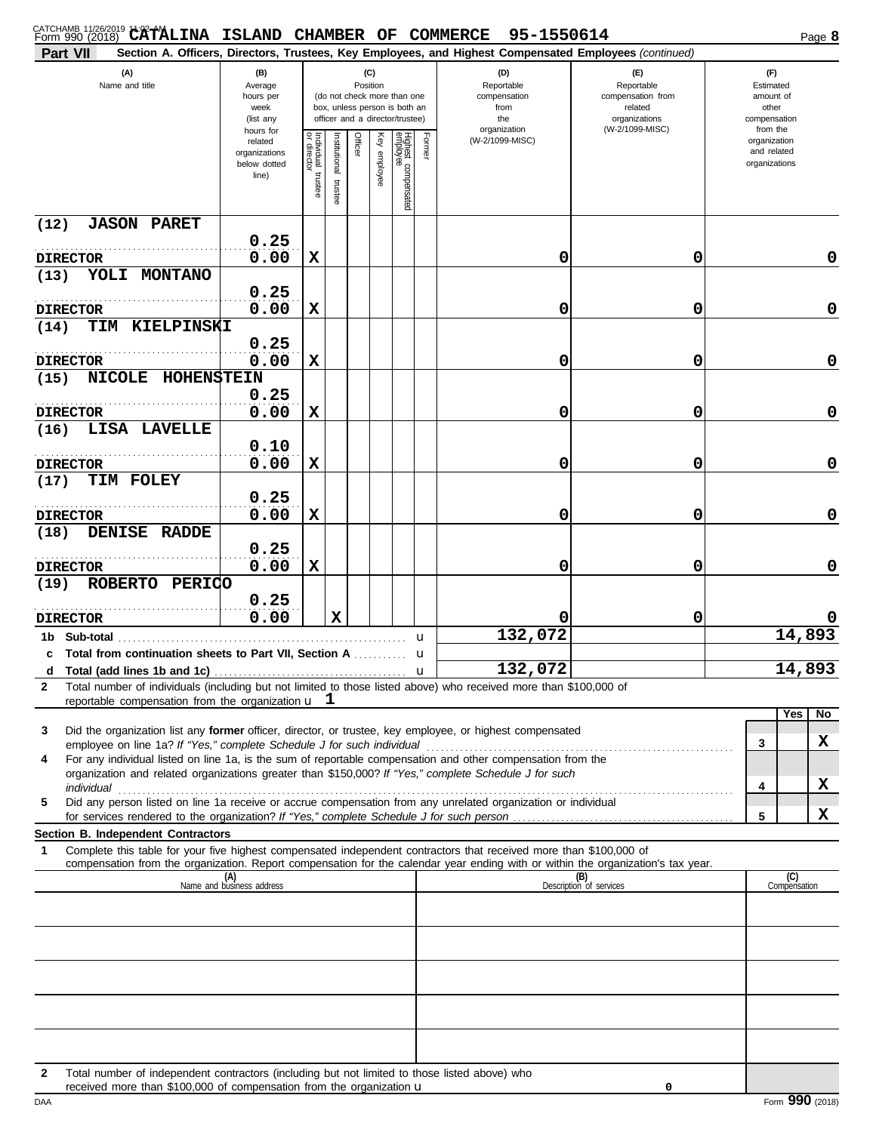| CATCHAMB 11/26/2019 11:02 PALINA ISLAND CHAMBER OF COMMERCE 95-1550614<br>Part VII                                                                                                                                                                           |                                                                |                                      |                         |          |              |                                                                                                 |                                                  | Section A. Officers, Directors, Trustees, Key Employees, and Highest Compensated Employees (continued) |                                                                    |  |                                                          | Page 8              |
|--------------------------------------------------------------------------------------------------------------------------------------------------------------------------------------------------------------------------------------------------------------|----------------------------------------------------------------|--------------------------------------|-------------------------|----------|--------------|-------------------------------------------------------------------------------------------------|--------------------------------------------------|--------------------------------------------------------------------------------------------------------|--------------------------------------------------------------------|--|----------------------------------------------------------|---------------------|
| (A)<br>Name and title                                                                                                                                                                                                                                        | (B)<br>Average<br>hours per<br>week<br>(list any               |                                      |                         | Position | (C)          | (do not check more than one<br>box, unless person is both an<br>officer and a director/trustee) | (D)<br>Reportable<br>compensation<br>from<br>the |                                                                                                        | (E)<br>Reportable<br>compensation from<br>related<br>organizations |  | (F)<br>Estimated<br>amount of<br>other<br>compensation   |                     |
|                                                                                                                                                                                                                                                              | hours for<br>related<br>organizations<br>below dotted<br>line) | Individual<br>or director<br>trustee | nstitutional<br>trustee | Officer  | Key employee | Highest compensated<br>employee                                                                 | Former                                           | organization<br>(W-2/1099-MISC)                                                                        | (W-2/1099-MISC)                                                    |  | from the<br>organization<br>and related<br>organizations |                     |
| <b>JASON PARET</b><br>(12)                                                                                                                                                                                                                                   | 0.25                                                           |                                      |                         |          |              |                                                                                                 |                                                  |                                                                                                        |                                                                    |  |                                                          |                     |
| <b>DIRECTOR</b>                                                                                                                                                                                                                                              | 0.00                                                           | X                                    |                         |          |              |                                                                                                 |                                                  | 0                                                                                                      | 0                                                                  |  |                                                          | 0                   |
| YOLI MONTANO<br>(13)                                                                                                                                                                                                                                         | 0.25                                                           |                                      |                         |          |              |                                                                                                 |                                                  |                                                                                                        |                                                                    |  |                                                          |                     |
| <b>DIRECTOR</b><br><b>TIM KIELPINSKI</b><br>(14)                                                                                                                                                                                                             | 0.00                                                           | X                                    |                         |          |              |                                                                                                 |                                                  | 0                                                                                                      | 0                                                                  |  |                                                          | $\mathbf 0$         |
|                                                                                                                                                                                                                                                              | 0.25<br>0.00                                                   | X                                    |                         |          |              |                                                                                                 |                                                  | 0                                                                                                      | 0                                                                  |  |                                                          | $\mathbf 0$         |
| <b>DIRECTOR</b><br><b>HOHENSTEIN</b><br><b>NICOLE</b><br>(15)                                                                                                                                                                                                |                                                                |                                      |                         |          |              |                                                                                                 |                                                  |                                                                                                        |                                                                    |  |                                                          |                     |
| <b>DIRECTOR</b>                                                                                                                                                                                                                                              | 0.25<br>0.00                                                   | x                                    |                         |          |              |                                                                                                 |                                                  | 0                                                                                                      | 0                                                                  |  |                                                          | $\mathbf 0$         |
| LISA LAVELLE<br>(16)                                                                                                                                                                                                                                         |                                                                |                                      |                         |          |              |                                                                                                 |                                                  |                                                                                                        |                                                                    |  |                                                          |                     |
| <b>DIRECTOR</b>                                                                                                                                                                                                                                              | 0.10<br>0.00                                                   | x                                    |                         |          |              |                                                                                                 |                                                  | 0                                                                                                      | 0                                                                  |  |                                                          | $\mathbf 0$         |
| TIM FOLEY<br>(17)                                                                                                                                                                                                                                            | 0.25                                                           |                                      |                         |          |              |                                                                                                 |                                                  |                                                                                                        |                                                                    |  |                                                          |                     |
| <b>DIRECTOR</b>                                                                                                                                                                                                                                              | 0.00                                                           | x                                    |                         |          |              |                                                                                                 |                                                  | 0                                                                                                      | 0                                                                  |  |                                                          | 0                   |
| DENISE RADDE<br>(18)                                                                                                                                                                                                                                         | 0.25                                                           |                                      |                         |          |              |                                                                                                 |                                                  |                                                                                                        |                                                                    |  |                                                          |                     |
| <b>DIRECTOR</b><br><b>PERICO</b><br><b>ROBERTO</b><br>(19)                                                                                                                                                                                                   | 0.00                                                           | X                                    |                         |          |              |                                                                                                 |                                                  | 0                                                                                                      | 0                                                                  |  |                                                          | 0                   |
| <b>DIRECTOR</b>                                                                                                                                                                                                                                              | 0.25<br>0.00                                                   |                                      | X                       |          |              |                                                                                                 |                                                  | 0                                                                                                      | 0                                                                  |  |                                                          |                     |
| 1b Sub-total                                                                                                                                                                                                                                                 |                                                                |                                      |                         |          |              |                                                                                                 | u                                                | 132,072                                                                                                |                                                                    |  |                                                          | 14,893              |
| <b>c</b> Total from continuation sheets to Part VII, Section A<br>d                                                                                                                                                                                          |                                                                |                                      |                         |          |              |                                                                                                 | u                                                | 132,072                                                                                                |                                                                    |  |                                                          | 14,893              |
| Total number of individuals (including but not limited to those listed above) who received more than \$100,000 of<br>2<br>reportable compensation from the organization $\mathbf{u}$ $\mathbf{1}$                                                            |                                                                |                                      |                         |          |              |                                                                                                 |                                                  |                                                                                                        |                                                                    |  |                                                          |                     |
| Did the organization list any former officer, director, or trustee, key employee, or highest compensated<br>3                                                                                                                                                |                                                                |                                      |                         |          |              |                                                                                                 |                                                  |                                                                                                        |                                                                    |  |                                                          | Yes<br>No           |
| For any individual listed on line 1a, is the sum of reportable compensation and other compensation from the<br>4                                                                                                                                             |                                                                |                                      |                         |          |              |                                                                                                 |                                                  |                                                                                                        |                                                                    |  | 3                                                        | x                   |
| organization and related organizations greater than \$150,000? If "Yes," complete Schedule J for such<br>individual                                                                                                                                          |                                                                |                                      |                         |          |              |                                                                                                 |                                                  |                                                                                                        |                                                                    |  | 4                                                        | X                   |
| Did any person listed on line 1a receive or accrue compensation from any unrelated organization or individual<br>5                                                                                                                                           |                                                                |                                      |                         |          |              |                                                                                                 |                                                  |                                                                                                        |                                                                    |  | 5                                                        | X                   |
| Section B. Independent Contractors                                                                                                                                                                                                                           |                                                                |                                      |                         |          |              |                                                                                                 |                                                  |                                                                                                        |                                                                    |  |                                                          |                     |
| Complete this table for your five highest compensated independent contractors that received more than \$100,000 of<br>-1<br>compensation from the organization. Report compensation for the calendar year ending with or within the organization's tax year. |                                                                |                                      |                         |          |              |                                                                                                 |                                                  |                                                                                                        |                                                                    |  |                                                          |                     |
|                                                                                                                                                                                                                                                              | (A)<br>Name and business address                               |                                      |                         |          |              |                                                                                                 | (B)<br>Description of services                   |                                                                                                        |                                                                    |  |                                                          | (C)<br>Compensation |
|                                                                                                                                                                                                                                                              |                                                                |                                      |                         |          |              |                                                                                                 |                                                  |                                                                                                        |                                                                    |  |                                                          |                     |
|                                                                                                                                                                                                                                                              |                                                                |                                      |                         |          |              |                                                                                                 |                                                  |                                                                                                        |                                                                    |  |                                                          |                     |
|                                                                                                                                                                                                                                                              |                                                                |                                      |                         |          |              |                                                                                                 |                                                  |                                                                                                        |                                                                    |  |                                                          |                     |
|                                                                                                                                                                                                                                                              |                                                                |                                      |                         |          |              |                                                                                                 |                                                  |                                                                                                        |                                                                    |  |                                                          |                     |
|                                                                                                                                                                                                                                                              |                                                                |                                      |                         |          |              |                                                                                                 |                                                  |                                                                                                        |                                                                    |  |                                                          |                     |
|                                                                                                                                                                                                                                                              |                                                                |                                      |                         |          |              |                                                                                                 |                                                  |                                                                                                        |                                                                    |  |                                                          |                     |
| Total number of independent contractors (including but not limited to those listed above) who<br>2<br>received more than \$100,000 of compensation from the organization u                                                                                   |                                                                |                                      |                         |          |              |                                                                                                 |                                                  |                                                                                                        | 0                                                                  |  |                                                          |                     |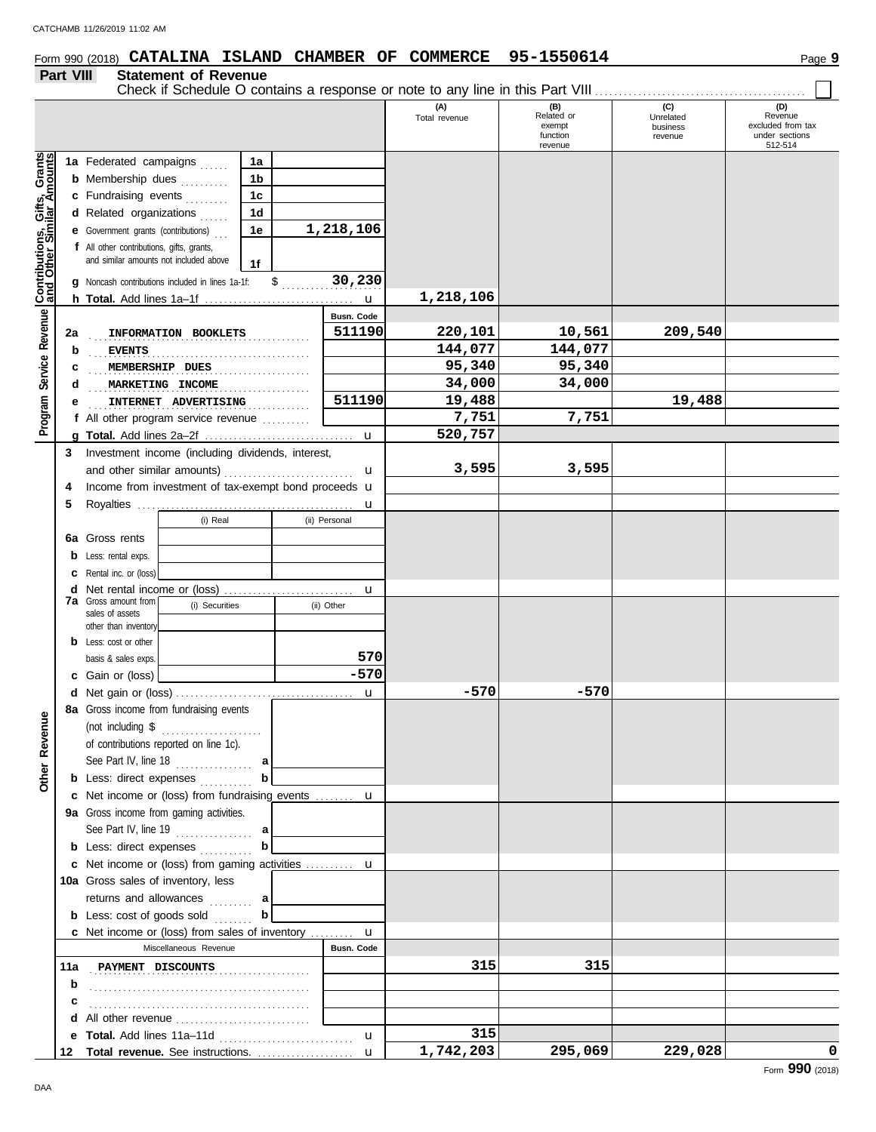# **Form 990 (2018) CATALINA ISLAND CHAMBER OF COMMERCE 95-1550614** Page 9

### **Part VIII Statement of Revenue**

|                              |     |                                                            |                |                   | (A)<br>Total revenue | (B)<br>Related or<br>exempt<br>function<br>revenue | (C)<br>Unrelated<br>business<br>revenue | (D)<br>Revenue<br>excluded from tax<br>under sections<br>512-514 |
|------------------------------|-----|------------------------------------------------------------|----------------|-------------------|----------------------|----------------------------------------------------|-----------------------------------------|------------------------------------------------------------------|
|                              |     | 1a Federated campaigns                                     | 1a             |                   |                      |                                                    |                                         |                                                                  |
|                              |     | <b>b</b> Membership dues                                   | 1b             |                   |                      |                                                    |                                         |                                                                  |
|                              |     | c Fundraising events                                       | 1 <sub>c</sub> |                   |                      |                                                    |                                         |                                                                  |
|                              |     | d Related organizations                                    | 1d             |                   |                      |                                                    |                                         |                                                                  |
|                              |     | <b>e</b> Government grants (contributions)                 | 1e             | 1,218,106         |                      |                                                    |                                         |                                                                  |
|                              |     | f All other contributions, gifts, grants,                  |                |                   |                      |                                                    |                                         |                                                                  |
|                              |     | and similar amounts not included above                     | 1f             |                   |                      |                                                    |                                         |                                                                  |
| Contributions, Gifts, Grants |     | <b>q</b> Noncash contributions included in lines 1a-1f:    | $\frac{1}{2}$  | 30,230            |                      |                                                    |                                         |                                                                  |
|                              |     |                                                            |                | $\mathbf{u}$      | 1,218,106            |                                                    |                                         |                                                                  |
| Service Revenue              |     |                                                            |                | <b>Busn. Code</b> |                      |                                                    |                                         |                                                                  |
|                              | 2a  | INFORMATION BOOKLETS                                       |                | 511190            | 220,101              | 10,561                                             | 209,540                                 |                                                                  |
|                              | b   | <b>EVENTS</b>                                              |                |                   | 144,077              | 144,077                                            |                                         |                                                                  |
|                              | c   | MEMBERSHIP DUES                                            |                |                   | 95,340               | 95,340                                             |                                         |                                                                  |
|                              | d   | MARKETING INCOME                                           |                |                   | 34,000               | 34,000                                             |                                         |                                                                  |
|                              | е   | INTERNET ADVERTISING                                       |                | 511190            | 19,488               |                                                    | 19,488                                  |                                                                  |
| Program                      |     | f All other program service revenue $\ldots$               |                |                   | 7,751                | 7,751                                              |                                         |                                                                  |
|                              |     |                                                            |                | $\mathbf u$       | 520,757              |                                                    |                                         |                                                                  |
|                              | 3   | Investment income (including dividends, interest,          |                |                   |                      |                                                    |                                         |                                                                  |
|                              |     |                                                            |                | $\mathbf u$       | 3,595                | 3,595                                              |                                         |                                                                  |
|                              | 4   | Income from investment of tax-exempt bond proceeds u       |                |                   |                      |                                                    |                                         |                                                                  |
|                              | 5   |                                                            |                | u                 |                      |                                                    |                                         |                                                                  |
|                              |     | (i) Real                                                   |                | (ii) Personal     |                      |                                                    |                                         |                                                                  |
|                              | 6a  | Gross rents                                                |                |                   |                      |                                                    |                                         |                                                                  |
|                              | b   | Less: rental exps.                                         |                |                   |                      |                                                    |                                         |                                                                  |
|                              | c   | Rental inc. or (loss)                                      |                |                   |                      |                                                    |                                         |                                                                  |
|                              | d   | Net rental income or (loss)<br><b>7a</b> Gross amount from |                | u                 |                      |                                                    |                                         |                                                                  |
|                              |     | (i) Securities<br>sales of assets                          |                | (ii) Other        |                      |                                                    |                                         |                                                                  |
|                              |     | other than inventory                                       |                |                   |                      |                                                    |                                         |                                                                  |
|                              | b   | Less: cost or other                                        |                | 570               |                      |                                                    |                                         |                                                                  |
|                              |     | basis & sales exps.                                        |                | $-570$            |                      |                                                    |                                         |                                                                  |
|                              |     | c Gain or (loss)                                           |                |                   | $-570$               | $-570$                                             |                                         |                                                                  |
|                              |     | 8a Gross income from fundraising events                    |                | $\mathbf{u}$      |                      |                                                    |                                         |                                                                  |
| Φ                            |     |                                                            |                |                   |                      |                                                    |                                         |                                                                  |
|                              |     | of contributions reported on line 1c).                     |                |                   |                      |                                                    |                                         |                                                                  |
|                              |     |                                                            |                |                   |                      |                                                    |                                         |                                                                  |
| Other Revenu                 |     | <b>b</b> Less: direct expenses                             |                |                   |                      |                                                    |                                         |                                                                  |
|                              |     | c Net income or (loss) from fundraising events             |                | u                 |                      |                                                    |                                         |                                                                  |
|                              |     | 9a Gross income from gaming activities.                    |                |                   |                      |                                                    |                                         |                                                                  |
|                              |     | See Part IV, line 19 $\ldots$                              |                |                   |                      |                                                    |                                         |                                                                  |
|                              |     | <b>b</b> Less: direct expenses                             | b              |                   |                      |                                                    |                                         |                                                                  |
|                              |     | <b>c</b> Net income or (loss) from gaming activities       |                | u                 |                      |                                                    |                                         |                                                                  |
|                              |     | 10a Gross sales of inventory, less                         |                |                   |                      |                                                    |                                         |                                                                  |
|                              |     | returns and allowances  a                                  |                |                   |                      |                                                    |                                         |                                                                  |
|                              |     | <b>b</b> Less: cost of goods sold                          | b              |                   |                      |                                                    |                                         |                                                                  |
|                              |     | c Net income or (loss) from sales of inventory             |                | u                 |                      |                                                    |                                         |                                                                  |
|                              |     | Miscellaneous Revenue                                      |                | Busn. Code        |                      |                                                    |                                         |                                                                  |
|                              | 11a | PAYMENT DISCOUNTS                                          |                |                   | 315                  | 315                                                |                                         |                                                                  |
|                              | b   |                                                            |                |                   |                      |                                                    |                                         |                                                                  |
|                              | с   |                                                            |                |                   |                      |                                                    |                                         |                                                                  |
|                              |     | d All other revenue                                        |                |                   |                      |                                                    |                                         |                                                                  |
|                              | е   |                                                            |                | u                 | 315                  |                                                    |                                         |                                                                  |
|                              | 12  | Total revenue. See instructions.                           |                | $\mathbf{u}$      | 1,742,203            | 295,069                                            | 229,028                                 | 0                                                                |

DAA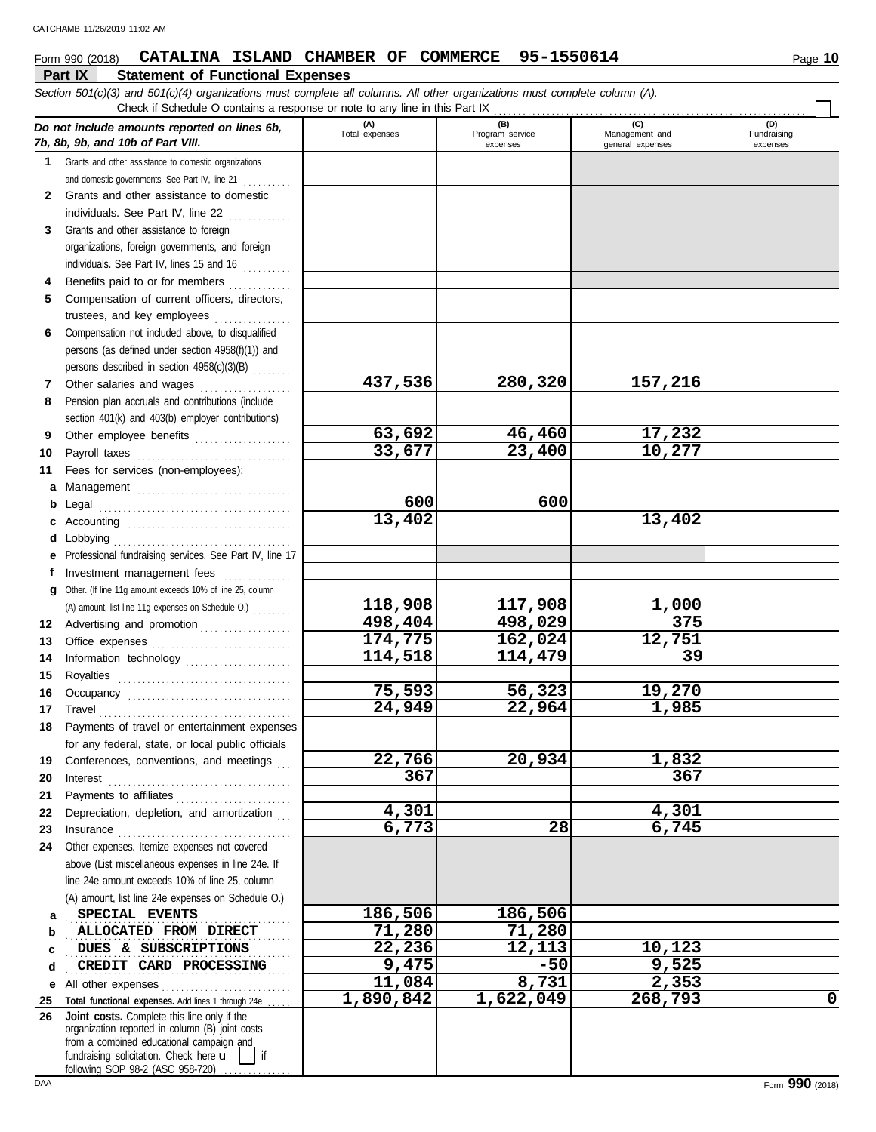# **Form 990 (2018) CATALINA ISLAND CHAMBER OF COMMERCE 95-1550614** Page 10

|              | Part IX<br><b>Statement of Functional Expenses</b>                                                                                                                                                                                                                                                                                                                                                                                                                                                                                  |                       |                        |                       |                    |
|--------------|-------------------------------------------------------------------------------------------------------------------------------------------------------------------------------------------------------------------------------------------------------------------------------------------------------------------------------------------------------------------------------------------------------------------------------------------------------------------------------------------------------------------------------------|-----------------------|------------------------|-----------------------|--------------------|
|              | Section 501(c)(3) and 501(c)(4) organizations must complete all columns. All other organizations must complete column (A).                                                                                                                                                                                                                                                                                                                                                                                                          |                       |                        |                       |                    |
|              | Check if Schedule O contains a response or note to any line in this Part IX                                                                                                                                                                                                                                                                                                                                                                                                                                                         |                       |                        |                       |                    |
|              | Do not include amounts reported on lines 6b,                                                                                                                                                                                                                                                                                                                                                                                                                                                                                        | (A)<br>Total expenses | (B)<br>Program service | (C)<br>Management and | (D)<br>Fundraising |
|              | 7b, 8b, 9b, and 10b of Part VIII.                                                                                                                                                                                                                                                                                                                                                                                                                                                                                                   |                       | expenses               | general expenses      | expenses           |
| 1            | Grants and other assistance to domestic organizations                                                                                                                                                                                                                                                                                                                                                                                                                                                                               |                       |                        |                       |                    |
|              | and domestic governments. See Part IV, line 21                                                                                                                                                                                                                                                                                                                                                                                                                                                                                      |                       |                        |                       |                    |
| $\mathbf{2}$ | Grants and other assistance to domestic                                                                                                                                                                                                                                                                                                                                                                                                                                                                                             |                       |                        |                       |                    |
|              | individuals. See Part IV, line 22                                                                                                                                                                                                                                                                                                                                                                                                                                                                                                   |                       |                        |                       |                    |
| 3            | Grants and other assistance to foreign                                                                                                                                                                                                                                                                                                                                                                                                                                                                                              |                       |                        |                       |                    |
|              | organizations, foreign governments, and foreign                                                                                                                                                                                                                                                                                                                                                                                                                                                                                     |                       |                        |                       |                    |
|              | individuals. See Part IV, lines 15 and 16                                                                                                                                                                                                                                                                                                                                                                                                                                                                                           |                       |                        |                       |                    |
| 4            | Benefits paid to or for members                                                                                                                                                                                                                                                                                                                                                                                                                                                                                                     |                       |                        |                       |                    |
| 5            | Compensation of current officers, directors,                                                                                                                                                                                                                                                                                                                                                                                                                                                                                        |                       |                        |                       |                    |
|              | trustees, and key employees                                                                                                                                                                                                                                                                                                                                                                                                                                                                                                         |                       |                        |                       |                    |
| 6            | Compensation not included above, to disqualified                                                                                                                                                                                                                                                                                                                                                                                                                                                                                    |                       |                        |                       |                    |
|              | persons (as defined under section 4958(f)(1)) and                                                                                                                                                                                                                                                                                                                                                                                                                                                                                   |                       |                        |                       |                    |
|              | persons described in section 4958(c)(3)(B)                                                                                                                                                                                                                                                                                                                                                                                                                                                                                          | $\overline{437,}536$  | 280,320                | $\overline{1}57,216$  |                    |
| 7            | Other salaries and wages                                                                                                                                                                                                                                                                                                                                                                                                                                                                                                            |                       |                        |                       |                    |
| 8            | Pension plan accruals and contributions (include                                                                                                                                                                                                                                                                                                                                                                                                                                                                                    |                       |                        |                       |                    |
|              | section 401(k) and 403(b) employer contributions)                                                                                                                                                                                                                                                                                                                                                                                                                                                                                   | 63,692                | 46,460                 | 17,232                |                    |
| 9            | Other employee benefits                                                                                                                                                                                                                                                                                                                                                                                                                                                                                                             | 33,677                | 23,400                 | 10,277                |                    |
| 10           | Payroll taxes                                                                                                                                                                                                                                                                                                                                                                                                                                                                                                                       |                       |                        |                       |                    |
| 11           | Fees for services (non-employees):                                                                                                                                                                                                                                                                                                                                                                                                                                                                                                  |                       |                        |                       |                    |
| а            | Management                                                                                                                                                                                                                                                                                                                                                                                                                                                                                                                          | 600                   | 600                    |                       |                    |
| b            | Legal                                                                                                                                                                                                                                                                                                                                                                                                                                                                                                                               | 13,402                |                        | 13,402                |                    |
| c            | Lobbying                                                                                                                                                                                                                                                                                                                                                                                                                                                                                                                            |                       |                        |                       |                    |
| d<br>е       | Professional fundraising services. See Part IV, line 17                                                                                                                                                                                                                                                                                                                                                                                                                                                                             |                       |                        |                       |                    |
| f            | Investment management fees                                                                                                                                                                                                                                                                                                                                                                                                                                                                                                          |                       |                        |                       |                    |
| a            | Other. (If line 11g amount exceeds 10% of line 25, column                                                                                                                                                                                                                                                                                                                                                                                                                                                                           |                       |                        |                       |                    |
|              | (A) amount, list line 11g expenses on Schedule O.)                                                                                                                                                                                                                                                                                                                                                                                                                                                                                  | 118,908               | 117,908                | 1,000                 |                    |
| 12           | Advertising and promotion                                                                                                                                                                                                                                                                                                                                                                                                                                                                                                           | 498,404               | 498,029                | 375                   |                    |
| 13           |                                                                                                                                                                                                                                                                                                                                                                                                                                                                                                                                     | 174,775               | 162,024                | 12,751                |                    |
| 14           | Information technology                                                                                                                                                                                                                                                                                                                                                                                                                                                                                                              | 114,518               | 114,479                | 39                    |                    |
| 15           | Royalties                                                                                                                                                                                                                                                                                                                                                                                                                                                                                                                           |                       |                        |                       |                    |
| 16           |                                                                                                                                                                                                                                                                                                                                                                                                                                                                                                                                     | 75,593                | 56,323                 | 19,270                |                    |
|              | 17 Travel                                                                                                                                                                                                                                                                                                                                                                                                                                                                                                                           | 24,949                | 22,964                 | 1,985                 |                    |
|              | 18 Payments of travel or entertainment expenses                                                                                                                                                                                                                                                                                                                                                                                                                                                                                     |                       |                        |                       |                    |
|              | for any federal, state, or local public officials                                                                                                                                                                                                                                                                                                                                                                                                                                                                                   |                       |                        |                       |                    |
| 19           | Conferences, conventions, and meetings                                                                                                                                                                                                                                                                                                                                                                                                                                                                                              | 22,766                | 20,934                 | 1,832                 |                    |
| 20           | $\textbf{Interest} \hspace{2em} \begin{minipage}{1em} \begin{minipage}{1em} \begin{minipage}{1em} \begin{minipage}{1em} \end{minipage} \end{minipage} \end{minipage} \begin{minipage}{1em} \begin{minipage}{1em} \begin{minipage}{1em} \begin{minipage}{1em} \end{minipage} \end{minipage} \end{minipage} \end{minipage} \begin{minipage}{1em} \begin{minipage}{1em} \begin{minipage}{1em} \begin{minipage}{1em} \end{minipage} \end{minipage} \end{minipage} \end{minipage} \begin{minipage}{1em}$                                 | 367                   |                        | 367                   |                    |
| 21           | Payments to affiliates                                                                                                                                                                                                                                                                                                                                                                                                                                                                                                              |                       |                        |                       |                    |
| 22           | Depreciation, depletion, and amortization                                                                                                                                                                                                                                                                                                                                                                                                                                                                                           | 4,301                 |                        | 4,301                 |                    |
| 23           | $In surface \begin{tabular}{@{}l@{}} \hline \multicolumn{3}{c}{\textbf{Insurance}} \\ \hline \multicolumn{3}{c}{\textbf{Insurance}} \\ \hline \multicolumn{3}{c}{\textbf{Insurance}} \\ \hline \multicolumn{3}{c}{\textbf{Insurance}} \\ \hline \multicolumn{3}{c}{\textbf{Insurance}} \\ \hline \multicolumn{3}{c}{\textbf{Insurance}} \\ \hline \multicolumn{3}{c}{\textbf{Insurance}} \\ \hline \multicolumn{3}{c}{\textbf{Insurance}} \\ \hline \multicolumn{3}{c}{\textbf{Insurance}} \\ \hline \multicolumn{3}{c}{\textbf{In$ | 6,773                 | 28                     | 6,745                 |                    |
| 24           | Other expenses. Itemize expenses not covered                                                                                                                                                                                                                                                                                                                                                                                                                                                                                        |                       |                        |                       |                    |
|              | above (List miscellaneous expenses in line 24e. If                                                                                                                                                                                                                                                                                                                                                                                                                                                                                  |                       |                        |                       |                    |
|              | line 24e amount exceeds 10% of line 25, column                                                                                                                                                                                                                                                                                                                                                                                                                                                                                      |                       |                        |                       |                    |
|              | (A) amount, list line 24e expenses on Schedule O.)                                                                                                                                                                                                                                                                                                                                                                                                                                                                                  |                       |                        |                       |                    |
| а            | SPECIAL EVENTS                                                                                                                                                                                                                                                                                                                                                                                                                                                                                                                      | 186,506               | 186,506                |                       |                    |
| b            | ALLOCATED FROM DIRECT                                                                                                                                                                                                                                                                                                                                                                                                                                                                                                               | 71,280                | 71,280                 |                       |                    |
| c            | DUES & SUBSCRIPTIONS                                                                                                                                                                                                                                                                                                                                                                                                                                                                                                                | 22,236                | 12,113                 | 10,123                |                    |
| d            | CREDIT CARD PROCESSING                                                                                                                                                                                                                                                                                                                                                                                                                                                                                                              | 9,475                 | $-50$                  | 9,525                 |                    |
| е            | All other expenses                                                                                                                                                                                                                                                                                                                                                                                                                                                                                                                  | 11,084                | 8,731                  | 2,353                 |                    |
| 25           | Total functional expenses. Add lines 1 through 24e.                                                                                                                                                                                                                                                                                                                                                                                                                                                                                 | 1,890,842             | 1,622,049              | 268,793               | $\mathbf 0$        |
| 26           | Joint costs. Complete this line only if the<br>organization reported in column (B) joint costs                                                                                                                                                                                                                                                                                                                                                                                                                                      |                       |                        |                       |                    |
|              | from a combined educational campaign and                                                                                                                                                                                                                                                                                                                                                                                                                                                                                            |                       |                        |                       |                    |
|              | fundraising solicitation. Check here u<br>if                                                                                                                                                                                                                                                                                                                                                                                                                                                                                        |                       |                        |                       |                    |
|              | following SOP 98-2 (ASC 958-720).                                                                                                                                                                                                                                                                                                                                                                                                                                                                                                   |                       |                        |                       |                    |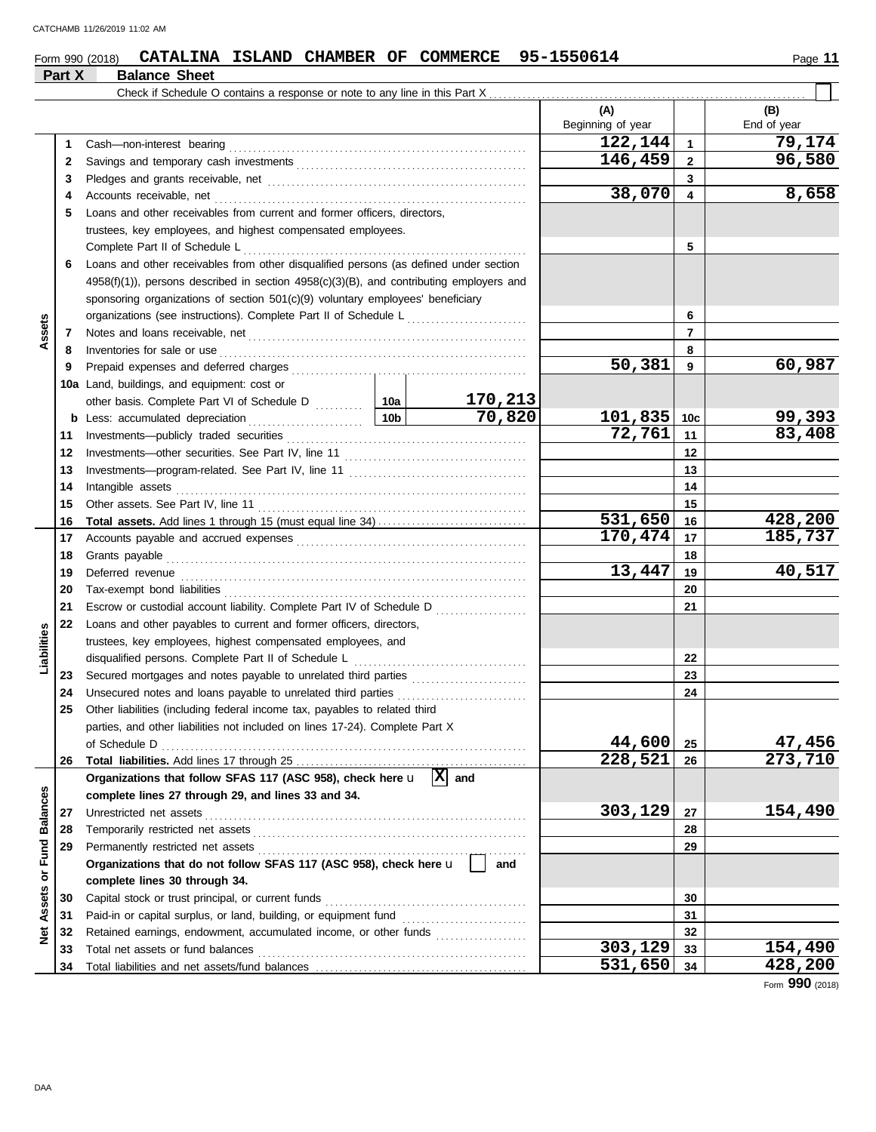|  | Form 990 (2018) | <b>CATALINA</b> |  |  |  |  | ISLAND CHAMBER OF COMMERCE 95-1550614 | Page |
|--|-----------------|-----------------|--|--|--|--|---------------------------------------|------|
|--|-----------------|-----------------|--|--|--|--|---------------------------------------|------|

|                   | Part X   | <b>Balance Sheet</b>                                                                                                                                                                                                                                                         |        |         |                          |                 |                    |
|-------------------|----------|------------------------------------------------------------------------------------------------------------------------------------------------------------------------------------------------------------------------------------------------------------------------------|--------|---------|--------------------------|-----------------|--------------------|
|                   |          |                                                                                                                                                                                                                                                                              |        |         |                          |                 |                    |
|                   |          |                                                                                                                                                                                                                                                                              |        |         | (A)<br>Beginning of year |                 | (B)<br>End of year |
|                   | 1        |                                                                                                                                                                                                                                                                              |        |         | 122,144                  | $\mathbf{1}$    | 79,174             |
|                   | 2        |                                                                                                                                                                                                                                                                              |        |         | 146,459                  | $\mathbf{2}$    | 96,580             |
|                   | 3        |                                                                                                                                                                                                                                                                              |        |         |                          | 3               |                    |
|                   | 4        | Accounts receivable, net                                                                                                                                                                                                                                                     |        |         | 38,070                   | 4               | 8,658              |
|                   | 5        | Loans and other receivables from current and former officers, directors.                                                                                                                                                                                                     |        |         |                          |                 |                    |
|                   |          | trustees, key employees, and highest compensated employees.                                                                                                                                                                                                                  |        |         |                          |                 |                    |
|                   |          | Complete Part II of Schedule L                                                                                                                                                                                                                                               |        |         |                          | 5               |                    |
|                   | 6        | Loans and other receivables from other disqualified persons (as defined under section                                                                                                                                                                                        |        |         |                          |                 |                    |
|                   |          | $4958(f)(1)$ , persons described in section $4958(c)(3)(B)$ , and contributing employers and                                                                                                                                                                                 |        |         |                          |                 |                    |
|                   |          | sponsoring organizations of section 501(c)(9) voluntary employees' beneficiary                                                                                                                                                                                               |        |         |                          |                 |                    |
|                   |          | organizations (see instructions). Complete Part II of Schedule L                                                                                                                                                                                                             |        |         |                          | 6               |                    |
| Assets            | 7        |                                                                                                                                                                                                                                                                              |        |         |                          | $\overline{7}$  |                    |
|                   | 8        | Inventories for sale or use <i>communication</i> and <i>members</i> for sale or use <i>communication</i> and <i>members</i> for sale or use <i>communication</i> and <i>members</i> for sale or use <i>communication</i> and <i>members</i> for sale or use <i>communica</i> |        |         |                          | 8               |                    |
|                   | 9        |                                                                                                                                                                                                                                                                              |        |         | 50,381                   | 9               | 60,987             |
|                   |          | 10a Land, buildings, and equipment: cost or                                                                                                                                                                                                                                  |        |         |                          |                 |                    |
|                   |          |                                                                                                                                                                                                                                                                              |        | 170,213 |                          |                 |                    |
|                   |          | <b>b</b> Less: accumulated depreciation                                                                                                                                                                                                                                      | 10b l  | 70,820  | 101,835                  | 10 <sub>c</sub> | 99,393             |
|                   | 11       |                                                                                                                                                                                                                                                                              |        |         | 72,761                   | 11              | 83,408             |
|                   | 12       |                                                                                                                                                                                                                                                                              |        |         | 12                       |                 |                    |
|                   | 13       |                                                                                                                                                                                                                                                                              |        |         | 13                       |                 |                    |
|                   | 14       | Intangible assets                                                                                                                                                                                                                                                            |        |         |                          | 14              |                    |
|                   | 15       |                                                                                                                                                                                                                                                                              |        |         |                          | 15              |                    |
|                   | 16       |                                                                                                                                                                                                                                                                              |        |         | 531,650                  | 16              | 428,200            |
|                   | 17       |                                                                                                                                                                                                                                                                              |        |         | 170,474                  | 17              | 185,737            |
|                   | 18       | Grants payable                                                                                                                                                                                                                                                               |        | 18      |                          |                 |                    |
|                   | 19       | Deferred revenue                                                                                                                                                                                                                                                             | 13,447 | 19      | 40,517                   |                 |                    |
|                   | 20       |                                                                                                                                                                                                                                                                              |        | 20      |                          |                 |                    |
|                   | 21       | Escrow or custodial account liability. Complete Part IV of Schedule D                                                                                                                                                                                                        |        |         |                          | 21              |                    |
|                   | 22       | Loans and other payables to current and former officers, directors,                                                                                                                                                                                                          |        |         |                          |                 |                    |
|                   |          | trustees, key employees, highest compensated employees, and                                                                                                                                                                                                                  |        |         |                          |                 |                    |
| Liabilities       |          | disqualified persons. Complete Part II of Schedule L                                                                                                                                                                                                                         |        |         |                          | 22              |                    |
|                   | 23       |                                                                                                                                                                                                                                                                              |        |         |                          | 23<br>24        |                    |
|                   | 24<br>25 | Other liabilities (including federal income tax, payables to related third                                                                                                                                                                                                   |        |         |                          |                 |                    |
|                   |          | parties, and other liabilities not included on lines 17-24). Complete Part X                                                                                                                                                                                                 |        |         |                          |                 |                    |
|                   |          | of Schedule D                                                                                                                                                                                                                                                                |        |         | 44,600                   | 25              | 47,456             |
|                   | 26       |                                                                                                                                                                                                                                                                              |        |         | 228,521                  | 26              | 273,710            |
|                   |          | Organizations that follow SFAS 117 (ASC 958), check here $\mathbf{u}$ $ \mathbf{X} $ and                                                                                                                                                                                     |        |         |                          |                 |                    |
|                   |          | complete lines 27 through 29, and lines 33 and 34.                                                                                                                                                                                                                           |        |         |                          |                 |                    |
|                   | 27       | Unrestricted net assets                                                                                                                                                                                                                                                      |        |         | 303,129                  | 27              | 154,490            |
|                   | 28       |                                                                                                                                                                                                                                                                              |        |         |                          | 28              |                    |
|                   | 29       | Permanently restricted net assets                                                                                                                                                                                                                                            |        |         |                          | 29              |                    |
| or Fund Balances  |          | Organizations that do not follow SFAS 117 (ASC 958), check here u                                                                                                                                                                                                            |        | and     |                          |                 |                    |
|                   |          | complete lines 30 through 34.                                                                                                                                                                                                                                                |        |         |                          |                 |                    |
| <b>Net Assets</b> | 30       | Capital stock or trust principal, or current funds                                                                                                                                                                                                                           |        |         |                          | 30              |                    |
|                   | 31       |                                                                                                                                                                                                                                                                              |        |         |                          | 31              |                    |
|                   | 32       | Retained earnings, endowment, accumulated income, or other funds                                                                                                                                                                                                             |        |         |                          | 32              |                    |
|                   | 33       | Total net assets or fund balances                                                                                                                                                                                                                                            |        |         | 303,129                  | 33              | 154,490            |
|                   | 34       |                                                                                                                                                                                                                                                                              |        |         | 531,650                  | 34              | 428,200            |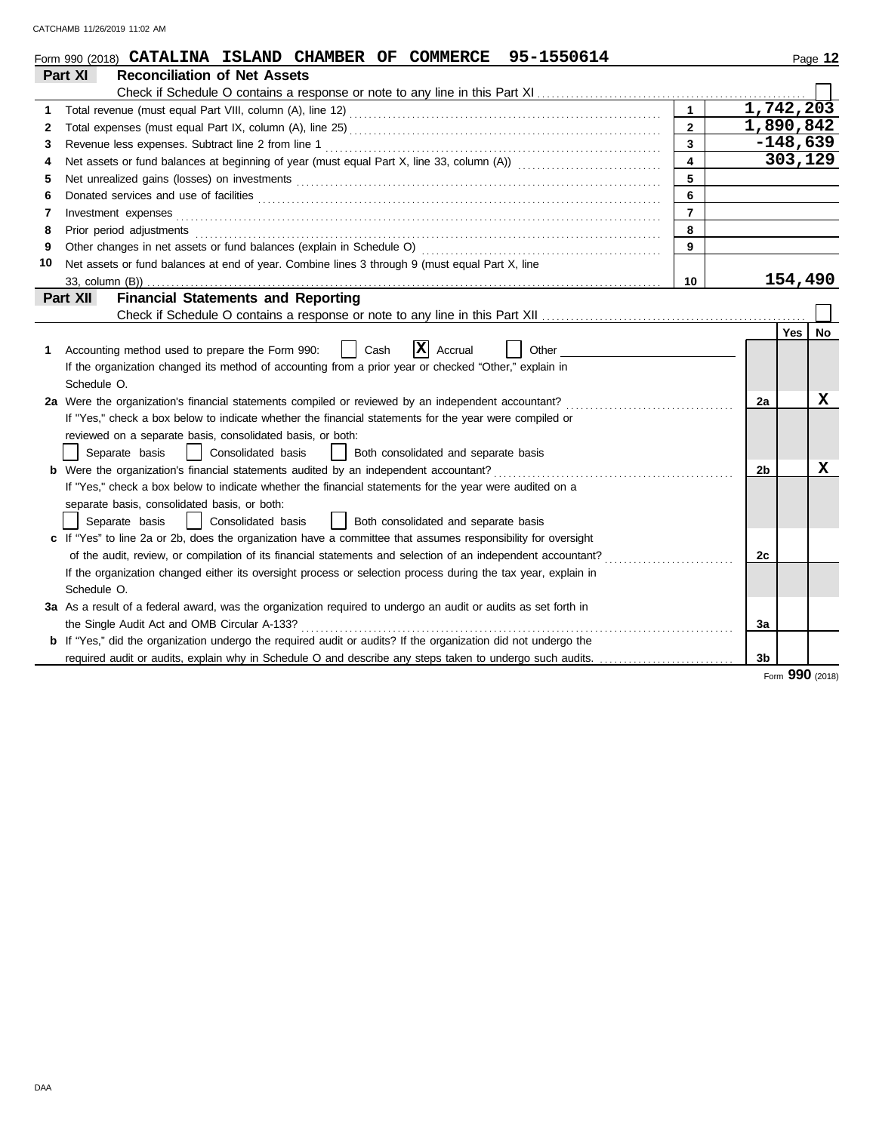|    | Form 990 (2018) CATALINA ISLAND CHAMBER OF COMMERCE 95-1550614                                                                                                                                                                      |                         |                | Page 12          |  |  |  |  |
|----|-------------------------------------------------------------------------------------------------------------------------------------------------------------------------------------------------------------------------------------|-------------------------|----------------|------------------|--|--|--|--|
|    | <b>Reconciliation of Net Assets</b><br>Part XI                                                                                                                                                                                      |                         |                |                  |  |  |  |  |
|    |                                                                                                                                                                                                                                     |                         |                |                  |  |  |  |  |
| 1. |                                                                                                                                                                                                                                     |                         |                | 1,742,203        |  |  |  |  |
| 2  |                                                                                                                                                                                                                                     | $\overline{2}$          |                | 1,890,842        |  |  |  |  |
| 3  | $\overline{\mathbf{3}}$                                                                                                                                                                                                             |                         |                |                  |  |  |  |  |
| 4  |                                                                                                                                                                                                                                     | $\overline{\mathbf{4}}$ |                | 303,129          |  |  |  |  |
| 5  |                                                                                                                                                                                                                                     | 5                       |                |                  |  |  |  |  |
| 6  |                                                                                                                                                                                                                                     | 6                       |                |                  |  |  |  |  |
| 7  | Investment expenses                                                                                                                                                                                                                 | $\overline{7}$          |                |                  |  |  |  |  |
| 8  | Prior period adjustments <b>construction and construction of the construction</b> of the construction of the construction of the construction of the construction of the construction of the construction of the construction of th | 8                       |                |                  |  |  |  |  |
| 9  | Other changes in net assets or fund balances (explain in Schedule O)                                                                                                                                                                | 9                       |                |                  |  |  |  |  |
| 10 | Net assets or fund balances at end of year. Combine lines 3 through 9 (must equal Part X, line                                                                                                                                      |                         |                |                  |  |  |  |  |
|    | 33. column (B))                                                                                                                                                                                                                     | 10                      |                | 154,490          |  |  |  |  |
|    | <b>Financial Statements and Reporting</b><br>Part XII                                                                                                                                                                               |                         |                |                  |  |  |  |  |
|    |                                                                                                                                                                                                                                     |                         |                |                  |  |  |  |  |
|    |                                                                                                                                                                                                                                     |                         |                | No<br><b>Yes</b> |  |  |  |  |
| 1. | X<br>Accounting method used to prepare the Form 990:<br>Cash<br>Accrual<br>Other                                                                                                                                                    |                         |                |                  |  |  |  |  |
|    | If the organization changed its method of accounting from a prior year or checked "Other," explain in                                                                                                                               |                         |                |                  |  |  |  |  |
|    | Schedule O.                                                                                                                                                                                                                         |                         |                |                  |  |  |  |  |
|    | 2a Were the organization's financial statements compiled or reviewed by an independent accountant?                                                                                                                                  |                         | 2a             | x                |  |  |  |  |
|    | If "Yes," check a box below to indicate whether the financial statements for the year were compiled or                                                                                                                              |                         |                |                  |  |  |  |  |
|    | reviewed on a separate basis, consolidated basis, or both:                                                                                                                                                                          |                         |                |                  |  |  |  |  |
|    | Separate basis<br>Consolidated basis<br>Both consolidated and separate basis                                                                                                                                                        |                         |                |                  |  |  |  |  |
|    | <b>b</b> Were the organization's financial statements audited by an independent accountant?                                                                                                                                         |                         | 2b             | х                |  |  |  |  |
|    | If "Yes," check a box below to indicate whether the financial statements for the year were audited on a                                                                                                                             |                         |                |                  |  |  |  |  |
|    | separate basis, consolidated basis, or both:                                                                                                                                                                                        |                         |                |                  |  |  |  |  |
|    | Consolidated basis<br>Both consolidated and separate basis<br>Separate basis                                                                                                                                                        |                         |                |                  |  |  |  |  |
|    | c If "Yes" to line 2a or 2b, does the organization have a committee that assumes responsibility for oversight                                                                                                                       |                         |                |                  |  |  |  |  |
|    | of the audit, review, or compilation of its financial statements and selection of an independent accountant?                                                                                                                        |                         | 2c             |                  |  |  |  |  |
|    | If the organization changed either its oversight process or selection process during the tax year, explain in                                                                                                                       |                         |                |                  |  |  |  |  |
|    | Schedule O.                                                                                                                                                                                                                         |                         |                |                  |  |  |  |  |
|    | 3a As a result of a federal award, was the organization required to undergo an audit or audits as set forth in                                                                                                                      |                         |                |                  |  |  |  |  |
|    | the Single Audit Act and OMB Circular A-133?                                                                                                                                                                                        |                         | 3a             |                  |  |  |  |  |
|    | If "Yes," did the organization undergo the required audit or audits? If the organization did not undergo the                                                                                                                        |                         |                |                  |  |  |  |  |
|    |                                                                                                                                                                                                                                     |                         | 3 <sub>b</sub> |                  |  |  |  |  |

Form **990** (2018)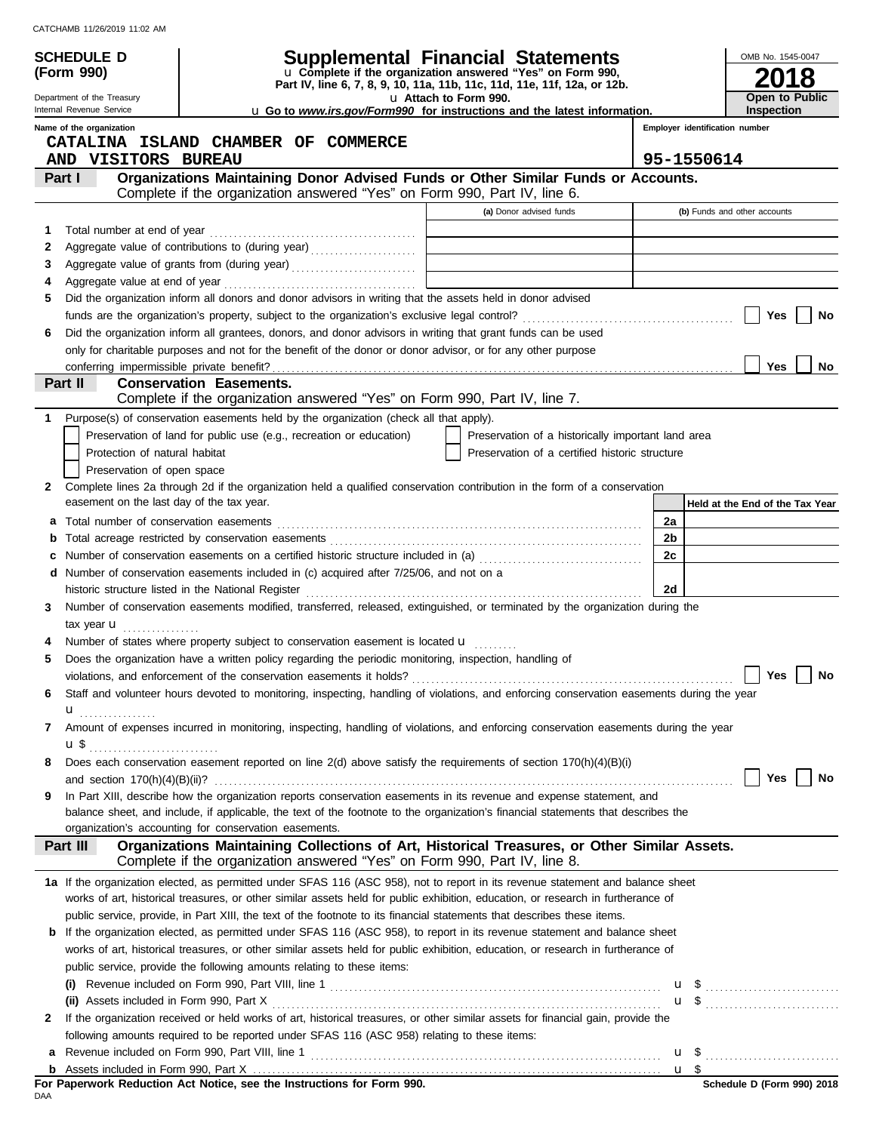| CATCHAMB 11/26/2019 11:02 AM |  |  |
|------------------------------|--|--|
|                              |  |  |

**(Form 990)**

Department of the Treasury Internal Revenue Service

# **SCHEDULE D Supplemental Financial Statements**

**Part IV, line 6, 7, 8, 9, 10, 11a, 11b, 11c, 11d, 11e, 11f, 12a, or 12b.** u **Complete if the organization answered "Yes" on Form 990,**

u **Attach to Form 990.**  u **Go to** *www.irs.gov/Form990* **for instructions and the latest information.**

**Open to Public Inspection**

**2018**

OMB No. 1545-0047

| Name of the organization |  |
|--------------------------|--|

| Employer identification number |  |
|--------------------------------|--|
|                                |  |

|              | CATALINA ISLAND CHAMBER OF COMMERCE                                                                                                                                                        |                                                    |                                 |
|--------------|--------------------------------------------------------------------------------------------------------------------------------------------------------------------------------------------|----------------------------------------------------|---------------------------------|
|              | AND VISITORS BUREAU                                                                                                                                                                        |                                                    | 95-1550614                      |
|              | Organizations Maintaining Donor Advised Funds or Other Similar Funds or Accounts.<br>Part I<br>Complete if the organization answered "Yes" on Form 990, Part IV, line 6.                   |                                                    |                                 |
|              |                                                                                                                                                                                            | (a) Donor advised funds                            | (b) Funds and other accounts    |
| 1            |                                                                                                                                                                                            |                                                    |                                 |
| 2            | Aggregate value of contributions to (during year) [10] Aggregate value of contributions to (during year)                                                                                   |                                                    |                                 |
| 3            |                                                                                                                                                                                            |                                                    |                                 |
|              |                                                                                                                                                                                            |                                                    |                                 |
| 5            | Did the organization inform all donors and donor advisors in writing that the assets held in donor advised                                                                                 |                                                    |                                 |
|              |                                                                                                                                                                                            |                                                    | Yes<br>No                       |
| 6            | Did the organization inform all grantees, donors, and donor advisors in writing that grant funds can be used                                                                               |                                                    |                                 |
|              | only for charitable purposes and not for the benefit of the donor or donor advisor, or for any other purpose                                                                               |                                                    |                                 |
|              |                                                                                                                                                                                            |                                                    | Yes<br>No                       |
|              | <b>Conservation Easements.</b><br>Part II                                                                                                                                                  |                                                    |                                 |
|              | Complete if the organization answered "Yes" on Form 990, Part IV, line 7.                                                                                                                  |                                                    |                                 |
| 1.           | Purpose(s) of conservation easements held by the organization (check all that apply).                                                                                                      |                                                    |                                 |
|              | Preservation of land for public use (e.g., recreation or education)                                                                                                                        | Preservation of a historically important land area |                                 |
|              | Protection of natural habitat                                                                                                                                                              | Preservation of a certified historic structure     |                                 |
|              | Preservation of open space                                                                                                                                                                 |                                                    |                                 |
| 2            | Complete lines 2a through 2d if the organization held a qualified conservation contribution in the form of a conservation                                                                  |                                                    |                                 |
|              | easement on the last day of the tax year.                                                                                                                                                  |                                                    | Held at the End of the Tax Year |
| а            | Total number of conservation easements                                                                                                                                                     |                                                    | 2a                              |
| b            |                                                                                                                                                                                            |                                                    | 2b                              |
| c            | Number of conservation easements on a certified historic structure included in (a) [11] [21] Number of conservation easements on a certified historic structure included in (a)            |                                                    | 2c                              |
| d            | Number of conservation easements included in (c) acquired after 7/25/06, and not on a                                                                                                      |                                                    |                                 |
|              | historic structure listed in the National Register                                                                                                                                         |                                                    | 2d                              |
| 3            | Number of conservation easements modified, transferred, released, extinguished, or terminated by the organization during the                                                               |                                                    |                                 |
|              | tax year $\mathbf u$                                                                                                                                                                       |                                                    |                                 |
|              | Number of states where property subject to conservation easement is located <b>u</b>                                                                                                       |                                                    |                                 |
| 5            | Does the organization have a written policy regarding the periodic monitoring, inspection, handling of                                                                                     |                                                    |                                 |
|              |                                                                                                                                                                                            |                                                    | Yes<br>No                       |
| 6            | Staff and volunteer hours devoted to monitoring, inspecting, handling of violations, and enforcing conservation easements during the year                                                  |                                                    |                                 |
|              | ${\bf u}$ , , , , , , , , , , , , , , , ,                                                                                                                                                  |                                                    |                                 |
| 7            | Amount of expenses incurred in monitoring, inspecting, handling of violations, and enforcing conservation easements during the year                                                        |                                                    |                                 |
|              | u \$                                                                                                                                                                                       |                                                    |                                 |
|              | Does each conservation easement reported on line 2(d) above satisfy the requirements of section 170(h)(4)(B)(i)                                                                            |                                                    |                                 |
|              |                                                                                                                                                                                            |                                                    | Yes $\boxed{\phantom{1}}$ No    |
| 9            | In Part XIII, describe how the organization reports conservation easements in its revenue and expense statement, and                                                                       |                                                    |                                 |
|              | balance sheet, and include, if applicable, the text of the footnote to the organization's financial statements that describes the<br>organization's accounting for conservation easements. |                                                    |                                 |
|              | Organizations Maintaining Collections of Art, Historical Treasures, or Other Similar Assets.<br>Part III                                                                                   |                                                    |                                 |
|              | Complete if the organization answered "Yes" on Form 990, Part IV, line 8.                                                                                                                  |                                                    |                                 |
|              | 1a If the organization elected, as permitted under SFAS 116 (ASC 958), not to report in its revenue statement and balance sheet                                                            |                                                    |                                 |
|              | works of art, historical treasures, or other similar assets held for public exhibition, education, or research in furtherance of                                                           |                                                    |                                 |
|              | public service, provide, in Part XIII, the text of the footnote to its financial statements that describes these items.                                                                    |                                                    |                                 |
| b            | If the organization elected, as permitted under SFAS 116 (ASC 958), to report in its revenue statement and balance sheet                                                                   |                                                    |                                 |
|              | works of art, historical treasures, or other similar assets held for public exhibition, education, or research in furtherance of                                                           |                                                    |                                 |
|              | public service, provide the following amounts relating to these items:                                                                                                                     |                                                    |                                 |
|              |                                                                                                                                                                                            |                                                    | <b>u</b> \$                     |
|              | (ii) Assets included in Form 990, Part X                                                                                                                                                   |                                                    | $\mathbf{u}$ \$                 |
| $\mathbf{2}$ | If the organization received or held works of art, historical treasures, or other similar assets for financial gain, provide the                                                           |                                                    |                                 |
|              | following amounts required to be reported under SFAS 116 (ASC 958) relating to these items:                                                                                                |                                                    |                                 |
| а            |                                                                                                                                                                                            |                                                    |                                 |
| b            |                                                                                                                                                                                            |                                                    |                                 |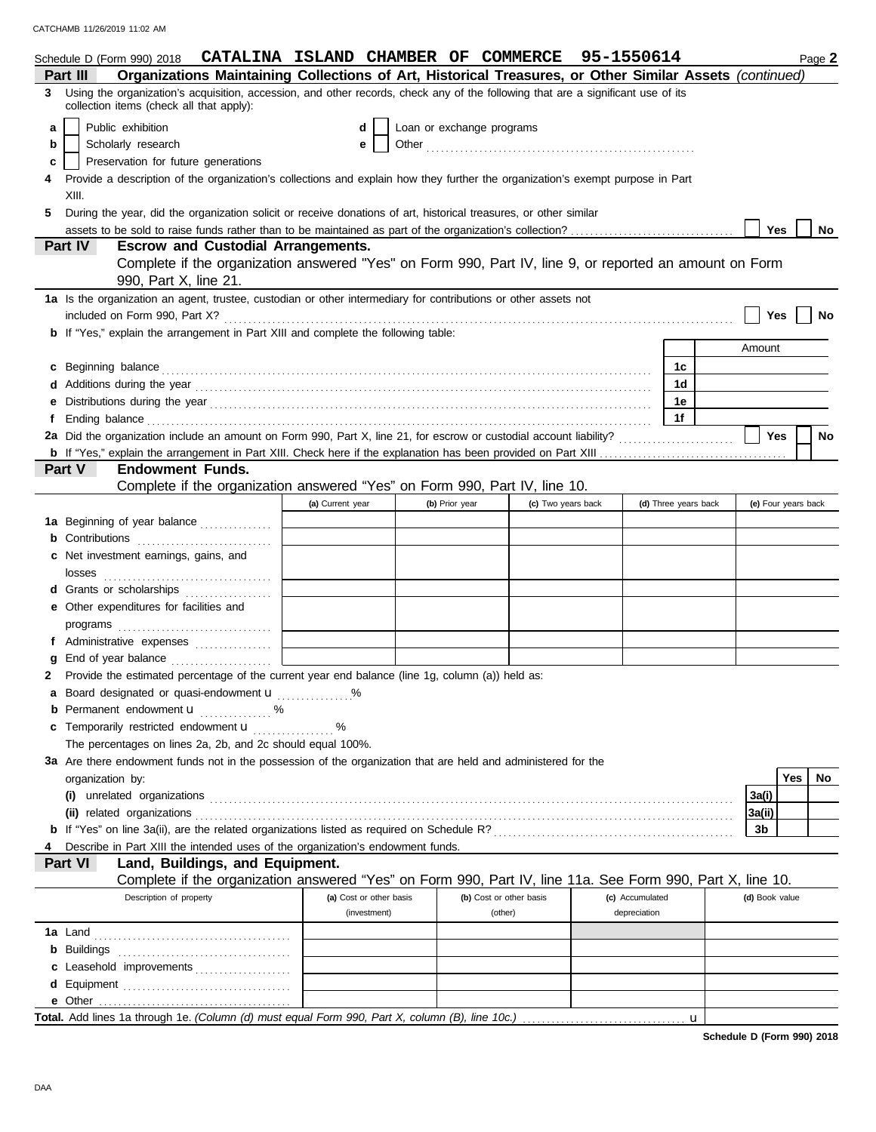|    | Schedule D (Form 990) 2018 CATALINA ISLAND CHAMBER OF COMMERCE                                                                                                                                                                      |                         |                           |                         | 95-1550614      |                      |                | Page 2              |
|----|-------------------------------------------------------------------------------------------------------------------------------------------------------------------------------------------------------------------------------------|-------------------------|---------------------------|-------------------------|-----------------|----------------------|----------------|---------------------|
|    | Organizations Maintaining Collections of Art, Historical Treasures, or Other Similar Assets (continued)<br>Part III                                                                                                                 |                         |                           |                         |                 |                      |                |                     |
| 3. | Using the organization's acquisition, accession, and other records, check any of the following that are a significant use of its<br>collection items (check all that apply):                                                        |                         |                           |                         |                 |                      |                |                     |
| a  | Public exhibition                                                                                                                                                                                                                   | d                       | Loan or exchange programs |                         |                 |                      |                |                     |
| b  | Scholarly research                                                                                                                                                                                                                  | е                       |                           |                         |                 |                      |                |                     |
| c  | Preservation for future generations                                                                                                                                                                                                 |                         |                           |                         |                 |                      |                |                     |
|    | Provide a description of the organization's collections and explain how they further the organization's exempt purpose in Part                                                                                                      |                         |                           |                         |                 |                      |                |                     |
|    | XIII.                                                                                                                                                                                                                               |                         |                           |                         |                 |                      |                |                     |
|    | During the year, did the organization solicit or receive donations of art, historical treasures, or other similar                                                                                                                   |                         |                           |                         |                 |                      |                |                     |
|    |                                                                                                                                                                                                                                     |                         |                           |                         |                 |                      | <b>Yes</b>     | No                  |
|    | Part IV<br><b>Escrow and Custodial Arrangements.</b>                                                                                                                                                                                |                         |                           |                         |                 |                      |                |                     |
|    | Complete if the organization answered "Yes" on Form 990, Part IV, line 9, or reported an amount on Form<br>990, Part X, line 21.                                                                                                    |                         |                           |                         |                 |                      |                |                     |
|    | 1a Is the organization an agent, trustee, custodian or other intermediary for contributions or other assets not                                                                                                                     |                         |                           |                         |                 |                      |                |                     |
|    | included on Form 990, Part X?                                                                                                                                                                                                       |                         |                           |                         |                 |                      | Yes            | No                  |
|    | <b>b</b> If "Yes," explain the arrangement in Part XIII and complete the following table:                                                                                                                                           |                         |                           |                         |                 |                      |                |                     |
|    |                                                                                                                                                                                                                                     |                         |                           |                         |                 |                      | Amount         |                     |
| c  | Beginning balance expressions and the contract of the contract of the contract of the contract of the contract of the contract of the contract of the contract of the contract of the contract of the contract of the contract      |                         |                           |                         |                 | 1c                   |                |                     |
|    |                                                                                                                                                                                                                                     |                         |                           |                         |                 | 1d                   |                |                     |
|    |                                                                                                                                                                                                                                     |                         |                           |                         |                 | 1e                   |                |                     |
| f  | Ending balance <b>constructs</b> and constructs and constructs and constructs and constructs and constructs and constructs and constructs and constructs and constructs and constructs and constructs and constructs and constructs |                         |                           |                         |                 | 1f                   |                |                     |
|    |                                                                                                                                                                                                                                     |                         |                           |                         |                 |                      | Yes            | <b>No</b>           |
|    |                                                                                                                                                                                                                                     |                         |                           |                         |                 |                      |                |                     |
|    | Part V<br><b>Endowment Funds.</b>                                                                                                                                                                                                   |                         |                           |                         |                 |                      |                |                     |
|    | Complete if the organization answered "Yes" on Form 990, Part IV, line 10.                                                                                                                                                          |                         |                           |                         |                 |                      |                |                     |
|    |                                                                                                                                                                                                                                     | (a) Current year        | (b) Prior year            | (c) Two years back      |                 | (d) Three years back |                | (e) Four years back |
|    | 1a Beginning of year balance                                                                                                                                                                                                        |                         |                           |                         |                 |                      |                |                     |
|    | <b>b</b> Contributions <b>contributions</b>                                                                                                                                                                                         |                         |                           |                         |                 |                      |                |                     |
|    | Net investment earnings, gains, and                                                                                                                                                                                                 |                         |                           |                         |                 |                      |                |                     |
|    |                                                                                                                                                                                                                                     |                         |                           |                         |                 |                      |                |                     |
|    | d Grants or scholarships <b>contained</b>                                                                                                                                                                                           |                         |                           |                         |                 |                      |                |                     |
|    | e Other expenditures for facilities and                                                                                                                                                                                             |                         |                           |                         |                 |                      |                |                     |
|    |                                                                                                                                                                                                                                     |                         |                           |                         |                 |                      |                |                     |
|    | f Administrative expenses                                                                                                                                                                                                           |                         |                           |                         |                 |                      |                |                     |
|    | End of year balance                                                                                                                                                                                                                 |                         |                           |                         |                 |                      |                |                     |
|    | Provide the estimated percentage of the current year end balance (line 1g, column (a)) held as:                                                                                                                                     |                         |                           |                         |                 |                      |                |                     |
|    | Board designated or quasi-endowment u                                                                                                                                                                                               |                         |                           |                         |                 |                      |                |                     |
|    | <b>b</b> Permanent endowment $\mathbf{u}$ %                                                                                                                                                                                         |                         |                           |                         |                 |                      |                |                     |
|    | Temporarily restricted endowment <b>u</b> %                                                                                                                                                                                         |                         |                           |                         |                 |                      |                |                     |
|    | The percentages on lines 2a, 2b, and 2c should equal 100%.                                                                                                                                                                          |                         |                           |                         |                 |                      |                |                     |
|    | 3a Are there endowment funds not in the possession of the organization that are held and administered for the                                                                                                                       |                         |                           |                         |                 |                      |                |                     |
|    | organization by:                                                                                                                                                                                                                    |                         |                           |                         |                 |                      |                | Yes  <br>No         |
|    |                                                                                                                                                                                                                                     |                         |                           |                         |                 |                      | 3a(i)          |                     |
|    |                                                                                                                                                                                                                                     |                         |                           |                         |                 |                      | 3a(ii)         |                     |
|    |                                                                                                                                                                                                                                     |                         |                           |                         |                 |                      | 3b             |                     |
|    | Describe in Part XIII the intended uses of the organization's endowment funds.                                                                                                                                                      |                         |                           |                         |                 |                      |                |                     |
|    | Part VI<br>Land, Buildings, and Equipment.                                                                                                                                                                                          |                         |                           |                         |                 |                      |                |                     |
|    | Complete if the organization answered "Yes" on Form 990, Part IV, line 11a. See Form 990, Part X, line 10.                                                                                                                          |                         |                           |                         |                 |                      |                |                     |
|    | Description of property                                                                                                                                                                                                             | (a) Cost or other basis |                           | (b) Cost or other basis | (c) Accumulated |                      | (d) Book value |                     |
|    |                                                                                                                                                                                                                                     | (investment)            |                           | (other)                 | depreciation    |                      |                |                     |
|    |                                                                                                                                                                                                                                     |                         |                           |                         |                 |                      |                |                     |
|    | <b>b</b> Buildings                                                                                                                                                                                                                  |                         |                           |                         |                 |                      |                |                     |
|    | c Leasehold improvements                                                                                                                                                                                                            |                         |                           |                         |                 |                      |                |                     |
|    |                                                                                                                                                                                                                                     |                         |                           |                         |                 |                      |                |                     |
|    |                                                                                                                                                                                                                                     |                         |                           |                         |                 |                      |                |                     |
|    |                                                                                                                                                                                                                                     |                         |                           |                         |                 | $\mathbf u$          |                |                     |

**Schedule D (Form 990) 2018**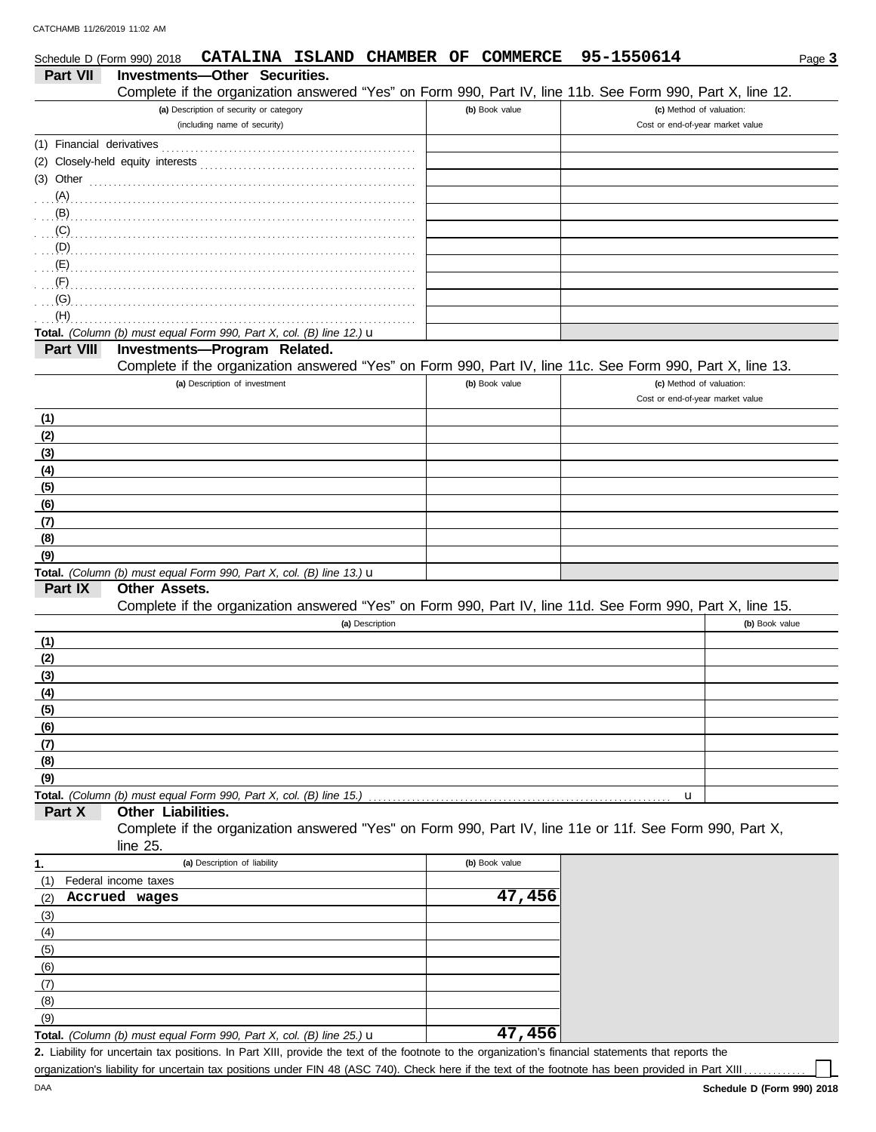| Investments-Other Securities.<br><b>Part VII</b><br>Complete if the organization answered "Yes" on Form 990, Part IV, line 11b. See Form 990, Part X, line 12.<br>(a) Description of security or category<br>(b) Book value<br>(c) Method of valuation:<br>(including name of security)<br>Cost or end-of-year market value<br>$(3)$ Other $\ldots$ $\ldots$ $\ldots$ $\ldots$ $\ldots$ $\ldots$ $\ldots$ $\ldots$ $\ldots$ $\ldots$ $\ldots$<br>$\overline{S}$ (C) $\overline{S}$ . The continuum continuum continuum continuum continuum continuum continuum continuum continuum continuum continuum continuum continuum continuum continuum continuum continuum continuum continuum con<br>$\overline{a}$ (G) $\overline{a}$ . The contract of the contract of the contract of the contract of the contract of the contract of the contract of the contract of the contract of the contract of the contract of the contract of the c<br>(H)<br>Total. (Column (b) must equal Form 990, Part X, col. (B) line 12.) u<br>Investments-Program Related.<br>Part VIII<br>Complete if the organization answered "Yes" on Form 990, Part IV, line 11c. See Form 990, Part X, line 13.<br>(a) Description of investment<br>(b) Book value<br>(c) Method of valuation:<br>Cost or end-of-year market value<br>(1)<br>(2)<br>(3)<br>(4)<br>(5)<br>(6)<br>(7)<br>(8)<br>(9)<br>Total. (Column (b) must equal Form 990, Part X, col. (B) line 13.) u<br>Part IX<br><b>Other Assets.</b><br>Complete if the organization answered "Yes" on Form 990, Part IV, line 11d. See Form 990, Part X, line 15.<br>(b) Book value<br>(a) Description<br>(1)<br>(2)<br>(3)<br>(4)<br>(5)<br>(6)<br>(7)<br>(8)<br>(9)<br>Total. (Column (b) must equal Form 990, Part X, col. (B) line 15.)<br>u<br>Part X<br>Other Liabilities.<br>Complete if the organization answered "Yes" on Form 990, Part IV, line 11e or 11f. See Form 990, Part X,<br>line $25$ .<br>(a) Description of liability<br>(b) Book value<br>1.<br>Federal income taxes<br>(1)<br>47,456<br>Accrued wages<br>(2)<br>(3)<br>(4)<br>(5)<br>(6)<br>(7)<br>(8)<br>(9) | Schedule D (Form 990) 2018 | CATALINA ISLAND CHAMBER OF                                                     | COMMERCE | 95-1550614 | Page 3 |
|------------------------------------------------------------------------------------------------------------------------------------------------------------------------------------------------------------------------------------------------------------------------------------------------------------------------------------------------------------------------------------------------------------------------------------------------------------------------------------------------------------------------------------------------------------------------------------------------------------------------------------------------------------------------------------------------------------------------------------------------------------------------------------------------------------------------------------------------------------------------------------------------------------------------------------------------------------------------------------------------------------------------------------------------------------------------------------------------------------------------------------------------------------------------------------------------------------------------------------------------------------------------------------------------------------------------------------------------------------------------------------------------------------------------------------------------------------------------------------------------------------------------------------------------------------------------------------------------------------------------------------------------------------------------------------------------------------------------------------------------------------------------------------------------------------------------------------------------------------------------------------------------------------------------------------------------------------------------------------------------------------------------------------------------------------------------------------------------------------------|----------------------------|--------------------------------------------------------------------------------|----------|------------|--------|
|                                                                                                                                                                                                                                                                                                                                                                                                                                                                                                                                                                                                                                                                                                                                                                                                                                                                                                                                                                                                                                                                                                                                                                                                                                                                                                                                                                                                                                                                                                                                                                                                                                                                                                                                                                                                                                                                                                                                                                                                                                                                                                                  |                            |                                                                                |          |            |        |
|                                                                                                                                                                                                                                                                                                                                                                                                                                                                                                                                                                                                                                                                                                                                                                                                                                                                                                                                                                                                                                                                                                                                                                                                                                                                                                                                                                                                                                                                                                                                                                                                                                                                                                                                                                                                                                                                                                                                                                                                                                                                                                                  |                            |                                                                                |          |            |        |
|                                                                                                                                                                                                                                                                                                                                                                                                                                                                                                                                                                                                                                                                                                                                                                                                                                                                                                                                                                                                                                                                                                                                                                                                                                                                                                                                                                                                                                                                                                                                                                                                                                                                                                                                                                                                                                                                                                                                                                                                                                                                                                                  |                            |                                                                                |          |            |        |
|                                                                                                                                                                                                                                                                                                                                                                                                                                                                                                                                                                                                                                                                                                                                                                                                                                                                                                                                                                                                                                                                                                                                                                                                                                                                                                                                                                                                                                                                                                                                                                                                                                                                                                                                                                                                                                                                                                                                                                                                                                                                                                                  |                            |                                                                                |          |            |        |
|                                                                                                                                                                                                                                                                                                                                                                                                                                                                                                                                                                                                                                                                                                                                                                                                                                                                                                                                                                                                                                                                                                                                                                                                                                                                                                                                                                                                                                                                                                                                                                                                                                                                                                                                                                                                                                                                                                                                                                                                                                                                                                                  |                            |                                                                                |          |            |        |
|                                                                                                                                                                                                                                                                                                                                                                                                                                                                                                                                                                                                                                                                                                                                                                                                                                                                                                                                                                                                                                                                                                                                                                                                                                                                                                                                                                                                                                                                                                                                                                                                                                                                                                                                                                                                                                                                                                                                                                                                                                                                                                                  |                            |                                                                                |          |            |        |
|                                                                                                                                                                                                                                                                                                                                                                                                                                                                                                                                                                                                                                                                                                                                                                                                                                                                                                                                                                                                                                                                                                                                                                                                                                                                                                                                                                                                                                                                                                                                                                                                                                                                                                                                                                                                                                                                                                                                                                                                                                                                                                                  |                            |                                                                                |          |            |        |
|                                                                                                                                                                                                                                                                                                                                                                                                                                                                                                                                                                                                                                                                                                                                                                                                                                                                                                                                                                                                                                                                                                                                                                                                                                                                                                                                                                                                                                                                                                                                                                                                                                                                                                                                                                                                                                                                                                                                                                                                                                                                                                                  |                            |                                                                                |          |            |        |
|                                                                                                                                                                                                                                                                                                                                                                                                                                                                                                                                                                                                                                                                                                                                                                                                                                                                                                                                                                                                                                                                                                                                                                                                                                                                                                                                                                                                                                                                                                                                                                                                                                                                                                                                                                                                                                                                                                                                                                                                                                                                                                                  |                            |                                                                                |          |            |        |
|                                                                                                                                                                                                                                                                                                                                                                                                                                                                                                                                                                                                                                                                                                                                                                                                                                                                                                                                                                                                                                                                                                                                                                                                                                                                                                                                                                                                                                                                                                                                                                                                                                                                                                                                                                                                                                                                                                                                                                                                                                                                                                                  |                            |                                                                                |          |            |        |
|                                                                                                                                                                                                                                                                                                                                                                                                                                                                                                                                                                                                                                                                                                                                                                                                                                                                                                                                                                                                                                                                                                                                                                                                                                                                                                                                                                                                                                                                                                                                                                                                                                                                                                                                                                                                                                                                                                                                                                                                                                                                                                                  |                            |                                                                                |          |            |        |
|                                                                                                                                                                                                                                                                                                                                                                                                                                                                                                                                                                                                                                                                                                                                                                                                                                                                                                                                                                                                                                                                                                                                                                                                                                                                                                                                                                                                                                                                                                                                                                                                                                                                                                                                                                                                                                                                                                                                                                                                                                                                                                                  |                            |                                                                                |          |            |        |
|                                                                                                                                                                                                                                                                                                                                                                                                                                                                                                                                                                                                                                                                                                                                                                                                                                                                                                                                                                                                                                                                                                                                                                                                                                                                                                                                                                                                                                                                                                                                                                                                                                                                                                                                                                                                                                                                                                                                                                                                                                                                                                                  |                            |                                                                                |          |            |        |
|                                                                                                                                                                                                                                                                                                                                                                                                                                                                                                                                                                                                                                                                                                                                                                                                                                                                                                                                                                                                                                                                                                                                                                                                                                                                                                                                                                                                                                                                                                                                                                                                                                                                                                                                                                                                                                                                                                                                                                                                                                                                                                                  |                            |                                                                                |          |            |        |
|                                                                                                                                                                                                                                                                                                                                                                                                                                                                                                                                                                                                                                                                                                                                                                                                                                                                                                                                                                                                                                                                                                                                                                                                                                                                                                                                                                                                                                                                                                                                                                                                                                                                                                                                                                                                                                                                                                                                                                                                                                                                                                                  |                            |                                                                                |          |            |        |
|                                                                                                                                                                                                                                                                                                                                                                                                                                                                                                                                                                                                                                                                                                                                                                                                                                                                                                                                                                                                                                                                                                                                                                                                                                                                                                                                                                                                                                                                                                                                                                                                                                                                                                                                                                                                                                                                                                                                                                                                                                                                                                                  |                            |                                                                                |          |            |        |
|                                                                                                                                                                                                                                                                                                                                                                                                                                                                                                                                                                                                                                                                                                                                                                                                                                                                                                                                                                                                                                                                                                                                                                                                                                                                                                                                                                                                                                                                                                                                                                                                                                                                                                                                                                                                                                                                                                                                                                                                                                                                                                                  |                            |                                                                                |          |            |        |
|                                                                                                                                                                                                                                                                                                                                                                                                                                                                                                                                                                                                                                                                                                                                                                                                                                                                                                                                                                                                                                                                                                                                                                                                                                                                                                                                                                                                                                                                                                                                                                                                                                                                                                                                                                                                                                                                                                                                                                                                                                                                                                                  |                            |                                                                                |          |            |        |
|                                                                                                                                                                                                                                                                                                                                                                                                                                                                                                                                                                                                                                                                                                                                                                                                                                                                                                                                                                                                                                                                                                                                                                                                                                                                                                                                                                                                                                                                                                                                                                                                                                                                                                                                                                                                                                                                                                                                                                                                                                                                                                                  |                            |                                                                                |          |            |        |
|                                                                                                                                                                                                                                                                                                                                                                                                                                                                                                                                                                                                                                                                                                                                                                                                                                                                                                                                                                                                                                                                                                                                                                                                                                                                                                                                                                                                                                                                                                                                                                                                                                                                                                                                                                                                                                                                                                                                                                                                                                                                                                                  |                            |                                                                                |          |            |        |
|                                                                                                                                                                                                                                                                                                                                                                                                                                                                                                                                                                                                                                                                                                                                                                                                                                                                                                                                                                                                                                                                                                                                                                                                                                                                                                                                                                                                                                                                                                                                                                                                                                                                                                                                                                                                                                                                                                                                                                                                                                                                                                                  |                            |                                                                                |          |            |        |
|                                                                                                                                                                                                                                                                                                                                                                                                                                                                                                                                                                                                                                                                                                                                                                                                                                                                                                                                                                                                                                                                                                                                                                                                                                                                                                                                                                                                                                                                                                                                                                                                                                                                                                                                                                                                                                                                                                                                                                                                                                                                                                                  |                            |                                                                                |          |            |        |
|                                                                                                                                                                                                                                                                                                                                                                                                                                                                                                                                                                                                                                                                                                                                                                                                                                                                                                                                                                                                                                                                                                                                                                                                                                                                                                                                                                                                                                                                                                                                                                                                                                                                                                                                                                                                                                                                                                                                                                                                                                                                                                                  |                            |                                                                                |          |            |        |
|                                                                                                                                                                                                                                                                                                                                                                                                                                                                                                                                                                                                                                                                                                                                                                                                                                                                                                                                                                                                                                                                                                                                                                                                                                                                                                                                                                                                                                                                                                                                                                                                                                                                                                                                                                                                                                                                                                                                                                                                                                                                                                                  |                            |                                                                                |          |            |        |
|                                                                                                                                                                                                                                                                                                                                                                                                                                                                                                                                                                                                                                                                                                                                                                                                                                                                                                                                                                                                                                                                                                                                                                                                                                                                                                                                                                                                                                                                                                                                                                                                                                                                                                                                                                                                                                                                                                                                                                                                                                                                                                                  |                            |                                                                                |          |            |        |
|                                                                                                                                                                                                                                                                                                                                                                                                                                                                                                                                                                                                                                                                                                                                                                                                                                                                                                                                                                                                                                                                                                                                                                                                                                                                                                                                                                                                                                                                                                                                                                                                                                                                                                                                                                                                                                                                                                                                                                                                                                                                                                                  |                            |                                                                                |          |            |        |
|                                                                                                                                                                                                                                                                                                                                                                                                                                                                                                                                                                                                                                                                                                                                                                                                                                                                                                                                                                                                                                                                                                                                                                                                                                                                                                                                                                                                                                                                                                                                                                                                                                                                                                                                                                                                                                                                                                                                                                                                                                                                                                                  |                            |                                                                                |          |            |        |
|                                                                                                                                                                                                                                                                                                                                                                                                                                                                                                                                                                                                                                                                                                                                                                                                                                                                                                                                                                                                                                                                                                                                                                                                                                                                                                                                                                                                                                                                                                                                                                                                                                                                                                                                                                                                                                                                                                                                                                                                                                                                                                                  |                            |                                                                                |          |            |        |
|                                                                                                                                                                                                                                                                                                                                                                                                                                                                                                                                                                                                                                                                                                                                                                                                                                                                                                                                                                                                                                                                                                                                                                                                                                                                                                                                                                                                                                                                                                                                                                                                                                                                                                                                                                                                                                                                                                                                                                                                                                                                                                                  |                            |                                                                                |          |            |        |
|                                                                                                                                                                                                                                                                                                                                                                                                                                                                                                                                                                                                                                                                                                                                                                                                                                                                                                                                                                                                                                                                                                                                                                                                                                                                                                                                                                                                                                                                                                                                                                                                                                                                                                                                                                                                                                                                                                                                                                                                                                                                                                                  |                            |                                                                                |          |            |        |
|                                                                                                                                                                                                                                                                                                                                                                                                                                                                                                                                                                                                                                                                                                                                                                                                                                                                                                                                                                                                                                                                                                                                                                                                                                                                                                                                                                                                                                                                                                                                                                                                                                                                                                                                                                                                                                                                                                                                                                                                                                                                                                                  |                            |                                                                                |          |            |        |
|                                                                                                                                                                                                                                                                                                                                                                                                                                                                                                                                                                                                                                                                                                                                                                                                                                                                                                                                                                                                                                                                                                                                                                                                                                                                                                                                                                                                                                                                                                                                                                                                                                                                                                                                                                                                                                                                                                                                                                                                                                                                                                                  |                            |                                                                                |          |            |        |
|                                                                                                                                                                                                                                                                                                                                                                                                                                                                                                                                                                                                                                                                                                                                                                                                                                                                                                                                                                                                                                                                                                                                                                                                                                                                                                                                                                                                                                                                                                                                                                                                                                                                                                                                                                                                                                                                                                                                                                                                                                                                                                                  |                            |                                                                                |          |            |        |
|                                                                                                                                                                                                                                                                                                                                                                                                                                                                                                                                                                                                                                                                                                                                                                                                                                                                                                                                                                                                                                                                                                                                                                                                                                                                                                                                                                                                                                                                                                                                                                                                                                                                                                                                                                                                                                                                                                                                                                                                                                                                                                                  |                            |                                                                                |          |            |        |
|                                                                                                                                                                                                                                                                                                                                                                                                                                                                                                                                                                                                                                                                                                                                                                                                                                                                                                                                                                                                                                                                                                                                                                                                                                                                                                                                                                                                                                                                                                                                                                                                                                                                                                                                                                                                                                                                                                                                                                                                                                                                                                                  |                            |                                                                                |          |            |        |
|                                                                                                                                                                                                                                                                                                                                                                                                                                                                                                                                                                                                                                                                                                                                                                                                                                                                                                                                                                                                                                                                                                                                                                                                                                                                                                                                                                                                                                                                                                                                                                                                                                                                                                                                                                                                                                                                                                                                                                                                                                                                                                                  |                            |                                                                                |          |            |        |
|                                                                                                                                                                                                                                                                                                                                                                                                                                                                                                                                                                                                                                                                                                                                                                                                                                                                                                                                                                                                                                                                                                                                                                                                                                                                                                                                                                                                                                                                                                                                                                                                                                                                                                                                                                                                                                                                                                                                                                                                                                                                                                                  |                            |                                                                                |          |            |        |
|                                                                                                                                                                                                                                                                                                                                                                                                                                                                                                                                                                                                                                                                                                                                                                                                                                                                                                                                                                                                                                                                                                                                                                                                                                                                                                                                                                                                                                                                                                                                                                                                                                                                                                                                                                                                                                                                                                                                                                                                                                                                                                                  |                            |                                                                                |          |            |        |
|                                                                                                                                                                                                                                                                                                                                                                                                                                                                                                                                                                                                                                                                                                                                                                                                                                                                                                                                                                                                                                                                                                                                                                                                                                                                                                                                                                                                                                                                                                                                                                                                                                                                                                                                                                                                                                                                                                                                                                                                                                                                                                                  |                            |                                                                                |          |            |        |
|                                                                                                                                                                                                                                                                                                                                                                                                                                                                                                                                                                                                                                                                                                                                                                                                                                                                                                                                                                                                                                                                                                                                                                                                                                                                                                                                                                                                                                                                                                                                                                                                                                                                                                                                                                                                                                                                                                                                                                                                                                                                                                                  |                            |                                                                                |          |            |        |
|                                                                                                                                                                                                                                                                                                                                                                                                                                                                                                                                                                                                                                                                                                                                                                                                                                                                                                                                                                                                                                                                                                                                                                                                                                                                                                                                                                                                                                                                                                                                                                                                                                                                                                                                                                                                                                                                                                                                                                                                                                                                                                                  |                            |                                                                                |          |            |        |
|                                                                                                                                                                                                                                                                                                                                                                                                                                                                                                                                                                                                                                                                                                                                                                                                                                                                                                                                                                                                                                                                                                                                                                                                                                                                                                                                                                                                                                                                                                                                                                                                                                                                                                                                                                                                                                                                                                                                                                                                                                                                                                                  |                            |                                                                                |          |            |        |
|                                                                                                                                                                                                                                                                                                                                                                                                                                                                                                                                                                                                                                                                                                                                                                                                                                                                                                                                                                                                                                                                                                                                                                                                                                                                                                                                                                                                                                                                                                                                                                                                                                                                                                                                                                                                                                                                                                                                                                                                                                                                                                                  |                            |                                                                                |          |            |        |
|                                                                                                                                                                                                                                                                                                                                                                                                                                                                                                                                                                                                                                                                                                                                                                                                                                                                                                                                                                                                                                                                                                                                                                                                                                                                                                                                                                                                                                                                                                                                                                                                                                                                                                                                                                                                                                                                                                                                                                                                                                                                                                                  |                            |                                                                                |          |            |        |
|                                                                                                                                                                                                                                                                                                                                                                                                                                                                                                                                                                                                                                                                                                                                                                                                                                                                                                                                                                                                                                                                                                                                                                                                                                                                                                                                                                                                                                                                                                                                                                                                                                                                                                                                                                                                                                                                                                                                                                                                                                                                                                                  |                            |                                                                                |          |            |        |
|                                                                                                                                                                                                                                                                                                                                                                                                                                                                                                                                                                                                                                                                                                                                                                                                                                                                                                                                                                                                                                                                                                                                                                                                                                                                                                                                                                                                                                                                                                                                                                                                                                                                                                                                                                                                                                                                                                                                                                                                                                                                                                                  |                            |                                                                                |          |            |        |
|                                                                                                                                                                                                                                                                                                                                                                                                                                                                                                                                                                                                                                                                                                                                                                                                                                                                                                                                                                                                                                                                                                                                                                                                                                                                                                                                                                                                                                                                                                                                                                                                                                                                                                                                                                                                                                                                                                                                                                                                                                                                                                                  |                            |                                                                                |          |            |        |
|                                                                                                                                                                                                                                                                                                                                                                                                                                                                                                                                                                                                                                                                                                                                                                                                                                                                                                                                                                                                                                                                                                                                                                                                                                                                                                                                                                                                                                                                                                                                                                                                                                                                                                                                                                                                                                                                                                                                                                                                                                                                                                                  |                            |                                                                                |          |            |        |
|                                                                                                                                                                                                                                                                                                                                                                                                                                                                                                                                                                                                                                                                                                                                                                                                                                                                                                                                                                                                                                                                                                                                                                                                                                                                                                                                                                                                                                                                                                                                                                                                                                                                                                                                                                                                                                                                                                                                                                                                                                                                                                                  |                            |                                                                                |          |            |        |
|                                                                                                                                                                                                                                                                                                                                                                                                                                                                                                                                                                                                                                                                                                                                                                                                                                                                                                                                                                                                                                                                                                                                                                                                                                                                                                                                                                                                                                                                                                                                                                                                                                                                                                                                                                                                                                                                                                                                                                                                                                                                                                                  |                            |                                                                                |          |            |        |
|                                                                                                                                                                                                                                                                                                                                                                                                                                                                                                                                                                                                                                                                                                                                                                                                                                                                                                                                                                                                                                                                                                                                                                                                                                                                                                                                                                                                                                                                                                                                                                                                                                                                                                                                                                                                                                                                                                                                                                                                                                                                                                                  |                            |                                                                                |          |            |        |
|                                                                                                                                                                                                                                                                                                                                                                                                                                                                                                                                                                                                                                                                                                                                                                                                                                                                                                                                                                                                                                                                                                                                                                                                                                                                                                                                                                                                                                                                                                                                                                                                                                                                                                                                                                                                                                                                                                                                                                                                                                                                                                                  |                            | Total. (Column (b) must equal Form 990, Part X, col. (B) line 25.) $\mathbf u$ | 47,456   |            |        |

Liability for uncertain tax positions. In Part XIII, provide the text of the footnote to the organization's financial statements that reports the **2.** organization's liability for uncertain tax positions under FIN 48 (ASC 740). Check here if the text of the footnote has been provided in Part XIII . . . . . . . . .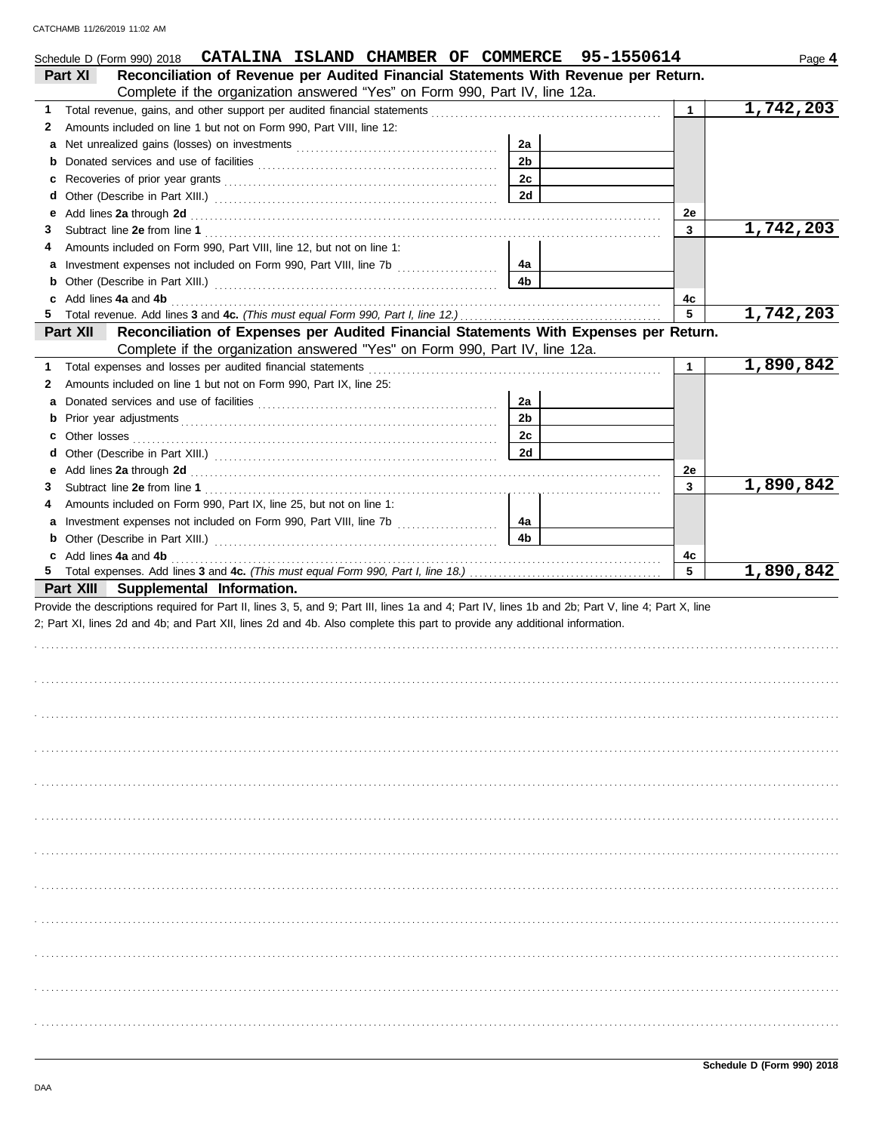|        | Schedule D (Form 990) 2018 CATALINA ISLAND CHAMBER OF COMMERCE 95-1550614                                                                                                                                                      |                      |  |              | Page 4    |
|--------|--------------------------------------------------------------------------------------------------------------------------------------------------------------------------------------------------------------------------------|----------------------|--|--------------|-----------|
|        | Reconciliation of Revenue per Audited Financial Statements With Revenue per Return.<br>Part XI                                                                                                                                 |                      |  |              |           |
|        | Complete if the organization answered "Yes" on Form 990, Part IV, line 12a.                                                                                                                                                    |                      |  |              |           |
| 1.     | Total revenue, gains, and other support per audited financial statements                                                                                                                                                       |                      |  | $\mathbf{1}$ | 1,742,203 |
| 2      | Amounts included on line 1 but not on Form 990, Part VIII, line 12:                                                                                                                                                            |                      |  |              |           |
| а      |                                                                                                                                                                                                                                | 2a<br>2 <sub>b</sub> |  |              |           |
| b      |                                                                                                                                                                                                                                | 2c                   |  |              |           |
| c      |                                                                                                                                                                                                                                | 2d                   |  |              |           |
| d<br>е |                                                                                                                                                                                                                                |                      |  | 2e           |           |
| З      |                                                                                                                                                                                                                                |                      |  | 3            | 1,742,203 |
|        | Amounts included on Form 990, Part VIII, line 12, but not on line 1:                                                                                                                                                           |                      |  |              |           |
| а      | Investment expenses not included on Form 990, Part VIII, line 7b [100] [100] [100] [100] [100] [100] [100] [100] [100] [100] [100] [100] [100] [100] [100] [100] [100] [100] [100] [100] [100] [100] [100] [100] [100] [100] [ | 4a                   |  |              |           |
| b      |                                                                                                                                                                                                                                | 4b                   |  |              |           |
|        | Add lines 4a and 4b                                                                                                                                                                                                            |                      |  | 4c           |           |
| 5.     |                                                                                                                                                                                                                                |                      |  | 5            | 1,742,203 |
|        | Reconciliation of Expenses per Audited Financial Statements With Expenses per Return.<br>Part XII                                                                                                                              |                      |  |              |           |
|        | Complete if the organization answered "Yes" on Form 990, Part IV, line 12a.                                                                                                                                                    |                      |  |              |           |
| 1.     |                                                                                                                                                                                                                                |                      |  | $\mathbf{1}$ | 1,890,842 |
| 2      | Amounts included on line 1 but not on Form 990, Part IX, line 25:                                                                                                                                                              |                      |  |              |           |
| а      |                                                                                                                                                                                                                                | 2a                   |  |              |           |
| b      | Prior year adjustments [11, 11] All the contract of the contract of the contract of the contract of the contract of the contract of the contract of the contract of the contract of the contract of the contract of the contra | 2 <sub>b</sub>       |  |              |           |
| c      |                                                                                                                                                                                                                                | 2c                   |  |              |           |
| d      |                                                                                                                                                                                                                                | 2d                   |  |              |           |
| е      | Add lines 2a through 2d [11] Additional Additional Additional Additional Additional Additional Additional Additional Additional Additional Additional Additional Additional Additional Additional Additional Additional Additi |                      |  | 2e           |           |
| З      |                                                                                                                                                                                                                                |                      |  | $\mathbf{3}$ | 1,890,842 |
|        | Amounts included on Form 990, Part IX, line 25, but not on line 1:                                                                                                                                                             |                      |  |              |           |
| a      |                                                                                                                                                                                                                                | 4a                   |  |              |           |
| b      |                                                                                                                                                                                                                                | 4 <sub>b</sub>       |  |              |           |
|        | c Add lines 4a and 4b                                                                                                                                                                                                          |                      |  | 4с           |           |
| 5.     |                                                                                                                                                                                                                                |                      |  | 5            | 1,890,842 |
|        | Part XIII Supplemental Information.                                                                                                                                                                                            |                      |  |              |           |
|        | Provide the descriptions required for Part II, lines 3, 5, and 9; Part III, lines 1a and 4; Part IV, lines 1b and 2b; Part V, line 4; Part X, line                                                                             |                      |  |              |           |
|        | 2; Part XI, lines 2d and 4b; and Part XII, lines 2d and 4b. Also complete this part to provide any additional information.                                                                                                     |                      |  |              |           |
|        |                                                                                                                                                                                                                                |                      |  |              |           |
|        |                                                                                                                                                                                                                                |                      |  |              |           |
|        |                                                                                                                                                                                                                                |                      |  |              |           |
|        |                                                                                                                                                                                                                                |                      |  |              |           |
|        |                                                                                                                                                                                                                                |                      |  |              |           |
|        |                                                                                                                                                                                                                                |                      |  |              |           |
|        |                                                                                                                                                                                                                                |                      |  |              |           |
|        |                                                                                                                                                                                                                                |                      |  |              |           |
|        |                                                                                                                                                                                                                                |                      |  |              |           |
|        |                                                                                                                                                                                                                                |                      |  |              |           |
|        |                                                                                                                                                                                                                                |                      |  |              |           |
|        |                                                                                                                                                                                                                                |                      |  |              |           |
|        |                                                                                                                                                                                                                                |                      |  |              |           |
|        |                                                                                                                                                                                                                                |                      |  |              |           |
|        |                                                                                                                                                                                                                                |                      |  |              |           |
|        |                                                                                                                                                                                                                                |                      |  |              |           |
|        |                                                                                                                                                                                                                                |                      |  |              |           |
|        |                                                                                                                                                                                                                                |                      |  |              |           |
|        |                                                                                                                                                                                                                                |                      |  |              |           |
|        |                                                                                                                                                                                                                                |                      |  |              |           |
|        |                                                                                                                                                                                                                                |                      |  |              |           |
|        |                                                                                                                                                                                                                                |                      |  |              |           |
|        |                                                                                                                                                                                                                                |                      |  |              |           |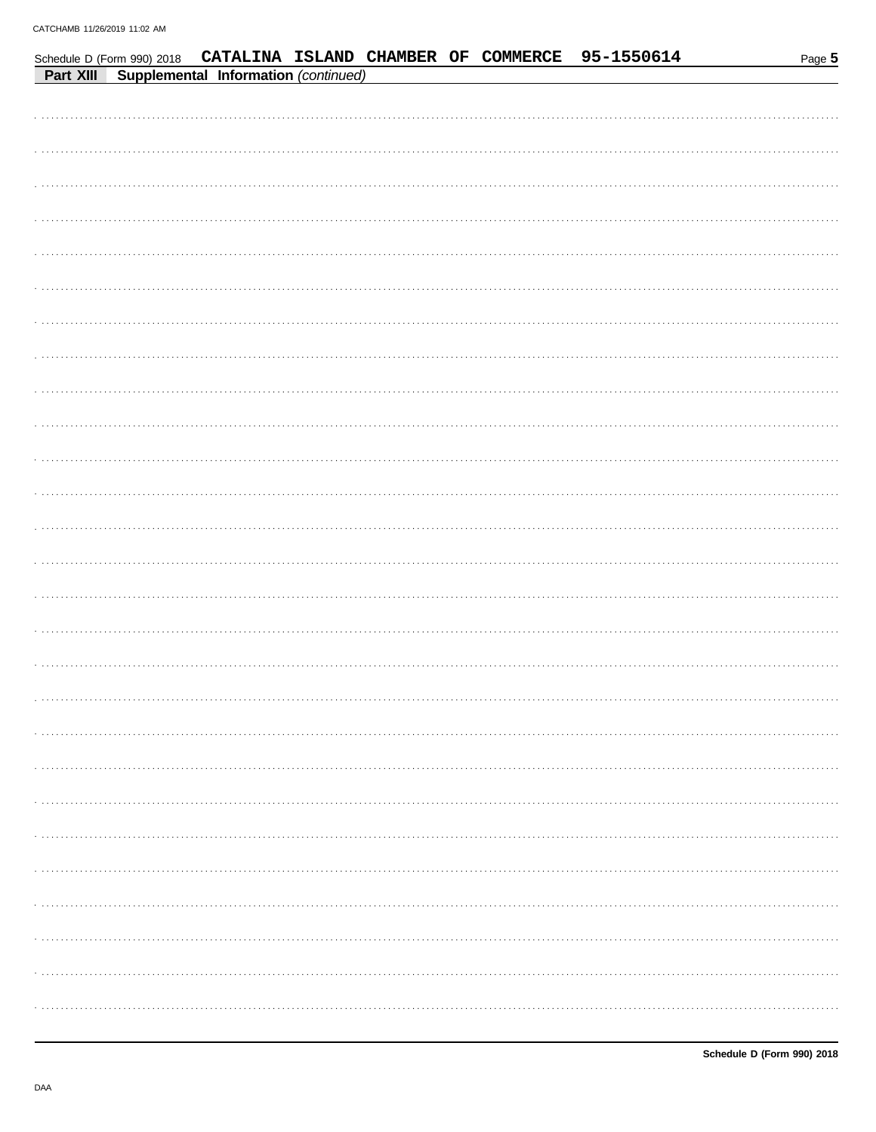|           |                                      |  |  | Schedule D (Form 990) 2018 CATALINA ISLAND CHAMBER OF COMMERCE 95-1550614 | Page 5 |
|-----------|--------------------------------------|--|--|---------------------------------------------------------------------------|--------|
| Part XIII | Supplemental Information (continued) |  |  |                                                                           |        |
|           |                                      |  |  |                                                                           |        |
|           |                                      |  |  |                                                                           |        |
|           |                                      |  |  |                                                                           |        |
|           |                                      |  |  |                                                                           |        |
|           |                                      |  |  |                                                                           |        |
|           |                                      |  |  |                                                                           |        |
|           |                                      |  |  |                                                                           |        |
|           |                                      |  |  |                                                                           |        |
|           |                                      |  |  |                                                                           |        |
|           |                                      |  |  |                                                                           |        |
|           |                                      |  |  |                                                                           |        |
|           |                                      |  |  |                                                                           |        |
|           |                                      |  |  |                                                                           |        |
|           |                                      |  |  |                                                                           |        |
|           |                                      |  |  |                                                                           |        |
|           |                                      |  |  |                                                                           |        |
|           |                                      |  |  |                                                                           |        |
|           |                                      |  |  |                                                                           |        |
|           |                                      |  |  |                                                                           |        |
|           |                                      |  |  |                                                                           |        |
|           |                                      |  |  |                                                                           |        |
|           |                                      |  |  |                                                                           |        |
|           |                                      |  |  |                                                                           |        |
|           |                                      |  |  |                                                                           |        |
|           |                                      |  |  |                                                                           |        |
|           |                                      |  |  |                                                                           |        |
|           |                                      |  |  |                                                                           |        |
|           |                                      |  |  |                                                                           |        |
|           |                                      |  |  |                                                                           |        |
|           |                                      |  |  |                                                                           |        |
|           |                                      |  |  |                                                                           |        |
|           |                                      |  |  |                                                                           |        |
|           |                                      |  |  |                                                                           |        |
|           |                                      |  |  |                                                                           |        |
|           |                                      |  |  |                                                                           |        |
|           |                                      |  |  |                                                                           |        |
|           |                                      |  |  |                                                                           |        |
|           |                                      |  |  |                                                                           |        |
|           |                                      |  |  |                                                                           |        |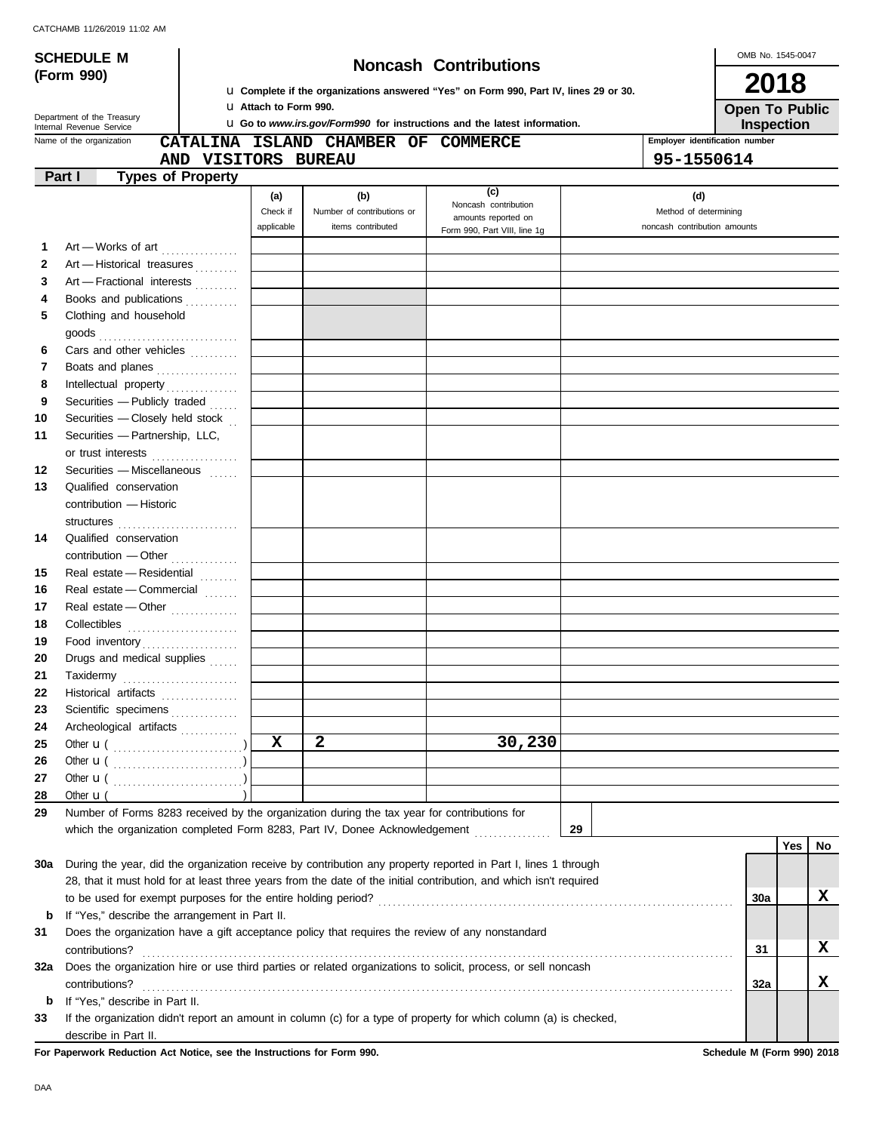$\bigcup$  OMB No. 1545-0047

| <b>SCHEDULE M</b><br>(Form 990) |                                                  |                                                                                                                                                                                                                                                                                                                                                                                                                                                                                        | OMB No. 1545-0047<br><b>Noncash Contributions</b>                                     |                                                                                             |                                                                                                                    |                                                              |                                              |                  |  |  |  |
|---------------------------------|--------------------------------------------------|----------------------------------------------------------------------------------------------------------------------------------------------------------------------------------------------------------------------------------------------------------------------------------------------------------------------------------------------------------------------------------------------------------------------------------------------------------------------------------------|---------------------------------------------------------------------------------------|---------------------------------------------------------------------------------------------|--------------------------------------------------------------------------------------------------------------------|--------------------------------------------------------------|----------------------------------------------|------------------|--|--|--|
|                                 |                                                  |                                                                                                                                                                                                                                                                                                                                                                                                                                                                                        |                                                                                       |                                                                                             |                                                                                                                    |                                                              |                                              |                  |  |  |  |
|                                 |                                                  |                                                                                                                                                                                                                                                                                                                                                                                                                                                                                        | La Complete if the organizations answered "Yes" on Form 990, Part IV, lines 29 or 30. |                                                                                             |                                                                                                                    |                                                              |                                              |                  |  |  |  |
|                                 | Department of the Treasury                       |                                                                                                                                                                                                                                                                                                                                                                                                                                                                                        | <b>U</b> Attach to Form 990.                                                          | <b>Open To Public</b>                                                                       |                                                                                                                    |                                                              |                                              |                  |  |  |  |
|                                 | Internal Revenue Service                         |                                                                                                                                                                                                                                                                                                                                                                                                                                                                                        |                                                                                       |                                                                                             | <b>u</b> Go to www.irs.gov/Form990 for instructions and the latest information.                                    |                                                              | Inspection<br>Employer identification number |                  |  |  |  |
|                                 | Name of the organization                         |                                                                                                                                                                                                                                                                                                                                                                                                                                                                                        |                                                                                       | CATALINA ISLAND CHAMBER OF COMMERCE                                                         |                                                                                                                    |                                                              |                                              |                  |  |  |  |
|                                 | Part I                                           | AND VISITORS BUREAU<br><b>Types of Property</b>                                                                                                                                                                                                                                                                                                                                                                                                                                        |                                                                                       |                                                                                             |                                                                                                                    | 95-1550614                                                   |                                              |                  |  |  |  |
|                                 |                                                  |                                                                                                                                                                                                                                                                                                                                                                                                                                                                                        |                                                                                       |                                                                                             | (c)                                                                                                                |                                                              |                                              |                  |  |  |  |
|                                 |                                                  |                                                                                                                                                                                                                                                                                                                                                                                                                                                                                        | (a)<br>Check if<br>applicable                                                         | (b)<br>Number of contributions or<br>items contributed                                      | Noncash contribution<br>amounts reported on                                                                        | (d)<br>Method of determining<br>noncash contribution amounts |                                              |                  |  |  |  |
|                                 |                                                  |                                                                                                                                                                                                                                                                                                                                                                                                                                                                                        |                                                                                       |                                                                                             | Form 990, Part VIII, line 1g                                                                                       |                                                              |                                              |                  |  |  |  |
| 1                               |                                                  | Art - Works of art                                                                                                                                                                                                                                                                                                                                                                                                                                                                     |                                                                                       |                                                                                             |                                                                                                                    |                                                              |                                              |                  |  |  |  |
| $\mathbf{2}$<br>3               |                                                  | Art - Historical treasures                                                                                                                                                                                                                                                                                                                                                                                                                                                             |                                                                                       |                                                                                             |                                                                                                                    |                                                              |                                              |                  |  |  |  |
| 4                               |                                                  | Art - Fractional interests<br>Books and publications                                                                                                                                                                                                                                                                                                                                                                                                                                   |                                                                                       |                                                                                             |                                                                                                                    |                                                              |                                              |                  |  |  |  |
| 5                               | Clothing and household                           |                                                                                                                                                                                                                                                                                                                                                                                                                                                                                        |                                                                                       |                                                                                             |                                                                                                                    |                                                              |                                              |                  |  |  |  |
|                                 |                                                  |                                                                                                                                                                                                                                                                                                                                                                                                                                                                                        |                                                                                       |                                                                                             |                                                                                                                    |                                                              |                                              |                  |  |  |  |
| 6                               |                                                  | Cars and other vehicles                                                                                                                                                                                                                                                                                                                                                                                                                                                                |                                                                                       |                                                                                             |                                                                                                                    |                                                              |                                              |                  |  |  |  |
| 7                               |                                                  | Boats and planes                                                                                                                                                                                                                                                                                                                                                                                                                                                                       |                                                                                       |                                                                                             |                                                                                                                    |                                                              |                                              |                  |  |  |  |
| 8                               |                                                  |                                                                                                                                                                                                                                                                                                                                                                                                                                                                                        |                                                                                       |                                                                                             |                                                                                                                    |                                                              |                                              |                  |  |  |  |
| 9                               |                                                  | Securities - Publicly traded                                                                                                                                                                                                                                                                                                                                                                                                                                                           |                                                                                       |                                                                                             |                                                                                                                    |                                                              |                                              |                  |  |  |  |
| 10                              |                                                  | Securities - Closely held stock                                                                                                                                                                                                                                                                                                                                                                                                                                                        |                                                                                       |                                                                                             |                                                                                                                    |                                                              |                                              |                  |  |  |  |
| 11                              | Securities - Partnership, LLC,                   |                                                                                                                                                                                                                                                                                                                                                                                                                                                                                        |                                                                                       |                                                                                             |                                                                                                                    |                                                              |                                              |                  |  |  |  |
| 12                              |                                                  | or trust interests<br>Securities - Miscellaneous                                                                                                                                                                                                                                                                                                                                                                                                                                       |                                                                                       |                                                                                             |                                                                                                                    |                                                              |                                              |                  |  |  |  |
| 13                              | Qualified conservation                           |                                                                                                                                                                                                                                                                                                                                                                                                                                                                                        |                                                                                       |                                                                                             |                                                                                                                    |                                                              |                                              |                  |  |  |  |
|                                 | contribution - Historic                          |                                                                                                                                                                                                                                                                                                                                                                                                                                                                                        |                                                                                       |                                                                                             |                                                                                                                    |                                                              |                                              |                  |  |  |  |
|                                 |                                                  |                                                                                                                                                                                                                                                                                                                                                                                                                                                                                        |                                                                                       |                                                                                             |                                                                                                                    |                                                              |                                              |                  |  |  |  |
| 14                              | Qualified conservation                           |                                                                                                                                                                                                                                                                                                                                                                                                                                                                                        |                                                                                       |                                                                                             |                                                                                                                    |                                                              |                                              |                  |  |  |  |
|                                 |                                                  | contribution - Other                                                                                                                                                                                                                                                                                                                                                                                                                                                                   |                                                                                       |                                                                                             |                                                                                                                    |                                                              |                                              |                  |  |  |  |
| 15                              |                                                  | Real estate - Residential                                                                                                                                                                                                                                                                                                                                                                                                                                                              |                                                                                       |                                                                                             |                                                                                                                    |                                                              |                                              |                  |  |  |  |
| 16                              |                                                  | Real estate - Commercial                                                                                                                                                                                                                                                                                                                                                                                                                                                               |                                                                                       |                                                                                             |                                                                                                                    |                                                              |                                              |                  |  |  |  |
| 17                              |                                                  | Real estate - Other                                                                                                                                                                                                                                                                                                                                                                                                                                                                    |                                                                                       |                                                                                             |                                                                                                                    |                                                              |                                              |                  |  |  |  |
| 18                              |                                                  |                                                                                                                                                                                                                                                                                                                                                                                                                                                                                        |                                                                                       |                                                                                             |                                                                                                                    |                                                              |                                              |                  |  |  |  |
| 19                              |                                                  | Food inventory                                                                                                                                                                                                                                                                                                                                                                                                                                                                         |                                                                                       |                                                                                             |                                                                                                                    |                                                              |                                              |                  |  |  |  |
| 20                              |                                                  | Drugs and medical supplies                                                                                                                                                                                                                                                                                                                                                                                                                                                             |                                                                                       |                                                                                             |                                                                                                                    |                                                              |                                              |                  |  |  |  |
| 21                              |                                                  | $\begin{minipage}[c]{0.9\linewidth} \textbf{Taxidermy} \end{minipage}[t]{\label{eq:axidermy} \begin{minipage}[c]{0.9\linewidth} \textbf{Taxidermy} \end{minipage}[t]{\label{eq:axidermy} \begin{minipage}[c]{0.9\linewidth} \textbf{Taxidermy} \end{minipage}[t]{\label{eq:axidermy} \begin{minipage}[c]{0.9\linewidth} \textbf{Cov} \end{minipage}[t]{\label{eq:axidermy} \begin{minipage}[c]{0.9\linewidth} \textbf{Cov} \end{minipage}[t]{\label{eq:axidermy} \begin{minipage}[c]{$ |                                                                                       |                                                                                             |                                                                                                                    |                                                              |                                              |                  |  |  |  |
| 22                              |                                                  | Historical artifacts                                                                                                                                                                                                                                                                                                                                                                                                                                                                   |                                                                                       |                                                                                             |                                                                                                                    |                                                              |                                              |                  |  |  |  |
| 23                              |                                                  | Scientific specimens                                                                                                                                                                                                                                                                                                                                                                                                                                                                   |                                                                                       |                                                                                             |                                                                                                                    |                                                              |                                              |                  |  |  |  |
| 24                              |                                                  | Archeological artifacts                                                                                                                                                                                                                                                                                                                                                                                                                                                                |                                                                                       |                                                                                             |                                                                                                                    |                                                              |                                              |                  |  |  |  |
| 25                              |                                                  |                                                                                                                                                                                                                                                                                                                                                                                                                                                                                        | $\mathbf x$                                                                           | $\mathbf{2}$                                                                                | 30,230                                                                                                             |                                                              |                                              |                  |  |  |  |
| 26                              |                                                  |                                                                                                                                                                                                                                                                                                                                                                                                                                                                                        |                                                                                       |                                                                                             |                                                                                                                    |                                                              |                                              |                  |  |  |  |
| 27                              |                                                  |                                                                                                                                                                                                                                                                                                                                                                                                                                                                                        |                                                                                       |                                                                                             |                                                                                                                    |                                                              |                                              |                  |  |  |  |
| 28<br>29                        | Other $\mathbf{u}$ (                             |                                                                                                                                                                                                                                                                                                                                                                                                                                                                                        |                                                                                       | Number of Forms 8283 received by the organization during the tax year for contributions for |                                                                                                                    |                                                              |                                              |                  |  |  |  |
|                                 |                                                  |                                                                                                                                                                                                                                                                                                                                                                                                                                                                                        |                                                                                       | which the organization completed Form 8283, Part IV, Donee Acknowledgement                  |                                                                                                                    | 29                                                           |                                              |                  |  |  |  |
|                                 |                                                  |                                                                                                                                                                                                                                                                                                                                                                                                                                                                                        |                                                                                       |                                                                                             |                                                                                                                    |                                                              |                                              | <b>Yes</b><br>No |  |  |  |
| 30a                             |                                                  |                                                                                                                                                                                                                                                                                                                                                                                                                                                                                        |                                                                                       |                                                                                             | During the year, did the organization receive by contribution any property reported in Part I, lines 1 through     |                                                              |                                              |                  |  |  |  |
|                                 |                                                  |                                                                                                                                                                                                                                                                                                                                                                                                                                                                                        |                                                                                       |                                                                                             | 28, that it must hold for at least three years from the date of the initial contribution, and which isn't required |                                                              |                                              |                  |  |  |  |
|                                 |                                                  | to be used for exempt purposes for the entire holding period?                                                                                                                                                                                                                                                                                                                                                                                                                          |                                                                                       |                                                                                             |                                                                                                                    |                                                              | <b>30a</b>                                   | x                |  |  |  |
| b                               |                                                  | If "Yes," describe the arrangement in Part II.                                                                                                                                                                                                                                                                                                                                                                                                                                         |                                                                                       |                                                                                             |                                                                                                                    |                                                              |                                              |                  |  |  |  |
| 31                              |                                                  |                                                                                                                                                                                                                                                                                                                                                                                                                                                                                        |                                                                                       |                                                                                             | Does the organization have a gift acceptance policy that requires the review of any nonstandard                    |                                                              |                                              |                  |  |  |  |
|                                 | contributions?                                   |                                                                                                                                                                                                                                                                                                                                                                                                                                                                                        |                                                                                       |                                                                                             |                                                                                                                    |                                                              | 31                                           | x                |  |  |  |
| 32a                             |                                                  |                                                                                                                                                                                                                                                                                                                                                                                                                                                                                        |                                                                                       |                                                                                             | Does the organization hire or use third parties or related organizations to solicit, process, or sell noncash      |                                                              |                                              | X.               |  |  |  |
| b                               | contributions?<br>If "Yes," describe in Part II. |                                                                                                                                                                                                                                                                                                                                                                                                                                                                                        |                                                                                       |                                                                                             |                                                                                                                    |                                                              | 32a                                          |                  |  |  |  |
| 33                              |                                                  |                                                                                                                                                                                                                                                                                                                                                                                                                                                                                        |                                                                                       |                                                                                             | If the organization didn't report an amount in column (c) for a type of property for which column (a) is checked,  |                                                              |                                              |                  |  |  |  |
|                                 | describe in Part II.                             |                                                                                                                                                                                                                                                                                                                                                                                                                                                                                        |                                                                                       |                                                                                             |                                                                                                                    |                                                              |                                              |                  |  |  |  |

**For Paperwork Reduction Act Notice, see the Instructions for Form 990. Schedule M (Form 990) 2018**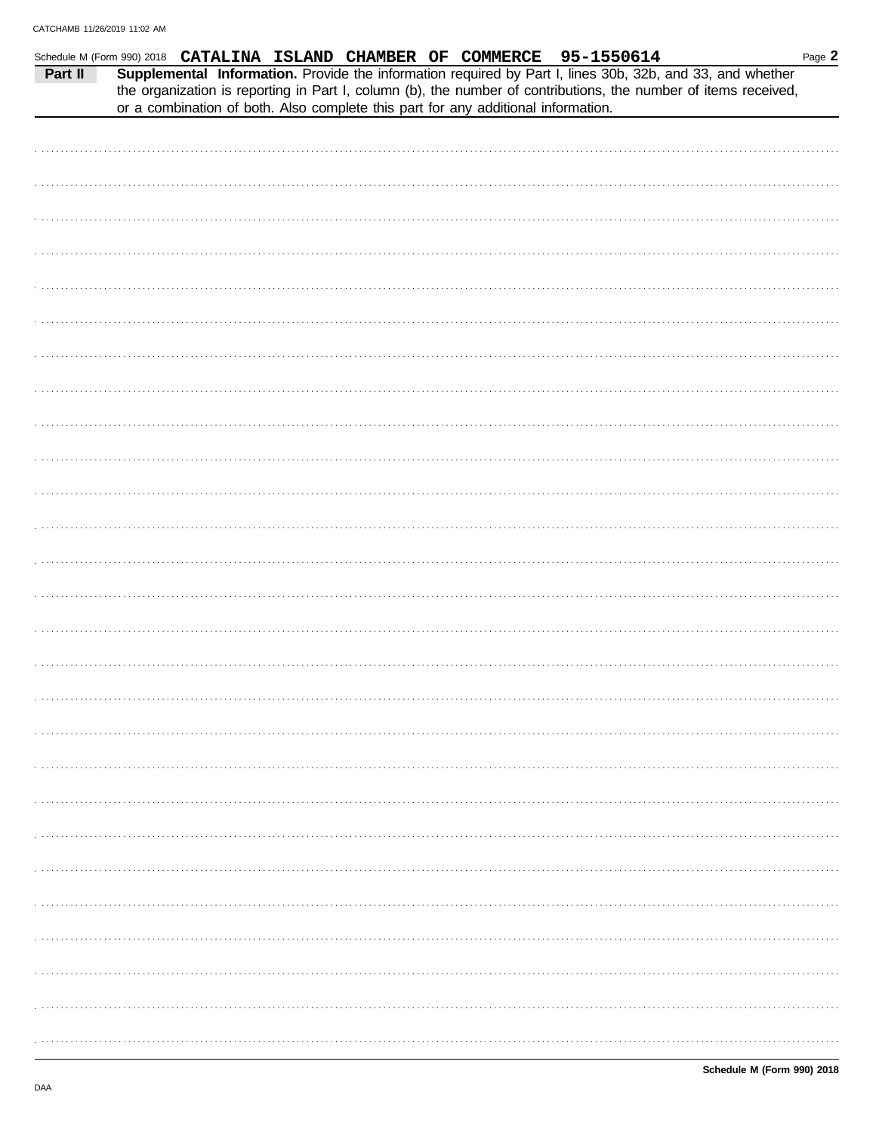| Schedule M (Form 990) 2018 CATALINA ISLAND CHAMBER OF COMMERCE 95-1550614 |  |  |                                                                                   |  |  |                                                                                                                                                                                                                              | Page 2 |
|---------------------------------------------------------------------------|--|--|-----------------------------------------------------------------------------------|--|--|------------------------------------------------------------------------------------------------------------------------------------------------------------------------------------------------------------------------------|--------|
| Part II                                                                   |  |  |                                                                                   |  |  | Supplemental Information. Provide the information required by Part I, lines 30b, 32b, and 33, and whether<br>the organization is reporting in Part I, column (b), the number of contributions, the number of items received, |        |
|                                                                           |  |  | or a combination of both. Also complete this part for any additional information. |  |  |                                                                                                                                                                                                                              |        |
|                                                                           |  |  |                                                                                   |  |  |                                                                                                                                                                                                                              |        |
|                                                                           |  |  |                                                                                   |  |  |                                                                                                                                                                                                                              |        |
|                                                                           |  |  |                                                                                   |  |  |                                                                                                                                                                                                                              |        |
|                                                                           |  |  |                                                                                   |  |  |                                                                                                                                                                                                                              |        |
|                                                                           |  |  |                                                                                   |  |  |                                                                                                                                                                                                                              |        |
|                                                                           |  |  |                                                                                   |  |  |                                                                                                                                                                                                                              |        |
|                                                                           |  |  |                                                                                   |  |  |                                                                                                                                                                                                                              |        |
|                                                                           |  |  |                                                                                   |  |  |                                                                                                                                                                                                                              |        |
|                                                                           |  |  |                                                                                   |  |  |                                                                                                                                                                                                                              |        |
|                                                                           |  |  |                                                                                   |  |  |                                                                                                                                                                                                                              |        |
|                                                                           |  |  |                                                                                   |  |  |                                                                                                                                                                                                                              |        |
|                                                                           |  |  |                                                                                   |  |  |                                                                                                                                                                                                                              |        |
|                                                                           |  |  |                                                                                   |  |  |                                                                                                                                                                                                                              |        |
|                                                                           |  |  |                                                                                   |  |  |                                                                                                                                                                                                                              |        |
|                                                                           |  |  |                                                                                   |  |  |                                                                                                                                                                                                                              |        |
|                                                                           |  |  |                                                                                   |  |  |                                                                                                                                                                                                                              |        |
|                                                                           |  |  |                                                                                   |  |  |                                                                                                                                                                                                                              |        |
|                                                                           |  |  |                                                                                   |  |  |                                                                                                                                                                                                                              |        |
|                                                                           |  |  |                                                                                   |  |  |                                                                                                                                                                                                                              |        |
|                                                                           |  |  |                                                                                   |  |  |                                                                                                                                                                                                                              |        |
|                                                                           |  |  |                                                                                   |  |  |                                                                                                                                                                                                                              |        |
|                                                                           |  |  |                                                                                   |  |  |                                                                                                                                                                                                                              |        |
|                                                                           |  |  |                                                                                   |  |  |                                                                                                                                                                                                                              |        |
|                                                                           |  |  |                                                                                   |  |  |                                                                                                                                                                                                                              |        |
|                                                                           |  |  |                                                                                   |  |  |                                                                                                                                                                                                                              |        |
|                                                                           |  |  |                                                                                   |  |  |                                                                                                                                                                                                                              |        |
|                                                                           |  |  |                                                                                   |  |  |                                                                                                                                                                                                                              |        |
|                                                                           |  |  |                                                                                   |  |  |                                                                                                                                                                                                                              |        |
|                                                                           |  |  |                                                                                   |  |  |                                                                                                                                                                                                                              |        |